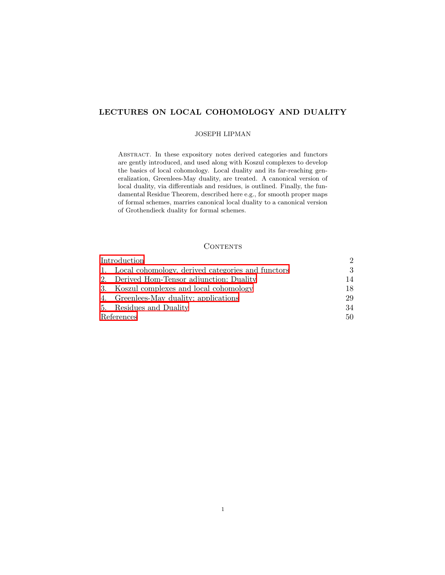# LECTURES ON LOCAL COHOMOLOGY AND DUALITY

## JOSEPH LIPMAN

Abstract. In these expository notes derived categories and functors are gently introduced, and used along with Koszul complexes to develop the basics of local cohomology. Local duality and its far-reaching generalization, Greenlees-May duality, are treated. A canonical version of local duality, via differentials and residues, is outlined. Finally, the fundamental Residue Theorem, described here e.g., for smooth proper maps of formal schemes, marries canonical local duality to a canonical version of Grothendieck duality for formal schemes.

## **CONTENTS**

| Introduction |                                                      | $\mathcal{D}_{\mathcal{L}}$ |
|--------------|------------------------------------------------------|-----------------------------|
|              | 1. Local cohomology, derived categories and functors | 3                           |
|              | 2. Derived Hom-Tensor adjunction; Duality            | 14                          |
|              | 3. Koszul complexes and local cohomology             | 18                          |
|              | 4. Greenlees-May duality; applications               | 29                          |
|              | 5. Residues and Duality                              | 34                          |
| References   |                                                      | 50                          |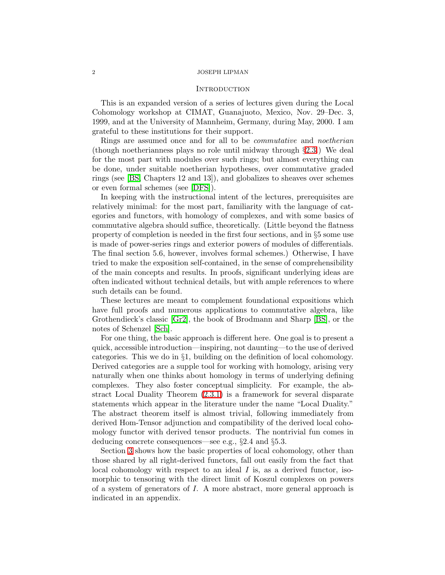## **INTRODUCTION**

<span id="page-1-0"></span>This is an expanded version of a series of lectures given during the Local Cohomology workshop at CIMAT, Guanajuoto, Mexico, Nov. 29–Dec. 3, 1999, and at the University of Mannheim, Germany, during May, 2000. I am grateful to these institutions for their support.

Rings are assumed once and for all to be commutative and noetherian (though noetherianness plays no role until midway through §[2.3.](#page-15-0)) We deal for the most part with modules over such rings; but almost everything can be done, under suitable noetherian hypotheses, over commutative graded rings (see [\[BS,](#page-49-1) Chapters 12 and 13]), and globalizes to sheaves over schemes or even formal schemes (see [\[DFS\]](#page-49-2)).

In keeping with the instructional intent of the lectures, prerequisites are relatively minimal: for the most part, familiarity with the language of categories and functors, with homology of complexes, and with some basics of commutative algebra should suffice, theoretically. (Little beyond the flatness property of completion is needed in the first four sections, and in §5 some use is made of power-series rings and exterior powers of modules of differentials. The final section 5.6, however, involves formal schemes.) Otherwise, I have tried to make the exposition self-contained, in the sense of comprehensibility of the main concepts and results. In proofs, significant underlying ideas are often indicated without technical details, but with ample references to where such details can be found.

These lectures are meant to complement foundational expositions which have full proofs and numerous applications to commutative algebra, like Grothendieck's classic [\[Gr2\]](#page-50-0), the book of Brodmann and Sharp [\[BS\]](#page-49-1), or the notes of Schenzel [\[Sch\]](#page-50-1).

For one thing, the basic approach is different here. One goal is to present a quick, accessible introduction—inspiring, not daunting—to the use of derived categories. This we do in §1, building on the definition of local cohomology. Derived categories are a supple tool for working with homology, arising very naturally when one thinks about homology in terms of underlying defining complexes. They also foster conceptual simplicity. For example, the abstract Local Duality Theorem [\(2.3.1\)](#page-15-1) is a framework for several disparate statements which appear in the literature under the name "Local Duality." The abstract theorem itself is almost trivial, following immediately from derived Hom-Tensor adjunction and compatibility of the derived local cohomology functor with derived tensor products. The nontrivial fun comes in deducing concrete consequences—see e.g., §2.4 and §5.3.

Section [3](#page-17-0) shows how the basic properties of local cohomology, other than those shared by all right-derived functors, fall out easily from the fact that local cohomology with respect to an ideal  $I$  is, as a derived functor, isomorphic to tensoring with the direct limit of Koszul complexes on powers of a system of generators of I. A more abstract, more general approach is indicated in an appendix.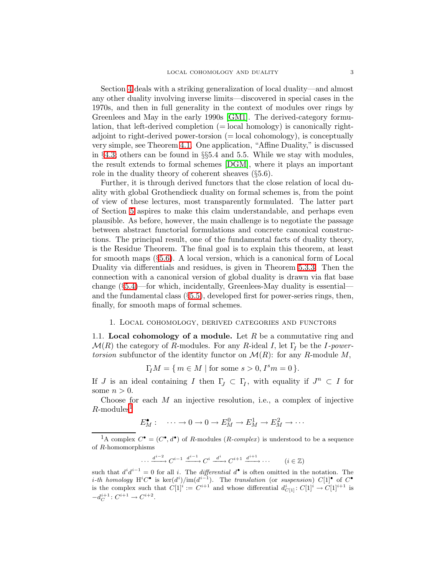Section [4](#page-28-0) deals with a striking generalization of local duality—and almost any other duality involving inverse limits—discovered in special cases in the 1970s, and then in full generality in the context of modules over rings by Greenlees and May in the early 1990s [\[GM1\]](#page-50-2). The derived-category formulation, that left-derived completion (= local homology) is canonically rightadjoint to right-derived power-torsion  $(= local cohomology)$ , is conceptually very simple, see Theorem [4.1.](#page-28-1) One application, "Affine Duality," is discussed in §[4.3;](#page-31-0) others can be found in §§5.4 and 5.5. While we stay with modules, the result extends to formal schemes [\[DGM\]](#page-49-3), where it plays an important role in the duality theory of coherent sheaves (§5.6).

Further, it is through derived functors that the close relation of local duality with global Grothendieck duality on formal schemes is, from the point of view of these lectures, most transparently formulated. The latter part of Section [5](#page-33-0) aspires to make this claim understandable, and perhaps even plausible. As before, however, the main challenge is to negotiate the passage between abstract functorial formulations and concrete canonical constructions. The principal result, one of the fundamental facts of duality theory, is the Residue Theorem. The final goal is to explain this theorem, at least for smooth maps (§[5.6\)](#page-44-0). A local version, which is a canonical form of Local Duality via differentials and residues, is given in Theorem [5.3.3.](#page-37-0) Then the connection with a canonical version of global duality is drawn via flat base change (§[5.4\)](#page-40-0)—for which, incidentally, Greenlees-May duality is essential and the fundamental class (§[5.5\)](#page-42-0), developed first for power-series rings, then, finally, for smooth maps of formal schemes.

## 1. Local cohomology, derived categories and functors

<span id="page-2-2"></span><span id="page-2-0"></span>1.1. Local cohomology of a module. Let  $R$  be a commutative ring and  $\mathcal{M}(R)$  the category of R-modules. For any R-ideal I, let  $\Gamma_I$  be the I-powertorsion subfunctor of the identity functor on  $\mathcal{M}(R)$ : for any R-module M,

 $\Gamma_I M = \{ m \in M \mid \text{for some } s > 0, I^s m = 0 \}.$ 

If *J* is an ideal containing *I* then  $\Gamma$ <sub>*J*</sub>  $\subset \Gamma$ <sub>*I*</sub>, with equality if  $J^n \subset I$  for some  $n > 0$ .

Choose for each  $M$  an injective resolution, i.e., a complex of injective  $R$ -modules<sup>[1](#page-2-1)</sup>

$$
E_M^{\bullet}: \quad \cdots \to 0 \to 0 \to E_M^0 \to E_M^1 \to E_M^2 \to \cdots
$$

<span id="page-2-1"></span><sup>1</sup>A complex  $C^{\bullet} = (C^{\bullet}, d^{\bullet})$  of R-modules  $(R\text{-}complex)$  is understood to be a sequence of R-homomorphisms

$$
\cdots \xrightarrow{d^{i-2}} C^{i-1} \xrightarrow{d^{i-1}} C^i \xrightarrow{d^i} C^{i+1} \xrightarrow{d^{i+1}} \cdots \qquad (i \in \mathbb{Z})
$$

such that  $d^i d^{i-1} = 0$  for all i. The *differential*  $d^{\bullet}$  is often omitted in the notation. The i-th homology  $\mathrm{H}^i C^{\bullet}$  is  $\mathrm{ker}(d^i)/\mathrm{im}(d^{i-1})$ . The translation (or suspension)  $C[1]^{\bullet}$  of  $C^{\bullet}$ is the complex such that  $C[1]^i := C^{i+1}$  and whose differential  $d_{C[1]}^i : C[1]^i \to C[1]^{i+1}$  is  $-d_C^{i+1}: C^{i+1} \to C^{i+2}.$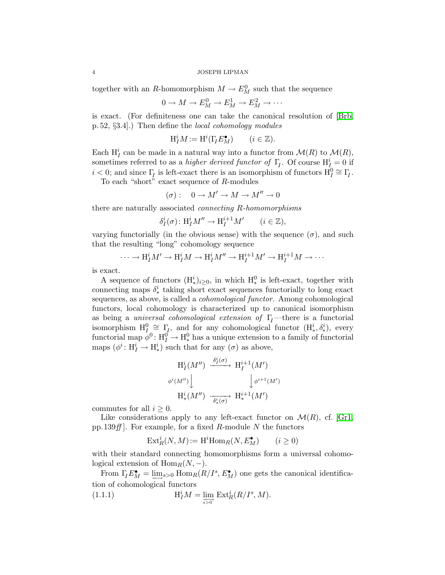together with an R-homomorphism  $M \to E_M^0$  such that the sequence

$$
0 \to M \to E_M^0 \to E_M^1 \to E_M^2 \to \cdots
$$

is exact. (For definiteness one can take the canonical resolution of [\[Brb,](#page-49-4) p. 52, §3.4].) Then define the local cohomology modules

$$
\mathrm{H}_I^i M := \mathrm{H}^i(\Gamma_I E_M^{\bullet}) \qquad (i \in \mathbb{Z}).
$$

Each  $H_I^i$  can be made in a natural way into a functor from  $\mathcal{M}(R)$  to  $\mathcal{M}(R)$ , sometimes referred to as a *higher derived functor of*  $\Gamma_I$ . Of course  $H_I^i = 0$  if  $i < 0$ ; and since  $\Gamma_I$  is left-exact there is an isomorphism of functors  $H_I^0 \cong \Gamma_I$ .

To each "short" exact sequence of R-modules

$$
(\sigma): \quad 0 \to M' \to M \to M'' \to 0
$$

there are naturally associated connecting R-homomorphisms

$$
\delta_I^i(\sigma) \colon \mathrm{H}_I^i M'' \to \mathrm{H}_I^{i+1} M' \qquad (i \in \mathbb{Z}),
$$

varying functorially (in the obvious sense) with the sequence  $(\sigma)$ , and such that the resulting "long" cohomology sequence

$$
\cdots \to \mathrm{H}^i_I M' \to \mathrm{H}^i_I M \to \mathrm{H}^i_I M'' \to \mathrm{H}^{i+1}_I M' \to \mathrm{H}^{i+1}_I M \to \cdots
$$

is exact.

A sequence of functors  $(H^i_*)_{i\geq 0}$ , in which  $H^0_*$  is left-exact, together with connecting maps  $\delta^i_*$  taking short exact sequences functorially to long exact sequences, as above, is called a cohomological functor. Among cohomological functors, local cohomology is characterized up to canonical isomorphism as being a *universal cohomological extension of*  $\Gamma$ <sub>I</sub>—there is a functorial isomorphism  $H_I^0 \cong \Gamma_I$ , and for any cohomological functor  $(H^i_*, \delta^i_*)$ , every functorial map  $\phi^0: H_I^0 \to H_*^0$  has a unique extension to a family of functorial maps  $(\phi^i: H_I^i \to H_*^i)$  such that for any  $(\sigma)$  as above,

$$
H_I^i(M'') \xrightarrow{\delta_I^i(\sigma)} H_I^{i+1}(M')
$$
  

$$
\phi^i(M'') \downarrow \qquad \qquad \downarrow \phi^{i+1}(M')
$$
  

$$
H_*^i(M'') \xrightarrow{\delta_*^i(\sigma)} H_*^{i+1}(M')
$$

commutes for all  $i > 0$ .

Like considerations apply to any left-exact functor on  $\mathcal{M}(R)$ , cf. [\[Gr1,](#page-50-3) pp.139 $ff$ . For example, for a fixed R-module N the functors

$$
\text{Ext}^i_R(N,M) := \text{H}^i \text{Hom}_R(N, E_M^{\bullet}) \qquad (i \ge 0)
$$

with their standard connecting homomorphisms form a universal cohomological extension of  $\text{Hom}_R(N, -)$ .

From  $\Gamma_I E_M^{\bullet} = \underline{\lim}_{s>0}$  Hom $_R(R/I^s, E_M^{\bullet})$  one gets the canonical identification of cohomological functors

<span id="page-3-0"></span>(1.1.1) 
$$
\mathcal{H}_I^i M = \lim_{\overline{s>0}} \operatorname{Ext}_R^i(R/I^s, M).
$$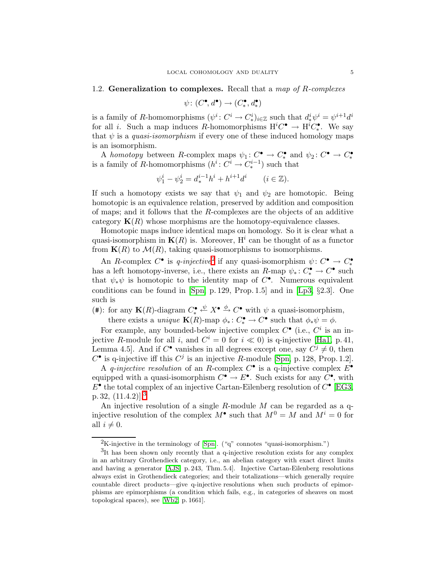## <span id="page-4-2"></span>1.2. Generalization to complexes. Recall that a map of  $R$ -complexes

$$
\psi\colon (C^\bullet,d^\bullet)\to (C^\bullet_*,d^\bullet_*)
$$

is a family of R-homomorphisms  $(\psi^i: C^i \to C^i_*)_{i \in \mathbb{Z}}$  such that  $d^i_* \psi^i = \psi^{i+1} d^i$ for all *i*. Such a map induces R-homomorphisms  $H^iC^{\bullet} \to H^iC_{\ast}^{\bullet}$ . We say that  $\psi$  is a *quasi-isomorphism* if every one of these induced homology maps is an isomorphism.

A homotopy between R-complex maps  $\psi_1: C^{\bullet} \to C^{\bullet}_*$  and  $\psi_2: C^{\bullet} \to C^{\bullet}_*$ is a family of R-homomorphisms  $(h^i: C^i \to C^{i-1}_*)$  such that

$$
\psi_1^i - \psi_2^i = d_*^{i-1}h^i + h^{i+1}d^i \qquad (i \in \mathbb{Z}).
$$

If such a homotopy exists we say that  $\psi_1$  and  $\psi_2$  are homotopic. Being homotopic is an equivalence relation, preserved by addition and composition of maps; and it follows that the R-complexes are the objects of an additive category  $K(R)$  whose morphisms are the homotopy-equivalence classes.

Homotopic maps induce identical maps on homology. So it is clear what a quasi-isomorphism in  $K(R)$  is. Moreover,  $H<sup>i</sup>$  can be thought of as a functor from  $\mathbf{K}(R)$  to  $\mathcal{M}(R)$ , taking quasi-isomorphisms to isomorphisms.

An R-complex  $C^{\bullet}$  is q-injective<sup>[2](#page-4-0)</sup> if any quasi-isomorphism  $\psi: C^{\bullet} \to C^{\bullet}_{*}$ has a left homotopy-inverse, i.e., there exists an R-map  $\psi_*: C^{\bullet}_* \to C^{\bullet}$  such that  $\psi_*\psi$  is homotopic to the identity map of  $C^{\bullet}$ . Numerous equivalent conditions can be found in [\[Spn,](#page-50-4) p. 129, Prop. 1.5] and in [\[Lp3,](#page-50-5) §2.3]. One such is

(#): for any  $\mathbf{K}(R)$ -diagram  $C^{\bullet} \stackrel{\psi}{\leftarrow} X^{\bullet} \stackrel{\phi}{\rightarrow} C^{\bullet}$  with  $\psi$  a quasi-isomorphism, there exists a *unique*  $\mathbf{K}(R)$ -map  $\phi_* \colon C_*^{\bullet} \to C^{\bullet}$  such that  $\phi_* \psi = \phi$ .

For example, any bounded-below injective complex  $C^{\bullet}$  (i.e.,  $C^{i}$  is an injective R-module for all i, and  $C^i = 0$  for  $i \ll 0$ ) is q-injective [\[Ha1,](#page-50-6) p. 41, Lemma 4.5. And if  $C^{\bullet}$  vanishes in all degrees except one, say  $C^j \neq 0$ , then  $C^{\bullet}$  is q-injective iff this  $C^j$  is an injective R-module [\[Spn,](#page-50-4) p. 128, Prop. 1.2].

A q-injective resolution of an R-complex  $C^{\bullet}$  is a q-injective complex  $E^{\bullet}$ equipped with a quasi-isomorphism  $C^{\bullet} \to E^{\bullet}$ . Such exists for any  $C^{\bullet}$ , with  $E^{\bullet}$  the total complex of an injective Cartan-Eilenberg resolution of  $C^{\bullet}$  [\[EG3,](#page-50-7) p. [3](#page-4-1)2,  $(11.4.2)$ <sup>3</sup>

An injective resolution of a single R-module  $M$  can be regarded as a qinjective resolution of the complex  $M^{\bullet}$  such that  $M^0 = M$  and  $M^i = 0$  for all  $i \neq 0$ .

<sup>&</sup>lt;sup>2</sup>K-injective in the terminology of [\[Spn\]](#page-50-4). ("q" connotes "quasi-isomorphism.")

<span id="page-4-1"></span><span id="page-4-0"></span><sup>&</sup>lt;sup>3</sup>It has been shown only recently that a q-injective resolution exists for any complex in an arbitrary Grothendieck category, i.e., an abelian category with exact direct limits and having a generator [\[AJS,](#page-49-5) p. 243, Thm. 5.4]. Injective Cartan-Eilenberg resolutions always exist in Grothendieck categories; and their totalizations—which generally require countable direct products—give q-injective resolutions when such products of epimorphisms are epimorphisms (a condition which fails, e.g., in categories of sheaves on most topological spaces), see [\[Wb2,](#page-50-8) p. 1661].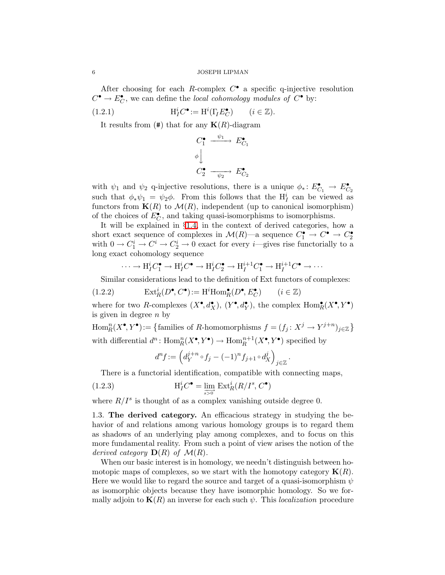After choosing for each R-complex  $C^{\bullet}$  a specific q-injective resolution  $C^{\bullet} \to E_C^{\bullet}$ , we can define the *local cohomology modules of*  $C^{\bullet}$  by:

<span id="page-5-1"></span> $(1.2.1)$  ${}_{I}^{i}C^{\bullet} := \mathrm{H}^{i}(\Gamma_{I}E_{C}^{\bullet}) \qquad (i \in \mathbb{Z}).$ 

It results from  $(\#)$  that for any  $K(R)$ -diagram

$$
C_1^{\bullet} \xrightarrow{\psi_1} E_{C_1}^{\bullet}
$$
  

$$
\phi \downarrow
$$
  

$$
C_2^{\bullet} \xrightarrow{\psi_2} E_{C_2}^{\bullet}
$$

with  $\psi_1$  and  $\psi_2$  q-injective resolutions, there is a unique  $\phi_* \colon E_{C_1}^{\bullet} \to E_{C_2}^{\bullet}$ such that  $\phi_* \psi_1 = \psi_2 \phi$ . From this follows that the  $H_I^i$  can be viewed as functors from  $K(R)$  to  $\mathcal{M}(R)$ , independent (up to canonical isomorphism) of the choices of  $E_C^{\bullet}$ , and taking quasi-isomorphisms to isomorphisms.

It will be explained in §[1.4,](#page-8-0) in the context of derived categories, how a short exact sequence of complexes in  $\mathcal{M}(R)$ —a sequence  $C_1^{\bullet} \to C_{2}^{\bullet} \to C_2^{\bullet}$ with  $0 \to C_1^i \to C^i \to C_2^i \to 0$  exact for every *i*—gives rise functorially to a long exact cohomology sequence

$$
\cdots \to \mathrm{H}_I^i C_1^{\bullet} \to \mathrm{H}_I^i C^{\bullet} \to \mathrm{H}_I^i C_2^{\bullet} \to \mathrm{H}_I^{i+1} C_1^{\bullet} \to \mathrm{H}_I^{i+1} C^{\bullet} \to \cdots
$$

<span id="page-5-3"></span>Similar considerations lead to the definition of Ext functors of complexes:

(1.2.2) 
$$
\operatorname{Ext}^i_R(D^\bullet, C^\bullet) := \operatorname{H}^i \operatorname{Hom}^\bullet_R(D^\bullet, E_C^\bullet) \qquad (i \in \mathbb{Z})
$$

where for two R-complexes  $(X^{\bullet}, d_X^{\bullet}), (Y^{\bullet}, d_Y^{\bullet})$ , the complex  $\text{Hom}_R^{\bullet}(X^{\bullet}, Y^{\bullet})$ is given in degree  $n$  by

 $\mathrm{Hom}_R^n(X^\bullet, Y^\bullet) := \{ \text{families of } R\text{-homomorphisms } f = (f_j \colon X^j \to Y^{j+n})_{j \in \mathbb{Z}} \}$ with differential  $d^n$ :  $\text{Hom}_R^n(X^{\bullet}, Y^{\bullet}) \to \text{Hom}_R^{n+1}(X^{\bullet}, Y^{\bullet})$  specified by

$$
d^n f := \left( d_Y^{j+n} \circ f_j - (-1)^n f_{j+1} \circ d_X^j \right)_{j \in \mathbb{Z}}.
$$

<span id="page-5-0"></span>There is a functorial identification, compatible with connecting maps,

(1.2.3) 
$$
\mathrm{H}_I^i C^{\bullet} = \lim_{\substack{s>0}} \mathrm{Ext}_R^i(R/I^s, C^{\bullet})
$$

where  $R/I^s$  is thought of as a complex vanishing outside degree 0.

<span id="page-5-2"></span>1.3. The derived category. An efficacious strategy in studying the behavior of and relations among various homology groups is to regard them as shadows of an underlying play among complexes, and to focus on this more fundamental reality. From such a point of view arises the notion of the derived category  $\mathbf{D}(R)$  of  $\mathcal{M}(R)$ .

When our basic interest is in homology, we needn't distinguish between homotopic maps of complexes, so we start with the homotopy category  $\mathbf{K}(R)$ . Here we would like to regard the source and target of a quasi-isomorphism  $\psi$ as isomorphic objects because they have isomorphic homology. So we formally adjoin to  $K(R)$  an inverse for each such  $\psi$ . This *localization* procedure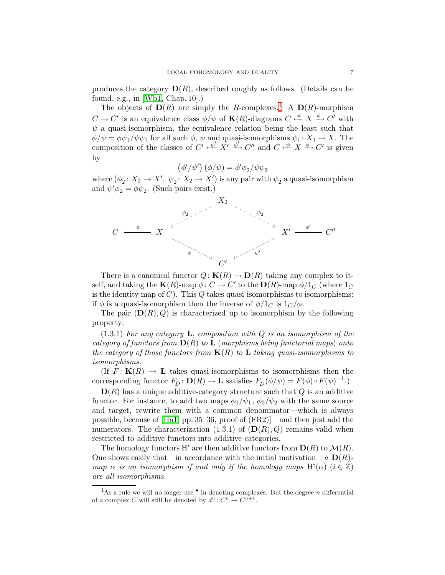produces the category  $\mathbf{D}(R)$ , described roughly as follows. (Details can be found, e.g., in [\[Wb1,](#page-50-9) Chap. 10].)

The objects of  $\mathbf{D}(R)$  are simply the R-complexes.<sup>[4](#page-6-0)</sup> A  $\mathbf{D}(R)$ -morphism  $C \to C'$  is an equivalence class  $\phi/\psi$  of  $\mathbf{K}(R)$ -diagrams  $C \xleftarrow{\psi} X \xrightarrow{\phi} C'$  with  $\psi$  a quasi-isomorphism, the equivalence relation being the least such that  $\phi/\psi = \phi \psi_1/\psi \psi_1$  for all such  $\phi$ ,  $\psi$  and quasi-isomorphisms  $\psi_1: X_1 \to X$ . The composition of the classes of  $C' \xleftarrow{\psi} X' \xrightarrow{\phi} C''$  and  $C \xleftarrow{\psi} X \xrightarrow{\phi} C'$  is given by

$$
\left(\phi'/\psi'\right)\left(\phi/\psi\right)=\phi'\phi_2/\psi\psi_2
$$

where  $(\phi_2: X_2 \to X', \psi_2: X_2 \to X')$  is any pair with  $\psi_2$  a quasi-isomorphism and  $\psi' \phi_2 = \phi \psi_2$ . (Such pairs exist.)



There is a canonical functor  $Q: K(R) \to D(R)$  taking any complex to itself, and taking the  $\mathbf{K}(R)$ -map  $\phi: C \to C'$  to the  $\mathbf{D}(R)$ -map  $\phi/1_C$  (where  $1_C$ ) is the identity map of  $C$ ). This  $Q$  takes quasi-isomorphisms to isomorphisms: if  $\phi$  is a quasi-isomorphism then the inverse of  $\phi/1_C$  is  $1_C/\phi$ .

The pair  $(D(R), Q)$  is characterized up to isomorphism by the following property:

 $(1.3.1)$  For any category **L**, composition with Q is an isomorphism of the category of functors from  $\mathbf{D}(R)$  to  $\mathbf{L}$  (morphisms being functorial maps) onto the category of those functors from  $K(R)$  to L taking quasi-isomorphisms to isomorphisms.

(If  $F: K(R) \to L$  takes quasi-isomorphisms to isomorphisms then the corresponding functor  $F_D: \mathbf{D}(R) \to \mathbf{L}$  satisfies  $F_D(\phi/\psi) = F(\phi) \circ F(\psi)^{-1}$ .

 $\mathbf{D}(R)$  has a unique additive-category structure such that Q is an additive functor. For instance, to add two maps  $\phi_1/\psi_1$ ,  $\phi_2/\psi_2$  with the same source and target, rewrite them with a common denominator—which is always possible, because of [\[Ha1,](#page-50-6) pp. 35–36, proof of (FR2)]—and then just add the numerators. The characterization  $(1.3.1)$  of  $(D(R), Q)$  remains valid when restricted to additive functors into additive categories.

The homology functors  $H^i$  are then additive functors from  $D(R)$  to  $\mathcal{M}(R)$ . One shows easily that—in accordance with the initial motivation—a  $\mathbf{D}(R)$ map  $\alpha$  is an isomorphism if and only if the homology maps  $H^i(\alpha)$   $(i \in \mathbb{Z})$ are all isomorphisms.

<span id="page-6-0"></span><sup>&</sup>lt;sup>4</sup>As a rule we will no longer use  $\bullet$  in denoting complexes. But the degree-n differential of a complex C will still be denoted by  $d^n: C^n \to C^{n+1}$ .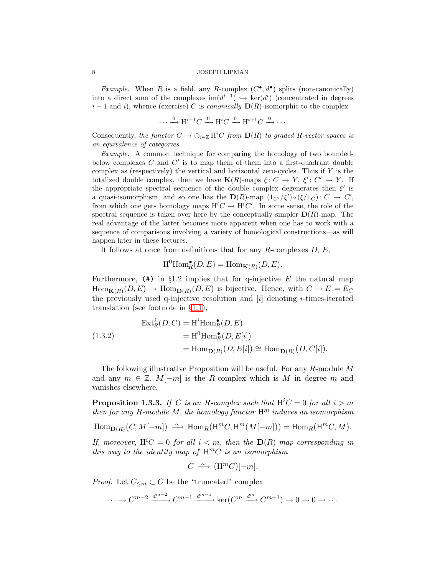*Example.* When R is a field, any R-complex  $(C^{\bullet}, d^{\bullet})$  splits (non-canonically) into a direct sum of the complexes  $\text{im}(d^{i-1}) \hookrightarrow \text{ker}(d^{i})$  (concentrated in degrees  $i-1$  and i), whence (exercise) C is canonically  $\mathbf{D}(R)$ -isomorphic to the complex

$$
\cdots \xrightarrow{0} \mathcal{H}^{i-1}C \xrightarrow{0} \mathcal{H}^iC \xrightarrow{0} \mathcal{H}^{i+1}C \xrightarrow{0} \cdots
$$

Consequently, the functor  $C \mapsto \bigoplus_{i \in \mathbb{Z}} H^iC$  from  $\mathbf{D}(R)$  to graded R-vector spaces is an equivalence of categories.

Example. A common technique for comparing the homology of two boundedbelow complexes  $C$  and  $C'$  is to map them of them into a first-quadrant double complex as (respectively) the vertical and horizontal zero-cycles. Thus if  $Y$  is the totalized double complex, then we have  $\mathbf{K}(R)$ -maps  $\xi: C \to Y, \xi': C' \to Y$ . If the appropriate spectral sequence of the double complex degenerates then  $\xi'$  is a quasi-isomorphism, and so one has the  $\mathbf{D}(R)$ -map  $(1_{C'}/\xi') \circ (\xi/1_C) : C \to C'$ , from which one gets homology maps  $H^iC \to H^iC'$ . In some sense, the role of the spectral sequence is taken over here by the conceptually simpler  $D(R)$ -map. The real advantage of the latter becomes more apparent when one has to work with a sequence of comparisons involving a variety of homological constructions—as will happen later in these lectures.

It follows at once from definitions that for any  $R$ -complexes  $D, E$ ,

$$
\mathrm{H}^0 \mathrm{Hom}_R^\bullet(D, E) = \mathrm{Hom}_{\mathbf{K}(R)}(D, E).
$$

Furthermore,  $(\#)$  in §1.2 implies that for q-injective E the natural map  $\text{Hom}_{\mathbf{K}(R)}(D, E) \to \text{Hom}_{\mathbf{D}(R)}(D, E)$  is bijective. Hence, with  $C \to E := E_C$ the previously used q-injective resolution and  $[i]$  denoting *i*-times-iterated translation (see footnote in §[1.1\)](#page-2-2),

<span id="page-7-0"></span>
$$
\begin{aligned} \text{Ext}^i_R(D, C) &= \text{H}^i \text{Hom}^{\bullet}_R(D, E) \\ &= \text{H}^0 \text{Hom}^{\bullet}_R(D, E[i]) \\ &= \text{Hom}_{\mathbf{D}(R)}(D, E[i]) \cong \text{Hom}_{\mathbf{D}(R)}(D, C[i]). \end{aligned}
$$

The following illustrative Proposition will be useful. For any R-module M and any  $m \in \mathbb{Z}$ ,  $M[-m]$  is the R-complex which is M in degree m and vanishes elsewhere.

<span id="page-7-1"></span>**Proposition 1.3.3.** If C is an R-complex such that  $H^iC = 0$  for all  $i > m$ then for any R-module M, the homology functor  $H<sup>m</sup>$  induces an isomorphism

$$
\mathrm{Hom}_{\mathbf{D}(R)}(C,M[-m]) \; \xrightarrow{\sim} \; \mathrm{Hom}_R\big(\mathrm{H}^mC,\mathrm{H}^m(M[-m])\big) = \mathrm{Hom}_R\big(\mathrm{H}^mC,M\big).
$$

If, moreover,  $H^iC = 0$  for all  $i < m$ , then the  $D(R)$ -map corresponding in this way to the identity map of  $H^mC$  is an isomorphism

$$
C \ \stackrel{\sim}{\longrightarrow} \ ({\rm H}^m C)[-m].
$$

*Proof.* Let  $C_{\leq m} \subset C$  be the "truncated" complex

 $\cdots \to C^{m-2} \xrightarrow{d^{m-2}} C^{m-1} \xrightarrow{d^{m-1}} \ker(C^m \xrightarrow{d^m} C^{m+1}) \to 0 \to 0 \to \cdots$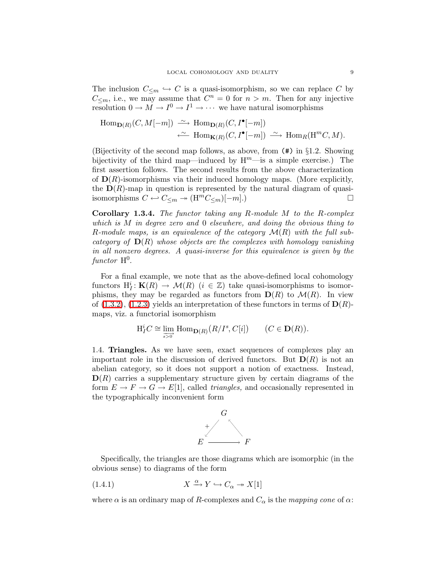The inclusion  $C_{\leq m} \hookrightarrow C$  is a quasi-isomorphism, so we can replace C by  $C_{\leq m}$ , i.e., we may assume that  $C^n = 0$  for  $n > m$ . Then for any injective resolution  $0 \to M \to I^0 \to I^1 \to \cdots$  we have natural isomorphisms

$$
\text{Hom}_{\mathbf{D}(R)}(C, M[-m]) \xrightarrow{\sim} \text{Hom}_{\mathbf{D}(R)}(C, I^{\bullet}[-m])
$$
  

$$
\xleftarrow{\sim} \text{Hom}_{\mathbf{K}(R)}(C, I^{\bullet}[-m]) \xrightarrow{\sim} \text{Hom}_{R}(\text{H}^{m}C, M).
$$

(Bijectivity of the second map follows, as above, from (#) in §1.2. Showing bijectivity of the third map—induced by  $H^m$ —is a simple exercise.) The first assertion follows. The second results from the above characterization of  $\mathbf{D}(R)$ -isomorphisms via their induced homology maps. (More explicitly, the  $\mathbf{D}(R)$ -map in question is represented by the natural diagram of quasiisomorphisms  $C \leftarrow C_{\leq m} \rightarrow (\mathcal{H}^m C_{\leq m})[-m].$ 

Corollary 1.3.4. The functor taking any R-module M to the R-complex which is M in degree zero and 0 elsewhere, and doing the obvious thing to R-module maps, is an equivalence of the category  $\mathcal{M}(R)$  with the full subcategory of  $\mathbf{D}(R)$  whose objects are the complexes with homology vanishing in all nonzero degrees. A quasi-inverse for this equivalence is given by the  $\int$ unctor  $H^0$ .

For a final example, we note that as the above-defined local cohomology functors  $H_I^i: K(R) \to \mathcal{M}(R)$   $(i \in \mathbb{Z})$  take quasi-isomorphisms to isomorphisms, they may be regarded as functors from  $\mathbf{D}(R)$  to  $\mathcal{M}(R)$ . In view of  $(1.3.2)$ ,  $(1.2.3)$  yields an interpretation of these functors in terms of  $\mathbf{D}(R)$ maps, viz. a functorial isomorphism

$$
\mathrm{H}_I^i C \cong \varinjlim_{s \to 0^+} \mathrm{Hom}_{\mathbf{D}(R)}(R/I^s, C[i]) \qquad (C \in \mathbf{D}(R)).
$$

<span id="page-8-0"></span>1.4. Triangles. As we have seen, exact sequences of complexes play an important role in the discussion of derived functors. But  $\mathbf{D}(R)$  is not an abelian category, so it does not support a notion of exactness. Instead,  $\mathbf{D}(R)$  carries a supplementary structure given by certain diagrams of the form  $E \to F \to G \to E[1]$ , called *triangles*, and occasionally represented in the typographically inconvenient form



Specifically, the triangles are those diagrams which are isomorphic (in the obvious sense) to diagrams of the form

(1.4.1) 
$$
X \xrightarrow{\alpha} Y \hookrightarrow C_{\alpha} \twoheadrightarrow X[1]
$$

where  $\alpha$  is an ordinary map of R-complexes and  $C_{\alpha}$  is the mapping cone of  $\alpha$ :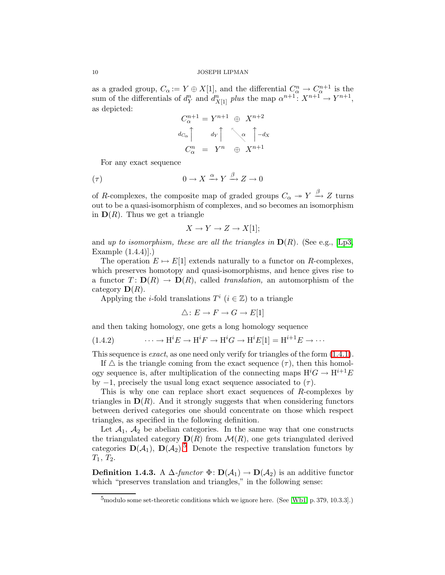as a graded group,  $C_{\alpha} := Y \oplus X[1]$ , and the differential  $C_{\alpha}^{n} \to C_{\alpha}^{n+1}$  is the sum of the differentials of  $d_Y^n$  and  $d_{X[1]}^n$  plus the map  $\alpha^{n+1} \colon X^{n+1} \to Y^{n+1}$ , as depicted:

$$
C_{\alpha}^{n+1} = Y^{n+1} \oplus X^{n+2}
$$

$$
d_{C_{\alpha}} \uparrow d_{Y} \uparrow \sim \alpha \uparrow -d_{X}
$$

$$
C_{\alpha}^{n} = Y^{n} \oplus X^{n+1}
$$

<span id="page-9-0"></span>For any exact sequence

$$
(\tau) \qquad \qquad 0 \to X \xrightarrow{\alpha} Y \xrightarrow{\beta} Z \to 0
$$

of R-complexes, the composite map of graded groups  $C_{\alpha} \rightarrow Y \stackrel{\beta}{\rightarrow} Z$  turns out to be a quasi-isomorphism of complexes, and so becomes an isomorphism in  $\mathbf{D}(R)$ . Thus we get a triangle

$$
X \to Y \to Z \to X[1];
$$

and up to isomorphism, these are all the triangles in  $\mathbf{D}(R)$ . (See e.g., [\[Lp3,](#page-50-5) Example (1.4.4)].)

The operation  $E \mapsto E[1]$  extends naturally to a functor on R-complexes, which preserves homotopy and quasi-isomorphisms, and hence gives rise to a functor  $T: D(R) \to D(R)$ , called *translation*, an automorphism of the category  $\mathbf{D}(R)$ .

Applying the *i*-fold translations  $T^i$  ( $i \in \mathbb{Z}$ ) to a triangle

$$
\triangle: E \to F \to G \to E[1]
$$

<span id="page-9-2"></span>and then taking homology, one gets a long homology sequence

(1.4.2) 
$$
\cdots \to \mathrm{H}^i E \to \mathrm{H}^i F \to \mathrm{H}^i G \to \mathrm{H}^i E[1] = \mathrm{H}^{i+1} E \to \cdots
$$

This sequence is *exact*, as one need only verify for triangles of the form  $(1.4.1)$ .

If  $\triangle$  is the triangle coming from the exact sequence  $(\tau)$ , then this homology sequence is, after multiplication of the connecting maps  $H^iG \to H^{i+1}E$ by  $-1$ , precisely the usual long exact sequence associated to  $(\tau)$ .

This is why one can replace short exact sequences of R-complexes by triangles in  $\mathbf{D}(R)$ . And it strongly suggests that when considering functors between derived categories one should concentrate on those which respect triangles, as specified in the following definition.

Let  $A_1$ ,  $A_2$  be abelian categories. In the same way that one constructs the triangulated category  $\mathbf{D}(R)$  from  $\mathcal{M}(R)$ , one gets triangulated derived categories  $\mathbf{D}(\mathcal{A}_1)$ ,  $\mathbf{D}(\mathcal{A}_2)$ .<sup>[5](#page-9-1)</sup> Denote the respective translation functors by  $T_1, T_2.$ 

<span id="page-9-3"></span><span id="page-9-1"></span>**Definition 1.4.3.** A  $\Delta$ -functor  $\Phi$ :  $D(\mathcal{A}_1) \rightarrow D(\mathcal{A}_2)$  is an additive functor which "preserves translation and triangles," in the following sense:

<sup>5</sup>modulo some set-theoretic conditions which we ignore here. (See [\[Wb1,](#page-50-9) p. 379, 10.3.3].)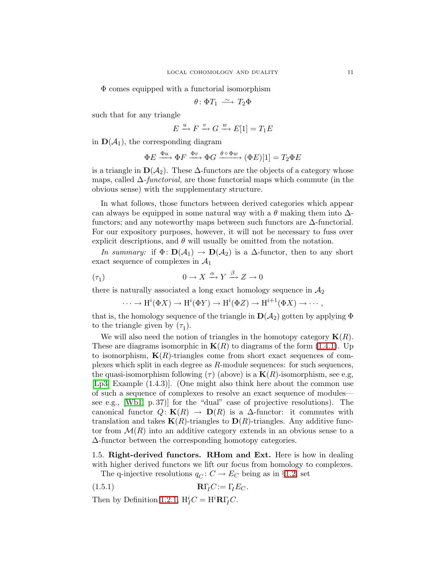Φ comes equipped with a functorial isomorphism

$$
\theta\colon \Phi T_1 \stackrel{\sim}{\longrightarrow} T_2\Phi
$$

such that for any triangle

$$
E \xrightarrow{u} F \xrightarrow{v} G \xrightarrow{w} E[1] = T_1 E
$$

in  $\mathbf{D}(\mathcal{A}_1)$ , the corresponding diagram

$$
\Phi E \xrightarrow{\Phi u} \Phi F \xrightarrow{\Phi v} \Phi G \xrightarrow{\theta \circ \Phi w} (\Phi E)[1] = T_2 \Phi E
$$

is a triangle in  $\mathbf{D}(\mathcal{A}_2)$ . These  $\Delta$ -functors are the objects of a category whose maps, called  $\Delta$ -functorial, are those functorial maps which commute (in the obvious sense) with the supplementary structure.

In what follows, those functors between derived categories which appear can always be equipped in some natural way with a  $\theta$  making them into  $\Delta$ functors; and any noteworthy maps between such functors are ∆-functorial. For our expository purposes, however, it will not be necessary to fuss over explicit descriptions, and  $\theta$  will usually be omitted from the notation.

In summary: if  $\Phi: D(\mathcal{A}_1) \to D(\mathcal{A}_2)$  is a  $\Delta$ -functor, then to any short exact sequence of complexes in  $\mathcal{A}_1$ 

$$
(\tau_1) \qquad \qquad 0 \to X \xrightarrow{\alpha} Y \xrightarrow{\beta} Z \to 0
$$

there is naturally associated a long exact homology sequence in  $A_2$ 

$$
\cdots \to H^{i}(\Phi X) \to H^{i}(\Phi Y) \to H^{i}(\Phi Z) \to H^{i+1}(\Phi X) \to \cdots,
$$

that is, the homology sequence of the triangle in  $\mathbf{D}(\mathcal{A}_2)$  gotten by applying  $\Phi$ to the triangle given by  $(\tau_1)$ .

We will also need the notion of triangles in the homotopy category  $\mathbf{K}(R)$ . These are diagrams isomorphic in  $K(R)$  to diagrams of the form [\(1.4.1\)](#page-9-0). Up to isomorphism,  $K(R)$ -triangles come from short exact sequences of complexes which split in each degree as R-module sequences: for such sequences, the quasi-isomorphism following (τ) (above) is a  $\mathbf{K}(R)$ -isomorphism, see e.g, [\[Lp3,](#page-50-5) Example (1.4.3)]. (One might also think here about the common use of such a sequence of complexes to resolve an exact sequence of modules see e.g., [\[Wb1,](#page-50-9) p. 37)] for the "dual" case of projective resolutions). The canonical functor  $Q:$  **K**(R)  $\rightarrow$  **D**(R) is a  $\Delta$ -functor: it commutes with translation and takes  $K(R)$ -triangles to  $D(R)$ -triangles. Any additive functor from  $\mathcal{M}(R)$  into an additive category extends in an obvious sense to a ∆-functor between the corresponding homotopy categories.

<span id="page-10-0"></span>1.5. Right-derived functors. RHom and Ext. Here is how in dealing with higher derived functors we lift our focus from homology to complexes.

<span id="page-10-1"></span>The q-injective resolutions  $q_C: C \to E_C$  being as in §[1.2,](#page-4-2) set

$$
\mathbf{R}\Gamma_{I}C:=\Gamma_{I}E_{C}.
$$

Then by Definition [1.2.1,](#page-5-1)  $H^i_I C = H^i \mathbf{R} \Gamma_I C$ .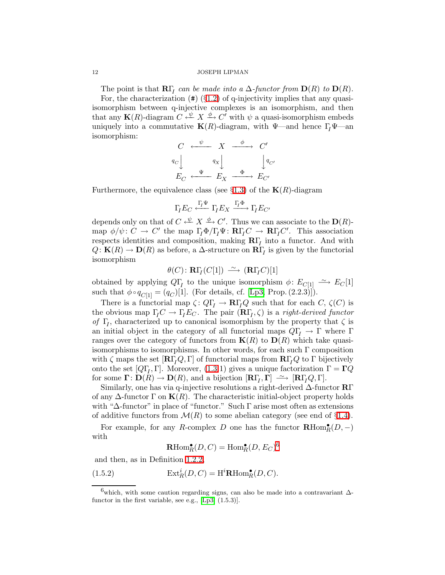The point is that  $\mathbf{R}\Gamma$ <sub>I</sub> can be made into a  $\Delta$ -functor from  $\mathbf{D}(R)$  to  $\mathbf{D}(R)$ . For, the characterization  $(\#)$  (§[1.2\)](#page-4-2) of q-injectivity implies that any quasiisomorphism between q-injective complexes is an isomorphism, and then that any  $\mathbf{K}(R)$ -diagram  $C \xleftarrow{\psi} X \xrightarrow{\phi} C'$  with  $\psi$  a quasi-isomorphism embeds uniquely into a commutative  $\mathbf{K}(R)$ -diagram, with  $\Psi$ —and hence  $\Gamma_I \Psi$ —an isomorphism:

$$
\begin{array}{ccc}\nC & \xleftarrow{\psi} & X & \xrightarrow{\phi} & C' \\
q_C \downarrow & & q_X \downarrow & & q_C' \\
E_C & \xleftarrow{\Psi} & E_X & \xrightarrow{\Phi} & E_{C'}\n\end{array}
$$

Furthermore, the equivalence class (see  $\S1.3$ ) of the **K** $(R)$ -diagram

$$
\Gamma_I E_C \xleftarrow{\Gamma_I \Psi} \Gamma_I E_X \xrightarrow{\Gamma_I \Phi} \Gamma_I E_{C'}
$$

depends only on that of  $C \xleftarrow{\psi} X \xrightarrow{\phi} C'$ . Thus we can associate to the  $\mathbf{D}(R)$ map  $\phi/\psi: C \to C'$  the map  $\Gamma_I \Phi / \Gamma_I \Psi: \mathbf{R} \Gamma_I C \to \mathbf{R} \Gamma_I C'$ . This association respects identities and composition, making  $\mathbf{R}\Gamma_I$  into a functor. And with  $Q:$  **K**(R)  $\to$  **D**(R) as before, a  $\Delta$ -structure on  $\mathbb{R}\Gamma$ <sub>I</sub> is given by the functorial isomorphism

$$
\theta(C) \colon \mathbf{R}\Gamma_I(C[1]) \,\, \xrightarrow{\,\,\sim\,\,} \, (\mathbf{R}\Gamma_I C)[1]
$$

obtained by applying  $Q\Gamma$ <sub>I</sub> to the unique isomorphism  $\phi: E_{C[1]} \longrightarrow E_{C}[1]$ such that  $\phi \circ q_{C[1]} = (q_C)[1]$ . (For details, cf. [\[Lp3,](#page-50-5) Prop. (2.2.3)]).

There is a functorial map  $\zeta: Q\Gamma_I \to \mathbf{R}\Gamma_I Q$  such that for each  $C, \zeta(C)$  is the obvious map  $\Gamma_I C \to \Gamma_I E_C$ . The pair  $(\mathbf{R}\Gamma_I, \zeta)$  is a *right-derived functor* of  $\Gamma_I$ , characterized up to canonical isomorphism by the property that  $\zeta$  is an initial object in the category of all functorial maps  $Q\Gamma$ <sub>I</sub>  $\rightarrow \Gamma$  where Γ ranges over the category of functors from  $K(R)$  to  $D(R)$  which take quasiisomorphisms to isomorphisms. In other words, for each such  $\Gamma$  composition with  $\zeta$  maps the set  $[\mathbf{R}\Gamma_{I}Q,\Gamma]$  of functorial maps from  $\mathbf{R}\Gamma_{I}Q$  to  $\Gamma$  bijectively onto the set  $[Q\Gamma_I, \Gamma]$ . Moreover, [\(1.3.](#page-5-2)1) gives a unique factorization  $\Gamma = \Gamma Q$ for some  $\Gamma: D(R) \to D(R)$ , and a bijection  $[\mathbf{R}\Gamma_I, \Gamma] \longrightarrow [\mathbf{R}\Gamma_I Q, \Gamma].$ 

Similarly, one has via q-injective resolutions a right-derived  $\Delta$ -functor  $\mathbb{R}\Gamma$ of any  $\Delta$ -functor  $\Gamma$  on  $\mathbf{K}(R)$ . The characteristic initial-object property holds with "∆-functor" in place of "functor." Such Γ arise most often as extensions of additive functors from  $\mathcal{M}(R)$  to some abelian category (see end of §[1.4\)](#page-8-0).

For example, for any R-complex D one has the functor  $\mathbf{R}\text{Hom}_{R}^{\bullet}(D, -)$ with

$$
\operatorname{\mathbf{R}Hom}^\bullet_R(D,C)=\operatorname{Hom}^\bullet_R(D,E_C)^6
$$

<span id="page-11-1"></span>and then, as in Definition [1.2.2,](#page-5-3)

(1.5.2) 
$$
\operatorname{Ext}^i_R(D, C) = \operatorname{H}^i \mathbf{R} \operatorname{Hom}^{\bullet}_R(D, C).
$$

<span id="page-11-0"></span> $^{6}$ which, with some caution regarding signs, can also be made into a contravariant  $\Delta$ -functor in the first variable, see e.g., [\[Lp3,](#page-50-5)  $(1.5.3)$ ].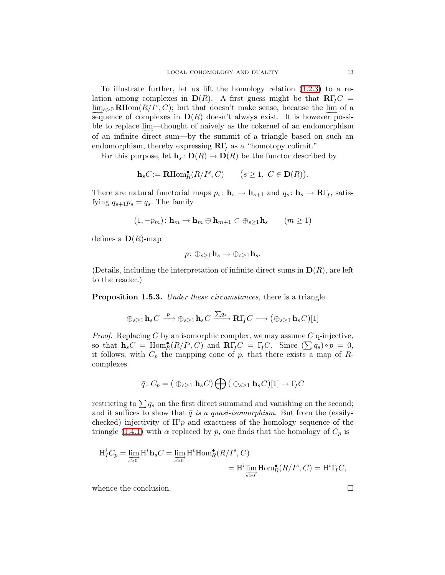To illustrate further, let us lift the homology relation [\(1.2.3\)](#page-5-0) to a relation among complexes in  $\mathbf{D}(R)$ . A first guess might be that  $\mathbf{R}\Gamma_I C =$  $\underline{\lim}_{s>0}$  RHom $(R/I^s, C)$ ; but that doesn't make sense, because the  $\underline{\lim}_{s\to 0}$  of a sequence of complexes in  $\mathbf{D}(R)$  doesn't always exist. It is however possible to replace lim—thought of naively as the cokernel of an endomorphism of an infinite direct sum—by the summit of a triangle based on such an endomorphism, thereby expressing  $\mathbb{R}\Gamma$ <sub>I</sub> as a "homotopy colimit."

For this purpose, let  $\mathbf{h}_s: \mathbf{D}(R) \to \mathbf{D}(R)$  be the functor described by

$$
\mathbf{h}_s C := \mathbf{R} \mathrm{Hom}^{\bullet}_R(R/I^s, C) \qquad (s \ge 1, \ C \in \mathbf{D}(R)).
$$

There are natural functorial maps  $p_s: \mathbf{h}_s \to \mathbf{h}_{s+1}$  and  $q_s: \mathbf{h}_s \to \mathbf{R}\Gamma_I$ , satisfying  $q_{s+1}p_s = q_s$ . The family

$$
(1,-p_m): \mathbf{h}_m \to \mathbf{h}_m \oplus \mathbf{h}_{m+1} \subset \oplus_{s \geq 1} \mathbf{h}_s \qquad (m \geq 1)
$$

defines a  $\mathbf{D}(R)$ -map

$$
p\colon \oplus_{s\geq 1}\mathbf{h}_s\to \oplus_{s\geq 1}\mathbf{h}_s.
$$

(Details, including the interpretation of infinite direct sums in  $\mathbf{D}(R)$ , are left to the reader.)

**Proposition 1.5.3.** Under these circumstances, there is a triangle

$$
\oplus_{s\geq 1} \mathbf{h}_s C \xrightarrow{p} \oplus_{s\geq 1} \mathbf{h}_s C \xrightarrow{\sum q_s} \mathbf{R} \Gamma_I C \longrightarrow (\oplus_{s\geq 1} \mathbf{h}_s C)[1]
$$

*Proof.* Replacing C by an isomorphic complex, we may assume C q-injective, so that  $\mathbf{h}_s C = \text{Hom}_R^{\bullet}(R/I^s, C)$  and  $\mathbf{R}\Gamma_I C = \Gamma_I C$ . Since  $(\sum q_s) \circ p = 0$ , it follows, with  $C_p$  the mapping cone of p, that there exists a map of Rcomplexes

$$
\bar{q}\colon C_p = (\bigoplus_{s\geq 1} \mathbf{h}_s C) \bigoplus (\bigoplus_{s\geq 1} \mathbf{h}_s C)[1] \to \Gamma_I C
$$

restricting to  $\sum q_s$  on the first direct summand and vanishing on the second; and it suffices to show that  $\bar{q}$  is a quasi-isomorphism. But from the (easilychecked) injectivity of  $H<sup>i</sup>p$  and exactness of the homology sequence of the triangle [\(1.4.1\)](#page-9-0) with  $\alpha$  replaced by p, one finds that the homology of  $C_p$  is

$$
H_I^i C_p = \lim_{s>0} H^i \mathbf{h}_s C = \lim_{s>0} H^i \text{Hom}_R^{\bullet}(R/I^s, C)
$$
  
=  $H^i \lim_{s>0} \text{Hom}_R^{\bullet}(R/I^s, C) = H^i \Gamma_I C,$ 

whence the conclusion.  $\Box$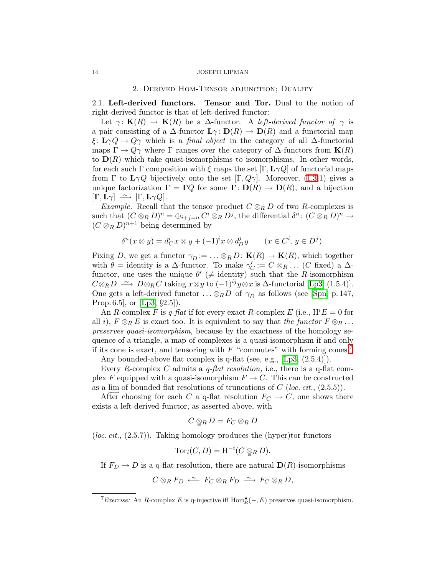## 2. Derived Hom-Tensor adjunction; Duality

<span id="page-13-2"></span><span id="page-13-0"></span>2.1. Left-derived functors. Tensor and Tor. Dual to the notion of right-derived functor is that of left-derived functor:

Let  $\gamma: K(R) \to K(R)$  be a  $\Delta$ -functor. A left-derived functor of  $\gamma$  is a pair consisting of a  $\Delta$ -functor  $\mathbf{L}\gamma: \mathbf{D}(R) \to \mathbf{D}(R)$  and a functorial map  $\xi: \mathbf{L}\gamma Q \to Q\gamma$  which is a *final object* in the category of all  $\Delta$ -functorial maps  $\Gamma \to Q\gamma$  where  $\Gamma$  ranges over the category of  $\Delta$ -functors from  $\mathbf{K}(R)$ to  $\mathbf{D}(R)$  which take quasi-isomorphisms to isomorphisms. In other words, for each such Γ composition with  $\xi$  maps the set  $[\Gamma, L\gamma Q]$  of functorial maps from  $\Gamma$  to  $\mathbf{L}\gamma Q$  bijectively onto the set  $[\Gamma, Q\gamma]$ . Moreover, [\(1.3.](#page-5-2)1) gives a unique factorization  $\Gamma = \Gamma Q$  for some  $\Gamma : D(R) \to D(R)$ , and a bijection  $[\mathbf{\Gamma}, \mathbf{L}\gamma] \stackrel{\sim}{\longrightarrow} [\Gamma, \mathbf{L}\gamma Q].$ 

*Example.* Recall that the tensor product  $C \otimes_R D$  of two R-complexes is such that  $(C \otimes_R D)^n = \bigoplus_{i+j=n} C^i \otimes_R D^j$ , the differential  $\delta^n : (C \otimes_R D)^n \to$  $(C \otimes_R D)^{n+1}$  being determined by

$$
\delta^{n}(x \otimes y) = d_{C}^{i} x \otimes y + (-1)^{i} x \otimes d_{D}^{j} y \qquad (x \in C^{i}, y \in D^{j}).
$$

Fixing D, we get a functor  $\gamma_D := \dots \otimes_R D : \mathbf{K}(R) \to \mathbf{K}(R)$ , which together with  $\theta =$  identity is a  $\Delta$ -functor. To make  $\gamma'_C := C \otimes_R \ldots (C \text{ fixed})$  a  $\Delta$ functor, one uses the unique  $\theta' \neq \text{identity}$  such that the *R*-isomorphism  $C \otimes_R D \longrightarrow D \otimes_R C$  taking  $x \otimes y$  to  $(-1)^{ij}y \otimes x$  is  $\Delta$ -functorial [\[Lp3,](#page-50-5) (1.5.4)]. One gets a left-derived functor ...  $\otimes_R D$  of  $\gamma_D$  as follows (see [\[Spn,](#page-50-4) p. 147, Prop. 6.5, or  $[Lp3, §2.5]$ .

An R-complex F is q-flat if for every exact R-complex E (i.e.,  $H^iE = 0$  for all i),  $F \otimes_R E$  is exact too. It is equivalent to say that the functor  $F \otimes_R \ldots$ preserves quasi-isomorphism, because by the exactness of the homology sequence of a triangle, a map of complexes is a quasi-isomorphism if and only if its cone is exact, and tensoring with  $F$  "commutes" with forming cones.<sup>[7](#page-13-1)</sup>

Any bounded-above flat complex is q-flat (see, e.g., [\[Lp3,](#page-50-5) (2.5.4)]).

Every R-complex C admits a *q-flat resolution*, i.e., there is a q-flat complex F equipped with a quasi-isomorphism  $F \to C$ . This can be constructed as a lim of bounded flat resolutions of truncations of  $C$  (loc. cit., (2.5.5)).

After choosing for each C a q-flat resolution  $F_C \to C$ , one shows there exists a left-derived functor, as asserted above, with

$$
C\mathop{\otimes}_R D=F_C\mathop{\otimes}_R D
$$

(*loc. cit.*,  $(2.5.7)$ ). Taking homology produces the (hyper)tor functors

$$
\operatorname{Tor}_i(C, D) = \operatorname{H}^{-i}(C \underset{\cong}{\otimes}_R D).
$$

If  $F_D \to D$  is a q-flat resolution, there are natural  $\mathbf{D}(R)$ -isomorphisms

$$
C\otimes_R F_D \stackrel{\sim}{\longleftarrow} F_C\otimes_R F_D \stackrel{\sim}{\longrightarrow} F_C\otimes_R D,
$$

<span id="page-13-1"></span><sup>&</sup>lt;sup>7</sup> Exercise: An R-complex E is q-injective iff  $Hom_R^{\bullet}(-, E)$  preserves quasi-isomorphism.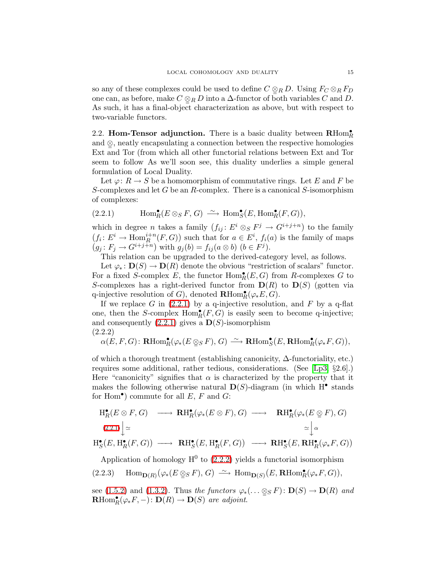so any of these complexes could be used to define  $C \otimes_R D$ . Using  $F_C \otimes_R F_D$ one can, as before, make  $C \otimes_R D$  into a  $\Delta$ -functor of both variables C and D. As such, it has a final-object characterization as above, but with respect to two-variable functors.

2.2. Hom-Tensor adjunction. There is a basic duality between  $\mathbf{R}\text{Hom}_{R}^{\bullet}$ and  $\mathcal{Q}$ , neatly encapsulating a connection between the respective homologies Ext and Tor (from which all other functorial relations between Ext and Tor seem to follow As we'll soon see, this duality underlies a simple general formulation of Local Duality.

Let  $\varphi: R \to S$  be a homomorphism of commutative rings. Let E and F be S-complexes and let G be an R-complex. There is a canonical S-isomorphism of complexes:

<span id="page-14-0"></span>(2.2.1) 
$$
\text{Hom}_R^{\bullet}(E \otimes_S F, G) \xrightarrow{\sim} \text{Hom}_S^{\bullet}(E, \text{Hom}_R^{\bullet}(F, G)),
$$

which in degree *n* takes a family  $(f_{ij}: E^i \otimes_S F^j \to G^{i+j+n})$  to the family  $(f_i: E^i \to \text{Hom}_R^{i+n}(F, G))$  such that for  $a \in E^i$ ,  $f_i(a)$  is the family of maps  $(g_j: F_j \to G^{i+j+n})$  with  $g_j(b) = f_{ij}(a \otimes b)$   $(b \in F^j)$ .

This relation can be upgraded to the derived-category level, as follows.

Let  $\varphi_* \colon \mathbf{D}(S) \to \mathbf{D}(R)$  denote the obvious "restriction of scalars" functor. For a fixed S-complex E, the functor  $\text{Hom}_R^{\bullet}(E,G)$  from R-complexes G to S-complexes has a right-derived functor from  $\mathbf{D}(R)$  to  $\mathbf{D}(S)$  (gotten via q-injective resolution of G), denoted  $\mathbf{R}\text{Hom}_{R}^{\bullet}(\varphi*E,G)$ .

<span id="page-14-1"></span>If we replace G in  $(2.2.1)$  by a q-injective resolution, and F by a q-flat one, then the S-complex  $Hom_R^{\bullet}(F, G)$  is easily seen to become q-injective; and consequently  $(2.2.1)$  gives a  $\mathbf{D}(S)$ -isomorphism (2.2.2)

$$
\alpha(E, F, G) \colon \mathbf{R}\mathrm{Hom}^{\bullet}_R(\varphi_*(E \otimes_S F), G) \xrightarrow{\sim} \mathbf{R}\mathrm{Hom}^{\bullet}_S(E, \mathbf{R}\mathrm{Hom}^{\bullet}_R(\varphi_* F, G)),
$$

of which a thorough treatment (establishing canonicity, ∆-functoriality, etc.) requires some additional, rather tedious, considerations. (See [\[Lp3,](#page-50-5) §2.6].) Here "canonicity" signifies that  $\alpha$  is characterized by the property that it makes the following otherwise natural  $\mathbf{D}(S)$ -diagram (in which H<sup>•</sup> stands for Hom<sup>•</sup>) commute for all  $E, F$  and  $G$ :

$$
\begin{array}{ccc}\n\mathrm{H}^{\bullet}_{R}(E \otimes F, G) & \longrightarrow & \mathrm{RH}^{\bullet}_{R}(\varphi_{*}(E \otimes F), G) \longrightarrow & \mathrm{RH}^{\bullet}_{R}(\varphi_{*}(E \otimes F), G) \\
\downarrow & \cong & \sim \downarrow \alpha \\
\mathrm{H}^{\bullet}_{S}(E, \mathrm{H}^{\bullet}_{R}(F, G)) & \longrightarrow & \mathrm{RH}^{\bullet}_{S}(E, \mathrm{H}^{\bullet}_{R}(F, G)) \longrightarrow & \mathrm{RH}^{\bullet}_{S}(E, \mathrm{RH}^{\bullet}_{R}(\varphi_{*}F, G))\n\end{array}
$$

Application of homology  $H^0$  to [\(2.2.2\)](#page-14-1) yields a functorial isomorphism

<span id="page-14-2"></span>
$$
(2.2.3) \quad \operatorname{Hom}\nolimits_{{\mathbf D}(R)}(\varphi_*(E \otimes_S F), G) \ \xrightarrow{\sim} \ \operatorname{Hom}\nolimits_{{\mathbf D}(S)}(E, {\mathbf R}{\text{Hom}}^{\bullet}_R(\varphi_* F, G)),
$$

see [\(1.5.2\)](#page-11-1) and [\(1.3.2\)](#page-7-0). Thus the functors  $\varphi_*(\dots \otimes_S F) : \mathbf{D}(S) \to \mathbf{D}(R)$  and  $\mathbf{R}\text{Hom}_{R}^{\bullet}(\varphi_*F,-): \mathbf{D}(R) \to \mathbf{D}(S)$  are adjoint.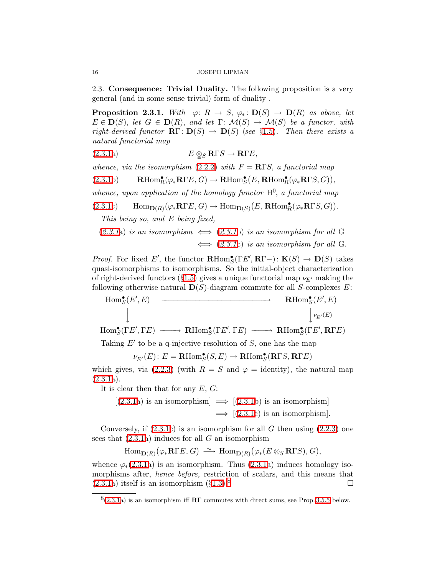<span id="page-15-1"></span>2.3. Consequence: Trivial Duality. The following proposition is a very general (and in some sense trivial) form of duality .

**Proposition 2.3.1.** With  $\varphi: R \to S$ ,  $\varphi_*: \mathbf{D}(S) \to \mathbf{D}(R)$  as above, let  $E \in \mathbf{D}(S)$ , let  $G \in \mathbf{D}(R)$ , and let  $\Gamma: \mathcal{M}(S) \to \mathcal{M}(S)$  be a functor, with right-derived functor  $\mathbb{R}\Gamma: \mathbb{D}(S) \to \mathbb{D}(S)$  (see §[1.5\)](#page-10-0). Then there exists a natural functorial map

(2.3.1a) 
$$
E \underset{\cong} {\otimes} \mathbf{R} \Gamma S \to \mathbf{R} \Gamma E,
$$

whence, via the isomorphism [\(2.2.2\)](#page-14-1) with  $F = R \Gamma S$ , a functorial map

(2.3.1b) 
$$
\mathbf{R}\text{Hom}_{R}^{\bullet}(\varphi_{*}\mathbf{R}\Gamma E, G) \to \mathbf{R}\text{Hom}_{S}^{\bullet}(E, \mathbf{R}\text{Hom}_{R}^{\bullet}(\varphi_{*}\mathbf{R}\Gamma S, G)),
$$

whence, upon application of the homology functor  $H^0$ , a functorial map

(2.3.1c) 
$$
\text{Hom}_{\mathbf{D}(R)}(\varphi_*\mathbf{R}\Gamma E, G) \to \text{Hom}_{\mathbf{D}(S)}(E, \mathbf{R}\text{Hom}_R^{\bullet}(\varphi_*\mathbf{R}\Gamma S, G)).
$$

This being so, and E being fixed,

 $(2.3.1a)$  $(2.3.1a)$  $(2.3.1a)$  is an isomorphism  $\iff$   $(2.3.1b)$  is an isomorphism for all G  $\iff$  ([2.3.1](#page-15-1)c) is an isomorphism for all G.

*Proof.* For fixed E', the functor  $\mathbf{R}\text{Hom}_{S}^{\bullet}(\Gamma E', \mathbf{R}\Gamma-)$ :  $\mathbf{K}(S) \to \mathbf{D}(S)$  takes quasi-isomorphisms to isomorphisms. So the initial-object characterization of right-derived functors (§[1.5\)](#page-10-0) gives a unique functorial map  $\nu_{E'}$  making the following otherwise natural  $\mathbf{D}(S)$ -diagram commute for all S-complexes E:

$$
\begin{array}{ccc}\n\text{Hom}_{S}^{\bullet}(E',E) & \xrightarrow{\hspace{2cm}} & \textbf{R}\text{Hom}_{S}^{\bullet}(E',E) \\
\downarrow & & \downarrow_{E'}(E) \\
\text{Hom}_{S}^{\bullet}(\Gamma E',\Gamma E) & \xrightarrow{\hspace{2cm}} & \textbf{R}\text{Hom}_{S}^{\bullet}(\Gamma E',\Gamma E) & \xrightarrow{\hspace{2cm}} & \textbf{R}\text{Hom}_{S}^{\bullet}(\Gamma E',\textbf{R}\Gamma E)\n\end{array}
$$

Taking  $E'$  to be a q-injective resolution of  $S$ , one has the map

 $\nu_{E'}(E)$ :  $E = \textbf{R} \text{Hom}_{S}^{\bullet}(S, E) \rightarrow \textbf{R} \text{Hom}_{S}^{\bullet}(\textbf{R} \Gamma S, \textbf{R} \Gamma E)$ 

which gives, via [\(2.2.3\)](#page-14-2) (with  $R = S$  and  $\varphi =$  identity), the natural map  $(2.3.1a).$  $(2.3.1a).$ 

It is clear then that for any  $E, G$ :

 $[(2.3.1a)$  $[(2.3.1a)$  $[(2.3.1a)$  is an isomorphism]  $\implies [(2.3.1b)$  $\implies [(2.3.1b)$  $\implies [(2.3.1b)$  is an isomorphism  $\implies$  [[\(2.3.1c](#page-15-1)) is an isomorphism].

Conversely, if  $(2.3.1c)$  is an isomorphism for all G then using  $(2.2.3)$  one sees that  $(2.3.1a)$  induces for all G an isomorphism

$$
\mathrm{Hom}_{\mathbf{D}(R)}(\varphi_*\mathbf{R}\Gamma E,G)\ \stackrel{\sim}{\longrightarrow}\ \mathrm{Hom}_{\mathbf{D}(R)}(\varphi_*(E\otimes_S\mathbf{R}\Gamma S),G),
$$

whence  $\varphi_*(2.3.1a)$  $\varphi_*(2.3.1a)$  $\varphi_*(2.3.1a)$  is an isomorphism. Thus  $(2.3.1a)$  induces homology isomorphisms after, hence before, restriction of scalars, and this means that  $(2.3.1a)$  $(2.3.1a)$  itself is an isomorphism  $(\S1.3)^8$  $(\S1.3)^8$  $(\S1.3)^8$  $(\S1.3)^8$ 

<span id="page-15-0"></span>

<span id="page-15-2"></span> $8(2.3.1a)$  $8(2.3.1a)$  $8(2.3.1a)$  is an isomorphism iff **R**Γ commutes with direct sums, see Prop. [3.5.5](#page-26-0) below.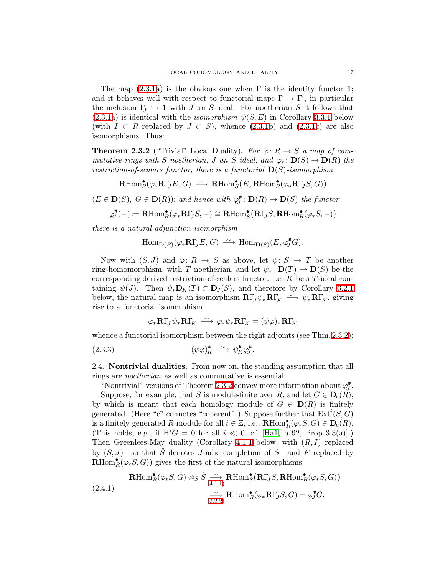The map  $(2.3.1a)$  is the obvious one when  $\Gamma$  is the identity functor 1; and it behaves well with respect to functorial maps  $\Gamma \to \Gamma'$ , in particular the inclusion  $\Gamma_J \hookrightarrow \mathbf{1}$  with J an S-ideal. For noetherian S it follows that  $(2.3.1a)$  $(2.3.1a)$  is identical with the *isomorphism*  $\psi(S, E)$  in Corollary [3.3.1](#page-21-0) below (with  $I \subset R$  replaced by  $J \subset S$ ), whence [\(2.3.1b](#page-15-1)) and [\(2.3.1c](#page-15-1)) are also isomorphisms. Thus:

<span id="page-16-0"></span>**Theorem 2.3.2** ("Trivial" Local Duality). For  $\varphi: R \to S$  a map of commutative rings with S noetherian, J an S-ideal, and  $\varphi_* : \mathbf{D}(S) \to \mathbf{D}(R)$  the restriction-of-scalars functor, there is a functorial  $\mathbf{D}(S)$ -isomorphism

 $\mathbf{R}\text{Hom}_R^{\bullet}(\varphi_*\mathbf{R}\Gamma_J E, G) \longrightarrow \mathbf{R}\text{Hom}_S^{\bullet}(E, \mathbf{R}\text{Hom}_R^{\bullet}(\varphi_*\mathbf{R}\Gamma_J S, G))$ 

 $(E \in \mathbf{D}(S), G \in \mathbf{D}(R))$ ; and hence with  $\varphi_{J}^{\#}$  $D_{J}^{\sharp}: \mathbf{D}(R) \to \mathbf{D}(S)$  the functor

$$
\varphi^{\#}_J(-) \mathbin{:=} {\mathbf{R}\text{Hom}}^{\bullet}_R(\varphi_*\mathbf{R}\Gamma_J S, -) \cong {\mathbf{R}\text{Hom}}^{\bullet}_S\big({\mathbf{R}\Gamma_{\!J}} S, {\mathbf{R}\text{Hom}}^{\bullet}_R(\varphi_* S, -)\big)
$$

there is a natural adjunction isomorphism

$$
\operatorname{Hom}\nolimits_{{\mathbf D}(R)}(\varphi_*\mathbf{R}\Gamma_{\!J}E,G)\ \stackrel{\sim}{\longrightarrow}\ \operatorname{Hom}\nolimits_{{\mathbf D}(S)}(E,\varphi_J^{\#}G).
$$

Now with  $(S, J)$  and  $\varphi: R \to S$  as above, let  $\psi: S \to T$  be another ring-homomorphism, with T noetherian, and let  $\psi_* : D(T) \to D(S)$  be the corresponding derived restriction-of-scalars functor. Let  $K$  be a  $T$ -ideal containing  $\psi(J)$ . Then  $\psi_*\mathbf{D}_K(T) \subset \mathbf{D}_J(S)$ , and therefore by Corollary [3.2.1](#page-20-0) below, the natural map is an isomorphism  $\mathbf{R}\Gamma_J\psi_*\mathbf{R}\Gamma_K \xrightarrow{\sim} \psi_*\mathbf{R}\Gamma_K$ , giving rise to a functorial isomorphism

<span id="page-16-2"></span>
$$
\varphi_*\mathbf{R}\Gamma_J\psi_*\mathbf{R}\Gamma_K \ \stackrel{\sim}{\longrightarrow}\ \varphi_*\psi_*\mathbf{R}\Gamma_K=(\psi\varphi)_*\mathbf{R}\Gamma_K
$$

whence a functorial isomorphism between the right adjoints (see Thm. [2.3.2\)](#page-16-0):

(2.3.3) 
$$
(\psi \varphi)_K^{\sharp} \xrightarrow{\sim} \psi_K^{\sharp} \varphi_J^{\sharp}.
$$

<span id="page-16-1"></span>2.4. Nontrivial dualities. From now on, the standing assumption that all rings are noetherian as well as commutative is essential.

"Nontrivial" versions of Theorem [2.3.2](#page-16-0) convey more information about  $\varphi_l^*$  $\mathcal{E}^{\#}_{J}.$ Suppose, for example, that S is module-finite over R, and let  $G \in \mathbf{D}_{c}(R)$ , by which is meant that each homology module of  $G \in D(R)$  is finitely generated. (Here "c" connotes "coherent".) Suppose further that  $\text{Ext}^i(S, G)$ is a finitely-generated R-module for all  $i \in \mathbb{Z}$ , i.e.,  $\mathbf{R}\text{Hom}_R^{\bullet}(\varphi_*S, G) \in \mathbf{D}_c(R)$ . (This holds, e.g., if  $H<sup>i</sup>G = 0$  for all  $i \ll 0$ , cf. [\[Ha1,](#page-50-6) p. 92, Prop. 3.3(a)].) Then Greenlees-May duality (Corollary [4.1.1](#page-29-0) below, with  $(R, I)$  replaced by  $(S, J)$ —so that  $\hat{S}$  denotes J-adic completion of S—and F replaced by **RHom** $_R^{\bullet}(\varphi_*S, G)$  gives the first of the natural isomorphisms

<span id="page-16-3"></span>(2.4.1)  
\n
$$
\mathbf{R}\text{Hom}_{R}^{\bullet}(\varphi_{*}S, G) \otimes_{S} \hat{S} \xrightarrow[4.1.1]{\sim} \mathbf{R}\text{Hom}_{S}^{\bullet}(\mathbf{R}\Gamma_{J}S, \mathbf{R}\text{Hom}_{R}^{\bullet}(\varphi_{*}S, G))
$$
\n
$$
\xrightarrow[2.2.2]{\sim} \mathbf{R}\text{Hom}_{R}^{\bullet}(\varphi_{*}\mathbf{R}\Gamma_{J}S, G) = \varphi_{J}^{\sharp}G.
$$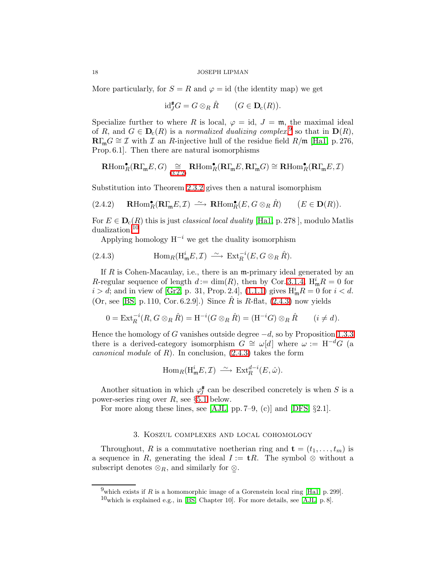More particularly, for  $S = R$  and  $\varphi = id$  (the identity map) we get

$$
\mathrm{id}_J^{\#}G = G \otimes_R \hat{R} \qquad (G \in \mathbf{D}_c(R)).
$$

Specialize further to where R is local,  $\varphi = id$ ,  $J = \mathfrak{m}$ , the maximal ideal of R, and  $G \in \mathbf{D}_{\mathcal{C}}(R)$  is a normalized dualizing complex,<sup>[9](#page-17-1)</sup> so that in  $\mathbf{D}(R)$ ,  $\mathbf{R}\Gamma_{\mathfrak{m}}G \cong \mathcal{I}$  with  $\mathcal{I}$  an R-injective hull of the residue field  $R/\mathfrak{m}$  [\[Ha1,](#page-50-6) p. 276, Prop. 6.1]. Then there are natural isomorphisms

$$
\operatorname{\mathbf{R}Hom}^\bullet_R(\mathbf{R}\Gamma_{\!\mathfrak{m}} E,G)\underset{(3.2.2)}{\cong}\operatorname{\mathbf{R}Hom}^\bullet_R(\mathbf{R}\Gamma_{\!\mathfrak{m}} E,\mathbf{R}\Gamma_{\!\mathfrak{m}} G)\cong\operatorname{\mathbf{R}Hom}^\bullet_R(\mathbf{R}\Gamma_{\!\mathfrak{m}} E,\mathcal{I})
$$

<span id="page-17-4"></span>Substitution into Theorem [2.3.2](#page-16-0) gives then a natural isomorphism

$$
(2.4.2) \qquad \mathbf{R}\text{Hom}_{R}^{\bullet}(\mathbf{R}\Gamma_{\mathfrak{m}}E,\mathcal{I}) \ \stackrel{\sim}{\longrightarrow} \ \mathbf{R}\text{Hom}_{R}^{\bullet}(E,G\otimes_{R}\hat{R}) \qquad (E\in \mathbf{D}(R)).
$$

For  $E \in \mathbf{D}_{c}(R)$  this is just *classical local duality* [\[Ha1,](#page-50-6) p. 278], modulo Matlis dualization.[10](#page-17-2)

<span id="page-17-3"></span>Applying homology  $H^{-i}$  we get the duality isomorphism

(2.4.3) 
$$
\text{Hom}_{R}(\text{H}^{i}_{\mathfrak{m}}E, \mathcal{I}) \stackrel{\sim}{\longrightarrow} \text{Ext}_{R}^{-i}(E, G \otimes_{R} \hat{R}).
$$

If  $R$  is Cohen-Macaulay, i.e., there is an  $m$ -primary ideal generated by an R-regular sequence of length  $d := \dim(R)$ , then by Cor. [3.1.4,](#page-19-0)  $H_m^i R = 0$  for  $i > d$ ; and in view of [\[Gr2,](#page-50-0) p. 31, Prop. 2.4], [\(1.1.1\)](#page-3-0) gives  $H_m^i R = 0$  for  $i < d$ .  $(Or, see [BS, p. 110, Cor. 6.2.9].)$  $(Or, see [BS, p. 110, Cor. 6.2.9].)$  $(Or, see [BS, p. 110, Cor. 6.2.9].)$  Since R is R-flat,  $(2.4.3)$  now yields

$$
0 = \operatorname{Ext}^{-i}_R(R, G \otimes_R \hat{R}) = \operatorname{H}^{-i}(G \otimes_R \hat{R}) = (\operatorname{H}^{-i}G) \otimes_R \hat{R} \qquad (i \neq d).
$$

Hence the homology of G vanishes outside degree  $-d$ , so by Proposition [1.3.3](#page-7-1) there is a derived-category isomorphism  $G \cong \omega[d]$  where  $\omega := H^{-d}G$  (a canonical module of R). In conclusion,  $(2.4.3)$  takes the form

$$
\operatorname{Hom}_R(\operatorname{H}^i_{\mathfrak m} E,\mathcal I)\ \xrightarrow{\sim}\ \operatorname{Ext}^{d-i}_R(E,\hat\omega).
$$

Another situation in which  $\varphi_I^{\#}$  $S_J^{\#}$  can be described concretely is when S is a power-series ring over  $R$ , see §[5.1](#page-33-1) below.

For more along these lines, see [\[AJL,](#page-49-6) pp. 7–9, (c)] and [\[DFS,](#page-49-2)  $\S 2.1$ ].

## 3. Koszul complexes and local cohomology

<span id="page-17-0"></span>Throughout, R is a commutative noetherian ring and  $\mathbf{t} = (t_1, \ldots, t_m)$  is a sequence in R, generating the ideal  $I := \mathbf{t}R$ . The symbol ⊗ without a subscript denotes  $\otimes_R$ , and similarly for  $\mathcal{Q}$ .

<span id="page-17-1"></span><sup>&</sup>lt;sup>9</sup>which exists if R is a homomorphic image of a Gorenstein local ring [\[Ha1,](#page-50-6) p. 299].

<span id="page-17-2"></span> $10$ which is explained e.g., in [\[BS,](#page-49-1) Chapter 10]. For more details, see [\[AJL,](#page-49-6) p. 8].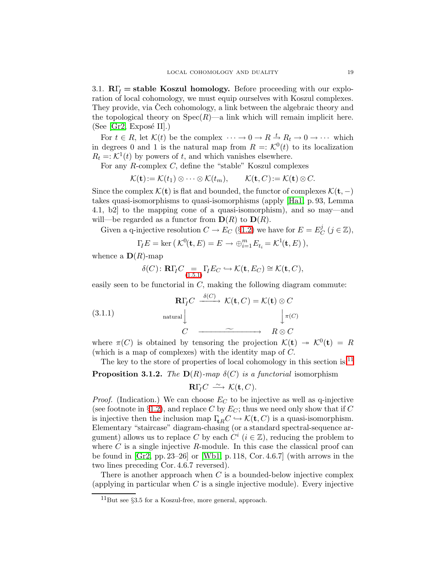<span id="page-18-3"></span>3.1.  $R\Gamma$ <sub>I</sub> = stable Koszul homology. Before proceeding with our exploration of local cohomology, we must equip ourselves with Koszul complexes. They provide, via Cech cohomology, a link between the algebraic theory and the topological theory on  $Spec(R)$ —a link which will remain implicit here.  $(See [Gr2, Expose II].)$  $(See [Gr2, Expose II].)$  $(See [Gr2, Expose II].)$ 

For  $t \in R$ , let  $\mathcal{K}(t)$  be the complex  $\cdots \to 0 \to R \stackrel{t}{\to} R_t \to 0 \to \cdots$  which in degrees 0 and 1 is the natural map from  $R = K^0(t)$  to its localization  $R_t = \mathcal{K}^1(t)$  by powers of t, and which vanishes elsewhere.

For any R-complex C, define the "stable" Koszul complexes

 $\mathcal{K}(\mathbf{t}):=\mathcal{K}(t_1)\otimes\cdots\otimes\mathcal{K}(t_m),\qquad \mathcal{K}(\mathbf{t},C):=\mathcal{K}(\mathbf{t})\otimes C.$ 

Since the complex  $\mathcal{K}(\mathbf{t})$  is flat and bounded, the functor of complexes  $\mathcal{K}(\mathbf{t}, -)$ takes quasi-isomorphisms to quasi-isomorphisms (apply [\[Ha1,](#page-50-6) p. 93, Lemma 4.1, b2] to the mapping cone of a quasi-isomorphism), and so may—and will—be regarded as a functor from  $\mathbf{D}(R)$  to  $\mathbf{D}(R)$ .

Given a q-injective resolution  $C \to E_C$  (§[1.2\)](#page-4-2) we have for  $E = E_C^j$  $_{C}^{j}$   $(j \in \mathbb{Z}),$ 

$$
\Gamma_{I}E = \ker (\mathcal{K}^{0}(\mathbf{t}, E) = E \rightarrow \bigoplus_{i=1}^{m} E_{t_{i}} = \mathcal{K}^{1}(\mathbf{t}, E)),
$$

whence a  $\mathbf{D}(R)$ -map

$$
\delta(C) \colon \mathbf{R}\Gamma_I C \underset{(1.5.1)}{=} \Gamma_I E_C \hookrightarrow \mathcal{K}(\mathbf{t}, E_C) \cong \mathcal{K}(\mathbf{t}, C),
$$

easily seen to be functorial in  $C$ , making the following diagram commute:

<span id="page-18-2"></span>(3.1.1) 
$$
\mathbf{R}\Gamma_{I}C \xrightarrow{\delta(C)} \mathcal{K}(\mathbf{t}, C) = \mathcal{K}(\mathbf{t}) \otimes C
$$

$$
\downarrow \pi(C)
$$

$$
C \xrightarrow{\sim} R \otimes C
$$

where  $\pi(C)$  is obtained by tensoring the projection  $\mathcal{K}(\mathbf{t}) \to \mathcal{K}^0(\mathbf{t}) = R$ (which is a map of complexes) with the identity map of C.

The key to the store of properties of local cohomology in this section is: $^{11}$  $^{11}$  $^{11}$ 

<span id="page-18-1"></span>**Proposition 3.1.2.** The  $D(R)$ -map  $\delta(C)$  is a functorial isomorphism

$$
\mathbf{R}\Gamma_{\!\!I}C\;\stackrel{\sim}{\longrightarrow}\;{\cal K}({\bf t},C).
$$

*Proof.* (Indication.) We can choose  $E_C$  to be injective as well as q-injective (see footnote in §[1.2\)](#page-4-2), and replace C by  $E_C$ ; thus we need only show that if C is injective then the inclusion map  $\Gamma_{\text{tR}}C \hookrightarrow \mathcal{K}(\text{t}, C)$  is a quasi-isomorphism. Elementary "staircase" diagram-chasing (or a standard spectral-sequence argument) allows us to replace C by each  $C^i$   $(i \in \mathbb{Z})$ , reducing the problem to where  $C$  is a single injective  $R$ -module. In this case the classical proof can be found in  $\left[\text{Gr2, pp. 23–26}\right]$  or  $\left[\text{Wb1, p. 118, Cor. 4.6.7}\right]$  (with arrows in the two lines preceding Cor. 4.6.7 reversed).

<span id="page-18-0"></span>There is another approach when  $C$  is a bounded-below injective complex (applying in particular when  $C$  is a single injective module). Every injective

<sup>11</sup>But see §3.5 for a Koszul-free, more general, approach.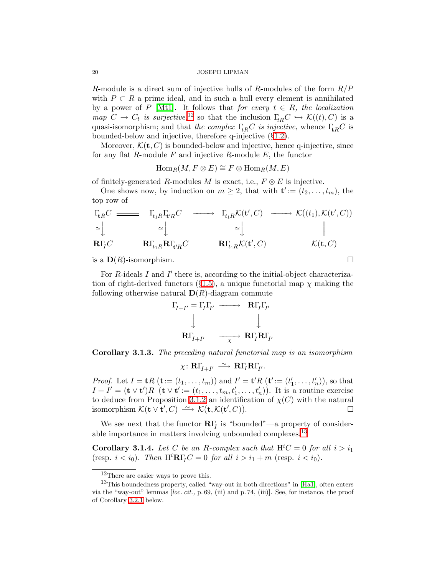R-module is a direct sum of injective hulls of R-modules of the form  $R/P$ with  $P \subset R$  a prime ideal, and in such a hull every element is annihilated by a power of P [\[Mt1\]](#page-50-10). It follows that for every  $t \in R$ , the localization map  $C \to C_t$  is surjective,<sup>[12](#page-19-1)</sup> so that the inclusion  $\Gamma_{tR} C \hookrightarrow \mathcal{K}((t), C)$  is a quasi-isomorphism; and that the complex  $\Gamma_{R}C$  is injective, whence  $\Gamma_{R}C$  is bounded-below and injective, therefore q-injective (§[1.2\)](#page-4-2).

Moreover,  $\mathcal{K}(\mathbf{t}, C)$  is bounded-below and injective, hence q-injective, since for any flat  $R$ -module  $F$  and injective  $R$ -module  $E$ , the functor

$$
\operatorname{Hom}_R(M, F \otimes E) \cong F \otimes \operatorname{Hom}_R(M, E)
$$

of finitely-generated R-modules M is exact, i.e.,  $F \otimes E$  is injective.

One shows now, by induction on  $m \geq 2$ , that with  $\mathbf{t}' := (t_2, \ldots, t_m)$ , the top row of

$$
\begin{array}{ccc}\n\Gamma_{\!tR}C \longrightarrow & \Gamma_{\!t_{1}R}\Gamma_{\!t'R}C \longrightarrow & \Gamma_{\!t_{1}R}\mathcal{K}(\mathbf{t}',C) \longrightarrow & \mathcal{K}((t_{1}),\mathcal{K}(\mathbf{t}',C)) \\
\cong \Big\downarrow & \cong \Big\downarrow & \cong \Big\downarrow & \Big\downarrow & \Big\downarrow & \\
\mathbf{R}\Gamma_{\!T}C & & \mathbf{R}\Gamma_{\!t_{1}R}\mathbf{R}\Gamma_{\!t'R}C & & \mathbf{R}\Gamma_{\!t_{1}R}\mathcal{K}(\mathbf{t}',C) & & \mathcal{K}(\mathbf{t},C)\n\end{array}
$$

is a  $\mathbf{D}(R)$ -isomorphism.

For  $R$ -ideals  $I$  and  $I'$  there is, according to the initial-object characteriza-tion of right-derived functors (§[1.5\)](#page-10-0), a unique functorial map  $\chi$  making the following otherwise natural  $\mathbf{D}(R)$ -diagram commute

$$
\Gamma_{I+I'} = \Gamma_I \Gamma_{I'} \longrightarrow \mathbf{R} \Gamma_I \Gamma_{I'}
$$
\n
$$
\downarrow \qquad \qquad \downarrow
$$
\n
$$
\mathbf{R} \Gamma_{I+I'} \longrightarrow \mathbf{R} \Gamma_I \mathbf{R} \Gamma_{I'}
$$

Corollary 3.1.3. The preceding natural functorial map is an isomorphism

$$
\chi\colon \mathbf{R}\Gamma_{\!\!\!I+I'}\ \stackrel{\sim}{\longrightarrow}\ \mathbf{R}\Gamma_{\!\!\!I}\mathbf{R}\Gamma_{\!\!\!I'}.
$$

*Proof.* Let  $I = \mathbf{t}R$   $(\mathbf{t} := (t_1, \ldots, t_m))$  and  $I' = \mathbf{t}'R$   $(\mathbf{t}' := (t'_1, \ldots, t'_n)),$  so that  $I + I' = (\mathbf{t} \vee \mathbf{t}')R$   $(\mathbf{t} \vee \mathbf{t}') := (t_1, \ldots, t_m, t'_1, \ldots, t'_n)$ . It is a routine exercise to deduce from Proposition [3.1.2](#page-18-1) an identification of  $\chi(C)$  with the natural isomorphism  $\mathcal{K}(\mathbf{t} \vee \mathbf{t}', C) \longrightarrow \mathcal{K}(\mathbf{t}, \mathcal{K}(\mathbf{t}', C)).$ 

<span id="page-19-0"></span>We see next that the functor  $\mathbf{R}\Gamma$ <sub>I</sub> is "bounded"—a property of consider-able importance in matters involving unbounded complexes.<sup>[13](#page-19-2)</sup>

**Corollary 3.1.4.** Let C be an R-complex such that  $H^iC = 0$  for all  $i > i_1$ (resp.  $i < i_0$ ). Then  $H^i \mathbf{R} \Gamma_I C = 0$  for all  $i > i_1 + m$  (resp.  $i < i_0$ ).

<sup>12</sup>There are easier ways to prove this.

<span id="page-19-2"></span><span id="page-19-1"></span> $13$ This boundedness property, called "way-out in both directions" in [\[Ha1\]](#page-50-6), often enters via the "way-out" lemmas [loc. cit., p. 69, (iii) and p. 74, (iii)]. See, for instance, the proof of Corollary [3.2.1](#page-20-0) below.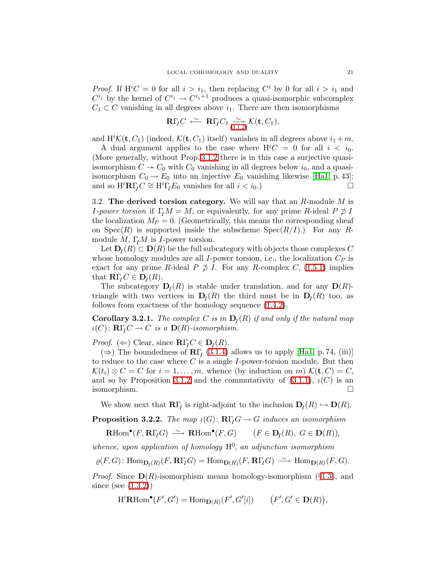*Proof.* If  $H^iC = 0$  for all  $i > i_1$ , then replacing  $C^i$  by 0 for all  $i > i_1$  and  $C^{i_1}$  by the kernel of  $C^{i_1} \to C^{i_1+1}$  produces a quasi-isomorphic subcomplex  $C_1 \subset C$  vanishing in all degrees above  $i_1$ . There are then isomorphisms

$$
\mathbf{R}\Gamma_{I}C\ \stackrel{\sim}{\longleftarrow}\ \mathbf{R}\Gamma_{I}C_{1}\underset{(3.1.2)}{\sim}\mathcal{K}(\mathbf{t},C_{1}),
$$

and  $H^i\mathcal{K}(\mathbf{t},C_1)$  (indeed,  $\mathcal{K}(\mathbf{t},C_1)$  itself) vanishes in all degrees above  $i_1+m$ .

A dual argument applies to the case where  $\mathbf{H}^iC = 0$  for all  $i < i_0$ . (More generally, without Prop. [3.1.2](#page-18-1) there is in this case a surjective quasiisomorphism  $C \rightarrow C_0$  with  $C_0$  vanishing in all degrees below  $i_0$ , and a quasiisomorphism  $C_0 \to E_0$  into an injective  $E_0$  vanishing likewise [\[Ha1,](#page-50-6) p. 43];<br>and so  $H^i \mathbf{R} \Gamma C \cong H^i \Gamma F_0$  vanishes for all  $i < i_0$ ) and so  $H^{i}R\Gamma_{I}C \cong H^{i}\Gamma_{I}E_{0}$  vanishes for all  $i < i_{0}$ .)

<span id="page-20-2"></span>3.2. The derived torsion category. We will say that an  $R$ -module  $M$  is *I-power torsion* if  $\Gamma_I M = M$ , or equivalently, for any prime R-ideal P  $\not\supset I$ the localization  $M_P = 0$ . (Geometrically, this means the corresponding sheaf on  $Spec(R)$  is supported inside the subscheme  $Spec(R/I)$ .) For any Rmodule M,  $\Gamma_I M$  is I-power torsion.

Let  $D_I(R) \subset D(R)$  be the full subcategory with objects those complexes C whose homology modules are all I-power torsion, i.e., the localization  $C_P$  is exact for any prime R-ideal P  $\not\supset I$ . For any R-complex C, [\(1.5.1\)](#page-10-1) implies that  $\mathbf{R}\Gamma_I C \in \mathbf{D}_I (R)$ .

The subcategory  $\mathbf{D}_I(R)$  is stable under translation, and for any  $\mathbf{D}(R)$ triangle with two vertices in  $\mathbf{D}_I(R)$  the third must be in  $\mathbf{D}_I(R)$  too, as follows from exactness of the homology sequence [\(1.4.2\)](#page-9-2).

<span id="page-20-0"></span>**Corollary 3.2.1.** The complex C is in  $D<sub>I</sub>(R)$  if and only if the natural map  $\iota(C) \colon \mathbf{R}\Gamma_I C \to C$  is a  $\mathbf{D}(R)$ -isomorphism.

*Proof.* ( $\Leftarrow$ ) Clear, since **R** $\Gamma_I C \in \mathbf{D}_I (R)$ .

 $(\Rightarrow)$  The boundedness of **R** $\Gamma$ <sub>I</sub> [\(3.1.4\)](#page-19-0) allows us to apply [\[Ha1,](#page-50-6) p. 74, (iii)] to reduce to the case where C is a single  $I$ -power-torsion module. But then  $\mathcal{K}(t_i) \otimes C = C$  for  $i = 1, \ldots, m$ , whence (by induction on m)  $\mathcal{K}(\mathbf{t}, C) = C$ , and so by Proposition [3.1.2](#page-18-1) and the commutativity of  $(3.1.1)$ ,  $\iota(C)$  is an isomorphism.

We show next that  $\mathbf{R}\Gamma_I$  is right-adjoint to the inclusion  $\mathbf{D}_I(R) \hookrightarrow \mathbf{D}(R)$ .

<span id="page-20-1"></span>**Proposition 3.2.2.** The map  $\iota(G)$ :  $\mathbb{R}\Gamma_t G \to G$  induces an isomorphism

 $\mathbf{R}\text{Hom}^{\bullet}(F, \mathbf{R}\Gamma_{I}G) \stackrel{\sim}{\longrightarrow} \mathbf{R}\text{Hom}^{\bullet}(F, G) \qquad (F \in \mathbf{D}_{I}(R), G \in \mathbf{D}(R)),$ 

whence, upon application of homology  $H^0$ , an adjunction isomorphism

 $\varrho(F, G)$ : Hom $_{\mathbf{D}_I(R)}(F, \mathbf{R}\Gamma_I G) = \text{Hom}_{\mathbf{D}(R)}(F, \mathbf{R}\Gamma_I G) \longrightarrow \text{Hom}_{\mathbf{D}(R)}(F, G)$ .

*Proof.* Since  $D(R)$ -isomorphism means homology-isomorphism (§[1.3\)](#page-5-2), and since (see [\(1.3.2\)](#page-7-0))

 $\mathrm{H}^i\mathbf{R}\mathrm{Hom}^\bullet(F',G') = \mathrm{Hom}_{\mathbf{D}(R)}(F',G'[i]) \qquad \big(F',G' \in \mathbf{D}(R)\big),$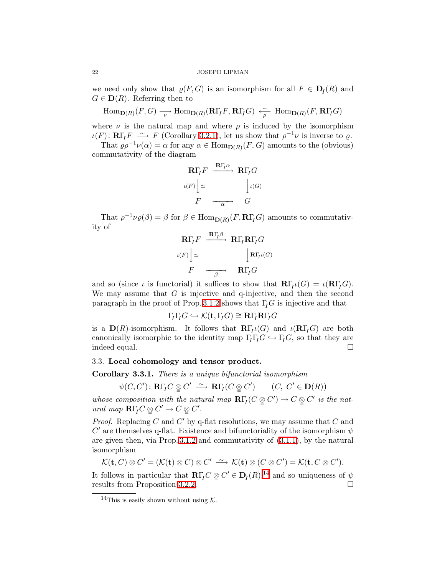we need only show that  $\varrho(F, G)$  is an isomorphism for all  $F \in D_I(R)$  and  $G \in \mathbf{D}(R)$ . Referring then to

$$
\operatorname{Hom}\nolimits_{{\mathbf D}(R)}(F,G) \xrightarrow[\nu]{\quad \operatorname{Hom}\nolimits}_{{\mathbf D}(R)}({\mathbf R}\Gamma_{I}F,{\mathbf R}\Gamma_{I}G) \xleftarrow[\rho]{\sim} \operatorname{Hom}\nolimits_{{\mathbf D}(R)}(F,{\mathbf R}\Gamma_{I}G)
$$

where  $\nu$  is the natural map and where  $\rho$  is induced by the isomorphism  $\iota(F) \colon \mathbf{R}\Gamma_I F \longrightarrow F$  (Corollary [3.2.1\)](#page-20-0), let us show that  $\rho^{-1}\nu$  is inverse to  $\varrho$ .

That  $\varrho \rho^{-1} \nu(\alpha) = \alpha$  for any  $\alpha \in \text{Hom}_{\mathbf{D}(R)}(F, G)$  amounts to the (obvious) commutativity of the diagram

$$
\mathbf{R}\Gamma_{I}F \xrightarrow{\mathbf{R}\Gamma_{I}\alpha} \mathbf{R}\Gamma_{I}G
$$
\n
$$
\iota(F)\Big| \simeq \bigcup_{\mathcal{F}} \iota(G)
$$
\n
$$
F \xrightarrow{\alpha} G
$$

That  $\rho^{-1}\nu_{\varrho}(\beta) = \beta$  for  $\beta \in \text{Hom}_{\mathbf{D}(R)}(F, \mathbf{R}\Gamma_{I}G)$  amounts to commutativity of

$$
\mathbf{R}\Gamma_{\!I}F \xrightarrow{\mathbf{R}\Gamma_{\!I}\beta} \mathbf{R}\Gamma_{\!I}\mathbf{R}\Gamma_{\!I}G
$$
\n
$$
\iota(F)\Big\downarrow \simeq \qquad \qquad \Big\downarrow \mathbf{R}\Gamma_{\!I}\iota(G)
$$
\n
$$
F \xrightarrow{\qquad \qquad \beta} \qquad \mathbf{R}\Gamma_{\!I}G
$$

and so (since  $\iota$  is functorial) it suffices to show that  $\mathbf{R}\Gamma_l\iota(G) = \iota(\mathbf{R}\Gamma_l G)$ . We may assume that  $G$  is injective and q-injective, and then the second paragraph in the proof of Prop. [3.1.2](#page-18-1) shows that  $\Gamma_{I}G$  is injective and that

$$
\Gamma_I \Gamma_I G \hookrightarrow \mathcal{K}(\mathbf{t},\Gamma_I G) \cong \mathbf{R} \Gamma_I \mathbf{R} \Gamma_I G
$$

is a  $\mathbf{D}(R)$ -isomorphism. It follows that  $\mathbf{R}\Gamma_l\iota(G)$  and  $\iota(\mathbf{R}\Gamma_lG)$  are both canonically isomorphic to the identity map  $\Gamma_I \Gamma_I G \hookrightarrow \Gamma_I G$ , so that they are indeed equal. indeed equal.

## <span id="page-21-2"></span><span id="page-21-0"></span>3.3. Local cohomology and tensor product.

Corollary 3.3.1. There is a unique bifunctorial isomorphism

$$
\psi(C, C') \colon \mathbf{R}\Gamma_I C \otimes C' \xrightarrow{\sim} \mathbf{R}\Gamma_I (C \otimes C') \qquad (C, C' \in \mathbf{D}(R))
$$

whose composition with the natural map  $\mathbb{R}\Gamma_I(C \otimes C') \to C \otimes C'$  is the natural map  $\mathbf{R}\Gamma_I C \otimes C' \to C \otimes C'.$ 

*Proof.* Replacing  $C$  and  $C'$  by q-flat resolutions, we may assume that  $C$  and  $C'$  are themselves q-flat. Existence and bifunctoriality of the isomorphism  $\psi$ are given then, via Prop. [3.1.2](#page-18-1) and commutativity of [\(3.1.1\)](#page-18-2), by the natural isomorphism

 $\mathcal{K}(\mathbf{t}, C) \otimes C' = (\mathcal{K}(\mathbf{t}) \otimes C) \otimes C' \stackrel{\sim}{\longrightarrow} \mathcal{K}(\mathbf{t}) \otimes (C \otimes C') = \mathcal{K}(\mathbf{t}, C \otimes C').$ 

<span id="page-21-1"></span>It follows in particular that  $\mathbf{R}\Gamma_I C \otimes C' \in \mathbf{D}_I(R)$ ,<sup>[14](#page-21-1)</sup> and so uniqueness of  $\psi$ results from Proposition [3.2.2.](#page-20-1)

<sup>&</sup>lt;sup>14</sup>This is easily shown without using  $K$ .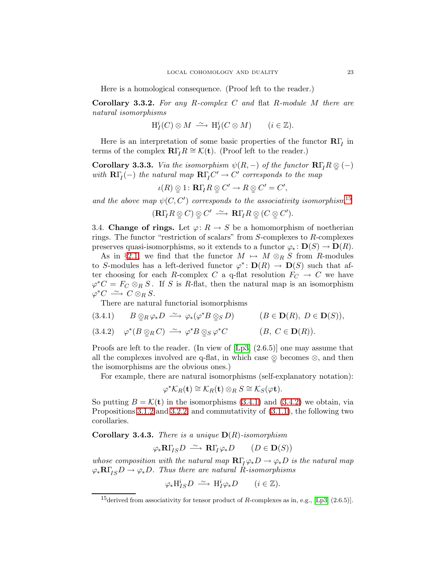Here is a homological consequence. (Proof left to the reader.)

Corollary 3.3.2. For any R-complex C and flat R-module M there are natural isomorphisms

$$
\mathrm{H}^i_I(C)\otimes M \xrightarrow{\sim} \mathrm{H}^i_I(C\otimes M) \qquad (i\in \mathbb{Z}).
$$

<span id="page-22-5"></span>Here is an interpretation of some basic properties of the functor  $\mathbf{R}\Gamma_I$  in terms of the complex  $\mathbf{R}\Gamma_I R \cong \mathcal{K}(\mathbf{t})$ . (Proof left to the reader.)

**Corollary 3.3.3.** Via the isomorphism  $\psi(R,-)$  of the functor  $\mathbf{R}\Gamma_I R\otimes(-)$ with  $\mathbf{R}\Gamma_I(-)$  the natural map  $\mathbf{R}\Gamma_I C'\to C'$  corresponds to the map

$$
\iota(R)\mathop{\otimes}_1 1\colon \mathbf{R}\Gamma_I R\mathop{\otimes}_2 C'\to R\mathop{\otimes}_2 C'=C',
$$

and the above map  $\psi(C, C')$  corresponds to the associativity isomorphism<sup>[15](#page-22-0)</sup>

$$
(\mathbf{R}\Gamma_I R \otimes C) \otimes C' \longrightarrow \mathbf{R}\Gamma_I R \otimes (C \otimes C').
$$

<span id="page-22-6"></span>3.4. Change of rings. Let  $\varphi: R \to S$  be a homomorphism of noetherian rings. The functor "restriction of scalars" from S-complexes to R-complexes preserves quasi-isomorphisms, so it extends to a functor  $\varphi_* : \mathbf{D}(S) \to \mathbf{D}(R)$ .

As in §[2.1,](#page-13-2) we find that the functor  $M \mapsto M \otimes_R S$  from R-modules to S-modules has a left-derived functor  $\varphi^* \colon \mathbf{D}(R) \to \mathbf{D}(S)$  such that after choosing for each R-complex C a q-flat resolution  $F_C \to C$  we have  $\varphi^*C = F_C \otimes_R S$ . If S is R-flat, then the natural map is an isomorphism  $\varphi^*C \longrightarrow C \otimes_R S.$ 

There are natural functorial isomorphisms

- <span id="page-22-2"></span><span id="page-22-1"></span>(3.4.1)  $B \underset{\sim}{\otimes}_R \varphi_* D \stackrel{\sim}{\longrightarrow} \varphi_*(\varphi^* B \underset{\sim}{\otimes}_S D)$   $(B \in \mathbf{D}(R), D \in \mathbf{D}(S)),$
- (3.4.2)  $\varphi^*(B \otimes_R C) \longrightarrow \varphi^*B \otimes_S \varphi^*C$   $(B, C \in \mathbf{D}(R)).$

Proofs are left to the reader. (In view of [\[Lp3,](#page-50-5) (2.6.5)] one may assume that all the complexes involved are q-flat, in which case  $\mathcal{Q}$  becomes  $\otimes$ , and then the isomorphisms are the obvious ones.)

For example, there are natural isomorphisms (self-explanatory notation):

$$
\varphi^* \mathcal{K}_R(\mathbf{t}) \cong \mathcal{K}_R(\mathbf{t}) \otimes_R S \cong \mathcal{K}_S(\varphi \mathbf{t}).
$$

So putting  $B = \mathcal{K}(t)$  in the isomorphisms [\(3.4.1\)](#page-22-1) and [\(3.4.2\)](#page-22-2) we obtain, via Propositions [3.1.2](#page-18-1) and [3.2.2,](#page-20-1) and commutativity of [\(3.1.1\)](#page-18-2), the following two corollaries.

<span id="page-22-3"></span>**Corollary 3.4.3.** There is a unique  $D(R)$ -isomorphism

$$
\varphi_*\mathbf{R}\Gamma_{\!I\!S}D \stackrel{\sim}{\longrightarrow} \mathbf{R}\Gamma_{\!I}\varphi_*D \qquad (D \in \mathbf{D}(S))
$$

<span id="page-22-4"></span>whose composition with the natural map  $\mathbb{R}\Gamma_l\varphi_*D\to\varphi_*D$  is the natural map  $\varphi_*\mathbf{R}\Gamma_{IS}D \to \varphi_*D$ . Thus there are natural R-isomorphisms

$$
\varphi_* \mathcal{H}_{IS}^i D \stackrel{\sim}{\longrightarrow} \mathcal{H}_I^i \varphi_* D \qquad (i \in \mathbb{Z}).
$$

<span id="page-22-0"></span><sup>&</sup>lt;sup>15</sup>derived from associativity for tensor product of R-complexes as in, e.g., [\[Lp3,](#page-50-5)  $(2.6.5)$ ].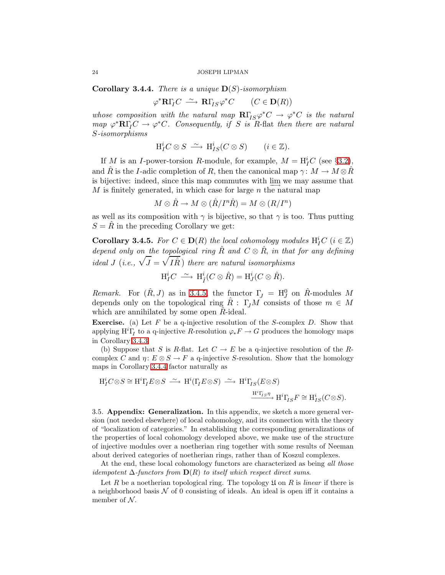**Corollary 3.4.4.** There is a unique  $\mathbf{D}(S)$ -isomorphism

$$
\varphi^* \mathbf{R} \Gamma_I C \xrightarrow{\sim} \mathbf{R} \Gamma_{\!I S} \varphi^* C \qquad (C \in \mathbf{D}(R))
$$

whose composition with the natural map  $\mathbb{R}\Gamma_{IS}\varphi^*C \to \varphi^*C$  is the natural  $map \ \varphi^* {\bf R} \Gamma_I C \to \varphi^* C.$  Consequently, if S is R-flat then there are natural S-isomorphisms

$$
\mathrm{H}_I^i C \otimes S \ \xrightarrow{\sim} \ \mathrm{H}_{IS}^i (C \otimes S) \qquad (i \in \mathbb{Z}).
$$

If M is an I-power-torsion R-module, for example,  $M = H_I^iC$  (see §[3.2\)](#page-20-2), and  $\hat{R}$  is the I-adic completion of R, then the canonical map  $\gamma: M \to M \otimes \hat{R}$ is bijective: indeed, since this map commutes with  $\lim_{n \to \infty}$  we may assume that  $M$  is finitely generated, in which case for large  $n$  the natural map

$$
M\otimes \hat{R}\to M\otimes (\hat{R}/I^n\hat{R})=M\otimes (R/I^n)
$$

<span id="page-23-0"></span>as well as its composition with  $\gamma$  is bijective, so that  $\gamma$  is too. Thus putting  $S = R$  in the preceding Corollary we get:

**Corollary 3.4.5.** For  $C \in \mathbf{D}(R)$  the local cohomology modules  $H_I^i C$   $(i \in \mathbb{Z})$ depend only on the topological ring  $\hat{R}$  and  $C \otimes \hat{R}$ , in that for any defining ideal J (i.e.,  $\sqrt{J} = \sqrt{I\hat{R}}$ ) there are natural isomorphisms

$$
\mathrm{H}_I^i C \; \xrightarrow{\sim} \; \mathrm{H}_I^i (C \otimes \hat{R}) = \mathrm{H}_J^i (C \otimes \hat{R}).
$$

Remark. For  $(\hat{R}, J)$  as in [3.4.5,](#page-23-0) the functor  $\Gamma_J = H_J^0$  on  $\hat{R}$ -modules M depends only on the topological ring  $\hat{R}$ :  $\Gamma_j M$  consists of those  $m \in M$ which are annihilated by some open  $R$ -ideal.

**Exercise.** (a) Let  $F$  be a q-injective resolution of the  $S$ -complex  $D$ . Show that applying  $\mathrm{H}^i\Gamma_I$  to a q-injective R-resolution  $\varphi_*F\to G$  produces the homology maps in Corollary [3.4.3.](#page-22-3)

(b) Suppose that S is R-flat. Let  $C \to E$  be a q-injective resolution of the Rcomplex C and  $\eta: E \otimes S \to F$  a q-injective S-resolution. Show that the homology maps in Corollary [3.4.4](#page-22-4) factor naturally as

$$
\mathrm{H}_I^i C \otimes S \cong \mathrm{H}^i \Gamma_I E \otimes S \ \xrightarrow{\sim} \ \mathrm{H}^i (\Gamma_I E \otimes S) \ \xrightarrow{\sim} \ \mathrm{H}^i \Gamma_{IS} (E \otimes S)
$$
\n
$$
\xrightarrow{\mathrm{H}^i \Gamma_{IS} \eta} \mathrm{H}^i \Gamma_{IS} F \cong \mathrm{H}_{IS}^i (C \otimes S).
$$

3.5. Appendix: Generalization. In this appendix, we sketch a more general version (not needed elsewhere) of local cohomology, and its connection with the theory of "localization of categories." In establishing the corresponding generalizations of the properties of local cohomology developed above, we make use of the structure of injective modules over a noetherian ring together with some results of Neeman about derived categories of noetherian rings, rather than of Koszul complexes.

At the end, these local cohomology functors are characterized as being all those idempotent  $\Delta$ -functors from  $\mathbf{D}(R)$  to itself which respect direct sums.

Let R be a noetherian topological ring. The topology  $\mathfrak U$  on R is linear if there is a neighborhood basis  $N$  of 0 consisting of ideals. An ideal is open iff it contains a member of  $N$ .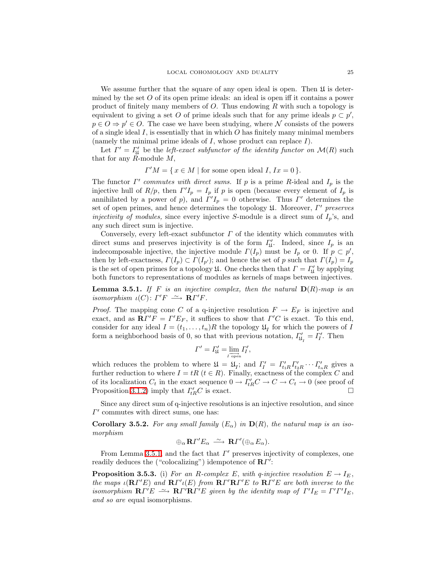We assume further that the square of any open ideal is open. Then  $\mathfrak U$  is determined by the set  $O$  of its open prime ideals: an ideal is open iff it contains a power product of finitely many members of O. Thus endowing R with such a topology is equivalent to giving a set O of prime ideals such that for any prime ideals  $p \subset p'$ ,  $p \in O \Rightarrow p' \in O$ . The case we have been studying, where N consists of the powers of a single ideal  $I$ , is essentially that in which  $O$  has finitely many minimal members (namely the minimal prime ideals of  $I$ , whose product can replace  $I$ ).

Let  $\Gamma' = \Gamma'_{\mathfrak{U}}$  be the *left-exact subfunctor of the identity functor on*  $\mathcal{M}(R)$  such that for any  $R$ -module  $M$ ,

 $\Gamma'M = \{ x \in M \mid \text{for some open ideal } I, Ix = 0 \}.$ 

The functor  $\Gamma'$  commutes with direct sums. If p is a prime R-ideal and  $I_p$  is the injective hull of  $R/p$ , then  $\Gamma' I_p = I_p$  if p is open (because every element of  $I_p$  is annihilated by a power of p), and  $\Gamma' I_p = 0$  otherwise. Thus  $\Gamma'$  determines the set of open primes, and hence determines the topology  $\mathfrak U$ . Moreover,  $\Gamma'$  preserves injectivity of modules, since every injective S-module is a direct sum of  $I_p$ 's, and any such direct sum is injective.

Conversely, every left-exact subfunctor  $\Gamma$  of the identity which commutes with direct sums and preserves injectivity is of the form  $\Gamma'_{\mathfrak{U}}$ . Indeed, since  $I_p$  is an indecomposable injective, the injective module  $\Gamma(I_p)$  must be  $I_p$  or 0. If  $p \subset p'$ , then by left-exactness,  $\Gamma(I_p) \subset \Gamma(I_{p'})$ ; and hence the set of p such that  $\Gamma(I_p) = I_p$ is the set of open primes for a topology  $\mathfrak{U}$ . One checks then that  $\Gamma = \Gamma'_{\mathfrak{U}}$  by applying both functors to representations of modules as kernels of maps between injectives.

<span id="page-24-0"></span>**Lemma 3.5.1.** If F is an injective complex, then the natural  $D(R)$ -map is an isomorphism  $\iota(C) \colon \Gamma'F \longrightarrow \mathbf{R}\Gamma'F$ .

*Proof.* The mapping cone C of a q-injective resolution  $F \to E_F$  is injective and exact, and as  $\mathbf{R} \Gamma' F = \Gamma' E_F$ , it suffices to show that  $\Gamma' C$  is exact. To this end, consider for any ideal  $I = (t_1, \ldots, t_n)R$  the topology  $\mathfrak{U}_I$  for which the powers of I form a neighborhood basis of 0, so that with previous notation,  $\Gamma'_{\mathfrak{U}_I} = \Gamma'_I$ . Then

$$
\Gamma' = \Gamma_{\mathfrak{U}}' = \lim_{I \text{ open}} \Gamma_I',
$$

which reduces the problem to where  $\mathfrak{U} = \mathfrak{U}_I$ ; and  $\Gamma'_I = \Gamma'_{t_1R} \Gamma'_{t_2R} \cdots \Gamma'_{t_nR}$  gives a further reduction to where  $I = tR$  ( $t \in R$ ). Finally, exactness of the complex C and of its localization  $C_t$  in the exact sequence  $0 \to \Gamma_{tR}^{\prime}C \to C \to C_t \to 0$  (see proof of Proposition [3.1.2\)](#page-18-1) imply that  $\Gamma_{tR}'C$  is exact.

Since any direct sum of q-injective resolutions is an injective resolution, and since  $\Gamma'$  commutes with direct sums, one has:

<span id="page-24-1"></span>Corollary 3.5.2. For any small family  $(E_{\alpha})$  in  $D(R)$ , the natural map is an isomorphism

$$
\oplus_{\alpha} \mathbf{R} \Gamma' E_{\alpha} \stackrel{\sim}{\longrightarrow} \mathbf{R} \Gamma' (\oplus_{\alpha} E_{\alpha}).
$$

From Lemma [3.5.1,](#page-24-0) and the fact that  $\Gamma'$  preserves injectivity of complexes, one readily deduces the ("colocalizing") idempotence of  $\mathbb{R}T'$ :

<span id="page-24-2"></span>**Proposition 3.5.3.** (i) For an R-complex E, with q-injective resolution  $E \to I_E$ , the maps  $\iota({\bf R}\Gamma' E)$  and  ${\bf R}\Gamma' \iota(E)$  from  ${\bf R}\Gamma' {\bf R}\Gamma' E$  to  ${\bf R}\Gamma' E$  are both inverse to the isomorphism  $\mathbf{R}\Gamma'E \longrightarrow \mathbf{R}\Gamma'\mathbf{R}\Gamma'E$  given by the identity map of  $\Gamma'I_E = \Gamma'\Gamma'I_E$ , and so are equal isomorphisms.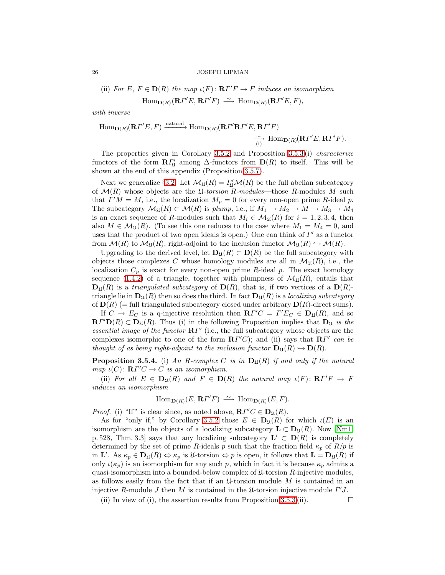(ii) For 
$$
E, F \in \mathbf{D}(R)
$$
 the map  $\iota(F) \colon \mathbf{R}\Gamma'F \to F$  induces an isomorphism  
\n
$$
\text{Hom}_{\mathbf{D}(R)}(\mathbf{R}\Gamma'E, \mathbf{R}\Gamma'F) \xrightarrow{\sim} \text{Hom}_{\mathbf{D}(R)}(\mathbf{R}\Gamma'E, F),
$$

with inverse

Hom<sub>D(R)</sub>(
$$
\mathbf{R}\Gamma'E, F
$$
)<sup>natural</sup> Hom<sub>D(R)</sub>( $\mathbf{R}\Gamma'\mathbf{R}\Gamma'E, \mathbf{R}\Gamma'F$ )  
 $\xrightarrow[1]$ Hom<sub>D(R)</sub>( $\mathbf{R}\Gamma'E, \mathbf{R}\Gamma'F$ ).

The properties given in Corollary [3.5.2](#page-24-1) and Proposition [3.5.3](#page-24-2) (i) *characterize* functors of the form  $\mathbb{R}I_{\mathfrak{U}}'$  among  $\Delta$ -functors from  $\mathbb{D}(R)$  to itself. This will be shown at the end of this appendix (Proposition [3.5.7\)](#page-26-1).

Next we generalize §[3.2.](#page-20-2) Let  $\mathcal{M}_{\mathfrak{U}}(R) = \Gamma'_{\mathfrak{U}}\mathcal{M}(R)$  be the full abelian subcategory of  $\mathcal{M}(R)$  whose objects are the *U-torsion R-modules*—those R-modules M such that  $\Gamma' M = M$ , i.e., the localization  $M_p = 0$  for every non-open prime R-ideal p. The subcategory  $\mathcal{M}_{\mathfrak{U}}(R) \subset \mathcal{M}(R)$  is plump, i.e., if  $M_1 \to M_2 \to M \to M_3 \to M_4$ is an exact sequence of R-modules such that  $M_i \in \mathcal{M}_{\mathfrak{U}}(R)$  for  $i = 1, 2, 3, 4$ , then also  $M \in \mathcal{M}_{\mathfrak{U}}(R)$ . (To see this one reduces to the case where  $M_1 = M_4 = 0$ , and uses that the product of two open ideals is open.) One can think of  $\Gamma'$  as a functor from  $\mathcal{M}(R)$  to  $\mathcal{M}_{\mathfrak{U}}(R)$ , right-adjoint to the inclusion functor  $\mathcal{M}_{\mathfrak{U}}(R) \hookrightarrow \mathcal{M}(R)$ .

Upgrading to the derived level, let  $\mathbf{D}_{\mathfrak{U}}(R) \subset \mathbf{D}(R)$  be the full subcategory with objects those complexes C whose homology modules are all in  $\mathcal{M}_{\mathfrak{U}}(R)$ , i.e., the localization  $C_p$  is exact for every non-open prime R-ideal p. The exact homology sequence [\(1.4.2\)](#page-9-2) of a triangle, together with plumpness of  $\mathcal{M}_{\mathfrak{U}}(R)$ , entails that  $\mathbf{D}_{\mathfrak{U}}(R)$  is a triangulated subcategory of  $\mathbf{D}(R)$ , that is, if two vertices of a  $\mathbf{D}(R)$ triangle lie in  $\mathbf{D}_{\mathfrak{U}}(R)$  then so does the third. In fact  $\mathbf{D}_{\mathfrak{U}}(R)$  is a localizing subcategory of  $\mathbf{D}(R)$  (= full triangulated subcategory closed under arbitrary  $\mathbf{D}(R)$ -direct sums).

If  $C \to E_C$  is a q-injective resolution then  $\mathbb{R} \Gamma' C = \Gamma' E_C \in \mathbb{D}_{\mathfrak{U}}(R)$ , and so  $\mathbf{R} \Gamma' \mathbf{D}(R) \subset \mathbf{D}_{\mathfrak{U}}(R)$ . Thus (i) in the following Proposition implies that  $\mathbf{D}_{\mathfrak{U}}$  is the essential image of the functor  $\mathbb{R}\Gamma'$  (i.e., the full subcategory whose objects are the complexes isomorphic to one of the form  $\mathbb{R}I^{\prime\prime}C$ ; and (ii) says that  $\mathbb{R}I^{\prime\prime}$  can be thought of as being right-adjoint to the inclusion functor  $\mathbf{D}_{\mathfrak{U}}(R) \hookrightarrow \mathbf{D}(R)$ .

<span id="page-25-0"></span>**Proposition 3.5.4.** (i) An R-complex C is in  $D_{\mathfrak{U}}(R)$  if and only if the natural map  $\iota(C) \colon \mathbf{R}\Gamma' C \to C$  is an isomorphism.

(ii) For all  $E \in D_{\mathfrak{U}}(R)$  and  $F \in D(R)$  the natural map  $\iota(F) \colon \mathbf{R}\Gamma'F \to F$ induces an isomorphism

$$
\operatorname{Hom}\nolimits_{{\mathbf D}(R)}(E,{\mathbf R} \varGamma' F) \ \stackrel{\sim}{\longrightarrow}\ \operatorname{Hom}\nolimits_{{\mathbf D}(R)}(E,F).
$$

*Proof.* (i) "If" is clear since, as noted above,  $\mathbf{R}\Gamma' C \in \mathbf{D}_{\mathfrak{U}}(R)$ .

As for "only if," by Corollary [3.5.2](#page-24-1) those  $E \in D_{\mathfrak{U}}(R)$  for which  $\iota(E)$  is an isomorphism are the objects of a localizing subcategory  $\mathbf{L} \subset \mathbf{D}_{\mathfrak{U}}(R)$ . Now [\[Nm1,](#page-50-11) p. 528, Thm. 3.3] says that any localizing subcategory  $\mathbf{L}' \subset \mathbf{D}(R)$  is completely determined by the set of prime R-ideals p such that the fraction field  $\kappa_p$  of  $R/p$  is in L'. As  $\kappa_p \in D_{\mathfrak{U}}(R) \Leftrightarrow \kappa_p$  is  $\mathfrak{U}\text{-torsion} \Leftrightarrow p$  is open, it follows that  $\mathbf{L} = D_{\mathfrak{U}}(R)$  if only  $\iota(\kappa_p)$  is an isomorphism for any such p, which in fact it is because  $\kappa_p$  admits a quasi-isomorphism into a bounded-below complex of  $\mathfrak{U}$ -torsion R-injective modules, as follows easily from the fact that if an  $\mathfrak{U}$ -torsion module M is contained in an injective R-module  $J$  then  $M$  is contained in the  $\mathfrak{U}$ -torsion injective module  $\Gamma'J$ .

(ii) In view of (i), the assertion results from Proposition [3.5.3](#page-24-2) (ii).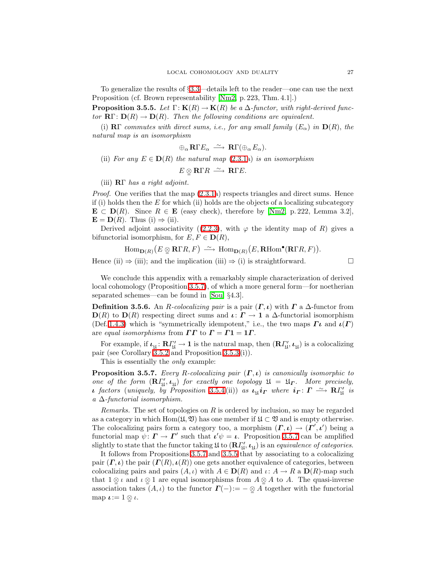<span id="page-26-0"></span>To generalize the results of §[3.3—](#page-21-2)details left to the reader—one can use the next Proposition (cf. Brown representability [\[Nm2,](#page-50-12) p. 223, Thm. 4.1].)

**Proposition 3.5.5.** Let  $\Gamma: K(R) \to K(R)$  be a  $\Delta$ -functor, with right-derived functor  $\mathbf{R}\Gamma\colon\mathbf{D}(R)\to\mathbf{D}(R)$ . Then the following conditions are equivalent.

(i)  $\mathbb{R}\Gamma$  commutes with direct sums, i.e., for any small family  $(E_{\alpha})$  in  $\mathbb{D}(R)$ , the natural map is an isomorphism

$$
\oplus_{\alpha} \mathbf{R} \Gamma E_{\alpha} \stackrel{\sim}{\longrightarrow} \mathbf{R} \Gamma(\oplus_{\alpha} E_{\alpha}).
$$

(ii) For any  $E \in D(R)$  the natural map [\(2.3.1a](#page-15-1)) is an isomorphism

$$
E\underset{\sim}{\otimes} \mathbf{R}\Gamma R \longrightarrow \mathbf{R}\Gamma E.
$$

(iii) RΓ has a right adjoint.

*Proof.* One verifies that the map  $(2.3.1a)$  respects triangles and direct sums. Hence if (i) holds then the  $E$  for which (ii) holds are the objects of a localizing subcategory  $\mathbf{E} \subset \mathbf{D}(R)$ . Since  $R \in \mathbf{E}$  (easy check), therefore by [\[Nm2,](#page-50-12) p. 222, Lemma 3.2],  $\mathbf{E} = \mathbf{D}(R)$ . Thus (i)  $\Rightarrow$  (ii).

Derived adjoint associativity ([\(2.2.3\)](#page-14-2), with  $\varphi$  the identity map of R) gives a bifunctorial isomorphism, for  $E, F \in D(R)$ ,

$$
\mathrm{Hom}_{\mathbf{D}(R)}(E \otimes \mathbf{R} \Gamma R, F) \xrightarrow{\sim} \mathrm{Hom}_{\mathbf{D}(R)}(E, \mathbf{R} \mathrm{Hom}^{\bullet}(\mathbf{R} \Gamma R, F)).
$$

Hence (ii)  $\Rightarrow$  (iii); and the implication (iii)  $\Rightarrow$  (i) is straightforward.

We conclude this appendix with a remarkably simple characterization of derived local cohomology (Proposition [3.5.7\)](#page-26-1), of which a more general form—for noetherian separated schemes—can be found in [\[Sou,](#page-50-13) §4.3].

**Definition 3.5.6.** An R-colocalizing pair is a pair  $(\Gamma, \iota)$  with  $\Gamma$  a  $\Delta$ -functor from  $\mathbf{D}(R)$  to  $\mathbf{D}(R)$  respecting direct sums and  $\iota: \Gamma \to \mathbf{1}$  a  $\Delta$ -functorial isomorphism (Def. [1.4.3\)](#page-9-3) which is "symmetrically idempotent," i.e., the two maps  $\Gamma\iota$  and  $\iota(\Gamma)$ are equal isomorphisms from  $\Gamma\Gamma$  to  $\Gamma = \Gamma 1 = 1\Gamma$ .

For example, if  $\iota_{\mathfrak{U}}\colon \mathbf{R}\Gamma'_{\mathfrak{U}}\to \mathbf{1}$  is the natural map, then  $(\mathbf{R}\Gamma'_{\mathfrak{U}},\iota_{\mathfrak{U}})$  is a colocalizing pair (see Corollary [3.5.2](#page-24-1) and Proposition [3.5.3](#page-24-2) (i)).

This is essentially the *only* example:

<span id="page-26-1"></span>**Proposition 3.5.7.** Every R-colocalizing pair  $(\Gamma, \iota)$  is canonically isomorphic to one of the form  $(\mathbf{R}\Gamma'_{\mathfrak{U}},\boldsymbol{\iota}_{\mathfrak{U}})$  for exactly one topology  $\mathfrak{U} = \mathfrak{U}_{\boldsymbol{\Gamma}}$ . More precisely, **ι** factors (uniquely, by Proposition [3.5.4](#page-25-0)(ii)) as  $\iota_{\mathfrak{U}} i_{\Gamma}$  where  $i_{\Gamma} \colon \Gamma \longrightarrow \mathbb{R} \Gamma'_{\mathfrak{U}}$  is a  $\Delta$ -functorial isomorphism.

Remarks. The set of topologies on  $R$  is ordered by inclusion, so may be regarded as a category in which Hom $(\mathfrak{U}, \mathfrak{V})$  has one member if  $\mathfrak{U} \subset \mathfrak{V}$  and is empty otherwise. The colocalizing pairs form a category too, a morphism  $(\Gamma, \iota) \to (\Gamma', \iota')$  being a functorial map  $\psi: \Gamma \to \Gamma'$  such that  $\iota' \psi = \iota$ . Proposition [3.5.7](#page-26-1) can be amplified slightly to state that the functor taking  $\mathfrak U$  to  $(\mathbf{R} \varGamma'_{\mathfrak U}, \iota_{\mathfrak U})$  is an *equivalence of categories*.

It follows from Propositions [3.5.7](#page-26-1) and [3.5.5](#page-26-0) that by associating to a colocalizing pair  $(\Gamma, \iota)$  the pair  $(\Gamma(R), \iota(R))$  one gets another equivalence of categories, between colocalizing pairs and pairs  $(A, \iota)$  with  $A \in \mathbf{D}(R)$  and  $\iota: A \to R$  a  $\mathbf{D}(R)$ -map such that  $1 \nsubseteq \iota$  and  $\iota \nsubseteq 1$  are equal isomorphisms from  $A \nsubseteq A$  to A. The quasi-inverse association takes  $(A, \iota)$  to the functor  $\Gamma(-) := - \otimes A$  together with the functorial map  $\iota := 1 \otimes \iota$ .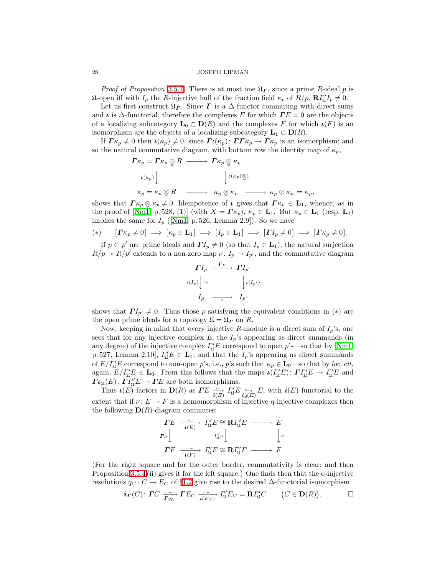*Proof of Proposition* [3.5.7](#page-26-1). There is at most one  $\mathfrak{U}_{\Gamma}$ , since a prime R-ideal p is  $\mathfrak{U}$ -open iff with  $I_p$  the R-injective hull of the fraction field  $\kappa_p$  of  $R/p$ ,  $\mathbf{R} \Gamma'_{\mathfrak{U}} I_p \neq 0$ .

Let us first construct  $\mathfrak{U}_{\Gamma}$ . Since  $\Gamma$  is a  $\Delta$ -functor commuting with direct sums and  $\iota$  is  $\Delta$ -functorial, therefore the complexes E for which  $\Gamma E = 0$  are the objects of a localizing subcategory  $\mathbf{L}_0 \subset \mathbf{D}(R)$  and the complexes F for which  $\iota(F)$  is an isomorphism are the objects of a localizing subcategory  $\mathbf{L}_1 \subset \mathbf{D}(R)$ .

If  $\Gamma \kappa_p \neq 0$  then  $\iota(\kappa_p) \neq 0$ , since  $\Gamma \iota(\kappa_p): \Gamma \Gamma \kappa_p \to \Gamma \kappa_p$  is an isomorphism; and so the natural commutative diagram, with bottom row the identity map of  $\kappa_p$ ,

$$
\begin{array}{ccc}\n\Gamma \kappa_p=\Gamma \kappa_p\underset{\infty}{\otimes}R &\xrightarrow{\hspace*{1cm}} \Gamma \kappa_p\underset{\infty}{\otimes}\kappa_p \\
\iota(\kappa_p)\Big\downarrow & & \Big\downarrow^{\hspace*{1cm}}\iota(\kappa_p)\underset{\infty}{\otimes}1 \\
\kappa_p=\kappa_p\underset{\infty}{\otimes}R &\xrightarrow{\hspace*{1cm}} \kappa_p\underset{\infty}{\otimes}\kappa_p &\xrightarrow{\hspace*{1cm}} \kappa_p\otimes\kappa_p=\kappa_p,\n\end{array}
$$

shows that  $\Gamma \kappa_p \otimes \kappa_p \neq 0$ . Idempotence of  $\iota$  gives that  $\Gamma \kappa_p \in L_1$ , whence, as in the proof of [\[Nm1,](#page-50-11) p. 528, (1)] (with  $X = \Gamma \kappa_p$ ),  $\kappa_p \in \mathbf{L}_1$ . But  $\kappa_p \in \mathbf{L}_1$  (resp.  $\mathbf{L}_0$ ) implies the same for  $I_p$  ([\[Nm1,](#page-50-11) p. 526, Lemma 2.9]). So we have

$$
(*) \qquad [\Gamma \kappa_p \neq 0] \implies [\kappa_p \in \mathbf{L}_1] \implies [I_p \in \mathbf{L}_1] \implies [\Gamma I_p \neq 0] \implies [\Gamma \kappa_p \neq 0].
$$

If  $p \subset p'$  are prime ideals and  $\Gamma I_p \neq 0$  (so that  $I_p \in L_1$ ), the natural surjection  $R/p \to R/p'$  extends to a non-zero map  $\nu: I_p \to I_{p'}$ , and the commutative diagram

$$
\Gamma I_p \xrightarrow{\Gamma \nu} \Gamma I_{p'}
$$
  

$$
\iota(I_p) \downarrow \simeq \qquad \qquad \downarrow \iota(I_{p'})
$$
  

$$
I_p \xrightarrow{\qquad \qquad \nu} \qquad I_{p'}
$$

shows that  $\Gamma I_{p'} \neq 0$ . Thus those p satisfying the equivalent conditions in (\*) are the open prime ideals for a topology  $\mathfrak{U} = \mathfrak{U}_\Gamma$  on R.

Now, keeping in mind that every injective R-module is a direct sum of  $I_p$ 's, one sees that for any injective complex  $E$ , the  $I_p$ 's appearing as direct summands (in any degree) of the injective complex  $\Gamma'_{\mathfrak{U}}E$  correspond to open  $p$ 's—so that by [\[Nm1,](#page-50-11) p. 527, Lemma 2.10],  $\Gamma'_{\mathfrak{U}}E \in \mathbf{L}_1$ ; and that the  $I_p$ 's appearing as direct summands of  $E/\Gamma'_{\mathfrak{U}}E$  correspond to non-open p's, i.e., p's such that  $\kappa_p \in \mathbf{L}_0$ —so that by loc. cit. again,  $E/I'_{\mathfrak{U}}E \in \mathbf{L}_0$ . From this follows that the maps  $\iota(I'_{\mathfrak{U}}E) \colon \Gamma I'_{\mathfrak{U}}E \to I'_{\mathfrak{U}}E$  and  $\Gamma\iota_{\mathfrak{U}}(E)\colon \overline{\Gamma\varGamma_{\mathfrak{U}}'}E\to \varGamma E$  are both isomorphisms.

Thus  $\iota(E)$  factors in  $\mathbf{D}(R)$  as  $\Gamma E \xrightarrow[i(E)] \atop \iota(E) \in \iota_{\mathfrak{U}(E)} E$ , with  $\iota(E)$  functorial to the extent that if  $\nu: E \to F$  is a homomorphism of injective q-injective complexes then the following  $\mathbf{D}(R)$ -diagram commutes:

$$
\begin{array}{ccc}\n\mathbf{F}E & \xrightarrow[\mathbf{i}(E)]{\mathbf{i}(E)} & I''_{\mathbf{M}}E \cong \mathbf{R}I''_{\mathbf{M}}E \longrightarrow E \\
\mathbf{F}_{\nu} \Big| & I''_{\mathbf{M}}\nu \Big| & \Big| \nu \\
\mathbf{F}F & \xrightarrow[\mathbf{i}(F)]{\mathbf{i}(F)} & I''_{\mathbf{M}}F \cong \mathbf{R}I''_{\mathbf{M}}F \longrightarrow F\n\end{array}
$$

(For the right square and for the outer border, commutativity is clear; and then Proposition [3.5.4](#page-25-0) (ii) gives it for the left square.) One finds then that the q-injective resolutions  $q_C: C \to E_C$  of §[1.2](#page-4-2) give rise to the desired  $\Delta$ -functorial isomorphism

$$
i_{\Gamma}(C): \Gamma C \xrightarrow[\Gamma_{q_C}]{\sim} \Gamma E_C \xrightarrow[i(E_C)]]{\sim} I'_{\mathfrak{U}} E_C = \mathbf{R} I'_{\mathfrak{U}} C \qquad (C \in \mathbf{D}(R)). \qquad \Box
$$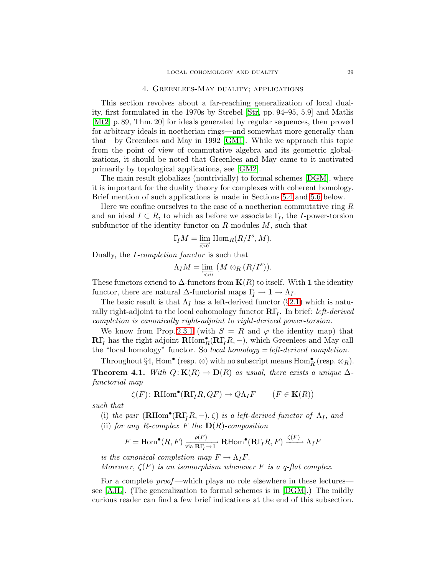## 4. Greenlees-May duality; applications

<span id="page-28-0"></span>This section revolves about a far-reaching generalization of local duality, first formulated in the 1970s by Strebel [\[Str,](#page-50-14) pp. 94–95, 5.9] and Matlis [\[Mt2,](#page-50-15) p. 89, Thm. 20] for ideals generated by regular sequences, then proved for arbitrary ideals in noetherian rings—and somewhat more generally than that—by Greenlees and May in 1992 [\[GM1\]](#page-50-2). While we approach this topic from the point of view of commutative algebra and its geometric globalizations, it should be noted that Greenlees and May came to it motivated primarily by topological applications, see [\[GM2\]](#page-50-16).

The main result globalizes (nontrivially) to formal schemes [\[DGM\]](#page-49-3), where it is important for the duality theory for complexes with coherent homology. Brief mention of such applications is made in Sections [5.4](#page-40-0) and [5.6](#page-44-0) below.

Here we confine ourselves to the case of a noetherian commutative ring  $R$ and an ideal  $I \subset R$ , to which as before we associate  $\Gamma_I$ , the I-power-torsion subfunctor of the identity functor on  $R$ -modules  $M$ , such that

$$
\Gamma_{\!\!I} M = \varinjlim_{s > 0^{\circ}} \operatorname{Hom}_R(R/I^s,M).
$$

Dually, the I-completion functor is such that

$$
\Lambda_I M = \lim_{\epsilon \to 0} \left( M \otimes_R (R/I^s) \right).
$$

These functors extend to  $\Delta$ -functors from  $K(R)$  to itself. With 1 the identity functor, there are natural  $\Delta$ -functorial maps  $\Gamma_I \to \mathbf{1} \to \Lambda_I$ .

The basic result is that  $\Lambda_I$  has a left-derived functor (§[2.1\)](#page-13-2) which is naturally right-adjoint to the local cohomology functor  $\mathbf{R}\Gamma_I$ . In brief: *left-derived* completion is canonically right-adjoint to right-derived power-torsion.

We know from Prop. [2.3.1](#page-15-1) (with  $S = R$  and  $\varphi$  the identity map) that  $\mathbf{R}\Gamma_I$  has the right adjoint  $\mathbf{R}\text{Hom}_R^{\bullet}(\mathbf{R}\Gamma_I R, -)$ , which Greenlees and May call the "local homology" functor. So *local homology* = *left-derived completion*.

<span id="page-28-1"></span>Throughout §4, Hom<sup>•</sup> (resp.  $\otimes$ ) with no subscript means Hom<sup>•</sup><sub>R</sub> (resp.  $\otimes$ <sub>R</sub>). **Theorem 4.1.** With  $Q: K(R) \to D(R)$  as usual, there exists a unique  $\Delta$ functorial map

$$
\zeta(F) \colon \mathbf{R}\mathrm{Hom}^{\bullet}(\mathbf{R}\Gamma_{I}R, QF) \to Q\Lambda_{I}F \qquad (F \in \mathbf{K}(R))
$$

such that

(i) the pair  $(\mathbf{R}\text{Hom}^{\bullet}(\mathbf{R}\Gamma_{I}R,-),\zeta)$  is a left-derived functor of  $\Lambda_{I}$ , and (ii) for any R-complex F the  $\mathbf{D}(R)$ -composition

$$
F = \text{Hom}^{\bullet}(R, F) \xrightarrow[\text{via } \mathbf{R}\Gamma_I \to \mathbf{1}]} \mathbf{R}\text{Hom}^{\bullet}(\mathbf{R}\Gamma_I R, F) \xrightarrow{\zeta(F)} \Lambda_I F
$$

is the canonical completion map  $F \to \Lambda_I F$ . Moreover,  $\zeta(F)$  is an isomorphism whenever F is a q-flat complex.

For a complete *proof*—which plays no role elsewhere in these lectures see [\[AJL\]](#page-49-6). (The generalization to formal schemes is in [\[DGM\]](#page-49-3).) The mildly curious reader can find a few brief indications at the end of this subsection.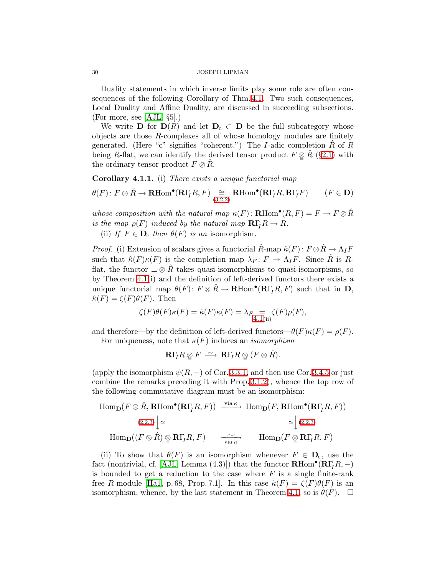Duality statements in which inverse limits play some role are often consequences of the following Corollary of Thm. [4.1.](#page-28-1) Two such consequences, Local Duality and Affine Duality, are discussed in succeeding subsections. (For more, see [\[AJL,](#page-49-6) §5].)

We write **D** for  $D(R)$  and let  $D<sub>c</sub> \subset D$  be the full subcategory whose objects are those R-complexes all of whose homology modules are finitely generated. (Here "c" signifies "coherent.") The I-adic completion  $R$  of  $R$ being R-flat, we can identify the derived tensor product  $F \otimes R$  (§[2.1\)](#page-13-2) with the ordinary tensor product  $F \otimes R$ .

<span id="page-29-0"></span>Corollary 4.1.1. (i) There exists a unique functorial map

$$
\theta(F) \colon F \otimes \hat{R} \to \mathbf{R}\mathrm{Hom}^{\bullet}(\mathbf{R}\Gamma_{I}R, F) \underset{(3.2.2)}{\cong} \mathbf{R}\mathrm{Hom}^{\bullet}(\mathbf{R}\Gamma_{I}R, \mathbf{R}\Gamma_{I}F) \qquad (F \in \mathbf{D})
$$

whose composition with the natural map  $\kappa(F)$ : **RHom**<sup>•</sup> $(R, F) = F \rightarrow F \otimes \hat{R}$ is the map  $\rho(F)$  induced by the natural map  $\mathbf{R}\Gamma_I R \to R$ .

(ii) If  $F \in \mathbf{D}_c$  then  $\theta(F)$  is an isomorphism.

*Proof.* (i) Extension of scalars gives a functorial  $\hat{R}$ -map  $\hat{\kappa}(F)$ :  $F \otimes \hat{R} \to \Lambda_I F$ such that  $\hat{\kappa}(F)\kappa(F)$  is the completion map  $\lambda_F\colon F\to \Lambda_I F$ . Since  $\hat{R}$  is Rflat, the functor  $\_\otimes \hat{R}$  takes quasi-isomorphisms to quasi-isomorpisms, so by Theorem [4.1\(](#page-28-1)i) and the definition of left-derived functors there exists a unique functorial map  $\theta(F)$ :  $F \otimes \hat{R} \to \mathbf{R}\text{Hom}^{\bullet}(\mathbf{R}\Gamma_{I}R, F)$  such that in  $\mathbf{D}$ ,  $\hat{\kappa}(F) = \zeta(F)\theta(F)$ . Then

$$
\zeta(F)\theta(F)\kappa(F) = \hat{\kappa}(F)\kappa(F) = \lambda_{F_{\frac{1}{4},\frac{1}{4}(\text{ii})}}\zeta(F)\rho(F),
$$

and therefore—by the definition of left-derived functors— $\theta(F)\kappa(F) = \rho(F)$ .

For uniqueness, note that  $\kappa(F)$  induces an *isomorphism* 

$$
\mathbf{R}\Gamma_{\!I}R\otimes F\,\stackrel{\sim}{\longrightarrow}\,\mathbf{R}\Gamma_{\!I}R\otimes(F\otimes\hat{R}).
$$

(apply the isomorphism  $\psi(R, -)$  of Cor. [3.3.1,](#page-21-0) and then use Cor. [3.4.5](#page-23-0) or just combine the remarks preceding it with Prop. [3.1.2\)](#page-18-1), whence the top row of the following commutative diagram must be an isomorphism:

$$
\text{Hom}_{\mathbf{D}}(F \otimes \hat{R}, \mathbf{R}\text{Hom}^{\bullet}(\mathbf{R}\Gamma_{I}R, F)) \xrightarrow{\text{via } \kappa} \text{Hom}_{\mathbf{D}}(F, \mathbf{R}\text{Hom}^{\bullet}(\mathbf{R}\Gamma_{I}R, F))
$$
\n
$$
\simeq \begin{cases}\n(2.2.3) \\
\text{Hom}_{\mathbf{D}}((F \otimes \hat{R}) \otimes \mathbf{R}\Gamma_{I}R, F) & \xrightarrow{\text{via } \kappa} \\
\text{Hom}_{\mathbf{D}}(F \otimes \mathbf{R}\Gamma_{I}R, F)\n\end{cases}
$$

(ii) To show that  $\theta(F)$  is an isomorphism whenever  $F \in \mathbf{D}_{c}$ , use the fact (nontrivial, cf. [\[AJL,](#page-49-6) Lemma (4.3)]) that the functor  $\mathbf{R}\text{Hom}^\bullet(\mathbf{R}\Gamma_I R,-)$ is bounded to get a reduction to the case where  $F$  is a single finite-rank free R-module [\[Ha1,](#page-50-6) p. 68, Prop. 7.1]. In this case  $\hat{\kappa}(F) = \zeta(F)\theta(F)$  is an isomorphism, whence, by the last statement in Theorem [4.1,](#page-28-1) so is  $\theta(F)$ .  $\Box$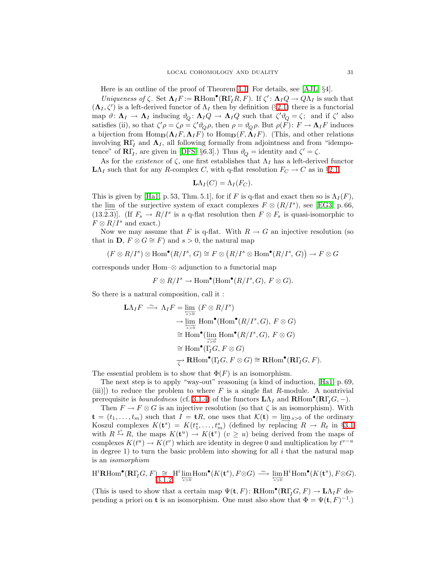Here is an outline of the proof of Theorem [4.1.](#page-28-1) For details, see [\[AJL,](#page-49-6) §4].

Uniqueness of  $\zeta$ . Set  $\Lambda_I F := \mathbf{R} \text{Hom}^{\bullet}(\mathbf{R} \Gamma_I R, F)$ . If  $\zeta' : \Lambda_I Q \to Q \Lambda_I$  is such that  $(\Lambda_I, \zeta')$  is a left-derived functor of  $\Lambda_I$  then by definition (§[2.1\)](#page-13-2) there is a functorial map  $\vartheta \colon \mathbf{\Lambda}_I \to \mathbf{\Lambda}_I$  inducing  $\vartheta_Q \colon \mathbf{\Lambda}_I Q \to \mathbf{\Lambda}_I Q$  such that  $\zeta' \vartheta_Q = \zeta$ ; and if  $\zeta'$  also satisfies (ii), so that  $\zeta' \rho = \zeta \rho = \zeta' \vartheta_Q \rho$ , then  $\rho = \vartheta_Q \rho$ . But  $\rho(F) \colon F \to \mathbf{\Lambda}_I F$  induces a bijection from  $\text{Hom}_{\mathbf{D}}(\mathbf{\Lambda}_I F, \mathbf{\Lambda}_I F)$  to  $\text{Hom}_{\mathbf{D}}(F, \mathbf{\Lambda}_I F)$ . (This, and other relations involving  $\mathbf{R}\Gamma_I$  and  $\mathbf{\Lambda}_I$ , all following formally from adjointness and from "idempotence" of  $\mathbf{R}\Gamma_I$ , are given in [\[DFS,](#page-49-2) §6.3].) Thus  $\vartheta_Q =$  identity and  $\zeta' = \zeta$ .

As for the *existence* of  $\zeta$ , one first establishes that  $\Lambda_I$  has a left-derived functor  $L\Lambda_I$  such that for any R-complex C, with q-flat resolution  $F_C \to C$  as in §[2.1,](#page-13-2)

$$
\mathbf{L}\Lambda_I(C) = \Lambda_I(F_C).
$$

This is given by [\[Ha1,](#page-50-6) p. 53, Thm. 5.1], for if F is q-flat and exact then so is  $\Lambda_I(F)$ , the  $\lim_{n \to \infty}$  of the surjective system of exact complexes  $F \otimes (R/I^s)$ , see [\[EG3,](#page-50-7) p. 66, (13.2.3)]. (If  $F_s \to R/I^s$  is a q-flat resolution then  $F \otimes F_s$  is quasi-isomorphic to  $F \otimes R/I^s$  and exact.)

Now we may assume that F is q-flat. With  $R \to G$  an injective resolution (so that in **D**,  $F \otimes G \cong F$  and  $s > 0$ , the natural map

$$
(F\otimes R/I^s)\otimes \text{Hom}^\bullet(R/I^s,\,G)\cong F\otimes \big(R/I^s\otimes \text{Hom}^\bullet(R/I^s,\,G)\big)\to F\otimes G
$$

corresponds under Hom–⊗ adjunction to a functorial map

$$
F \otimes R/I^s \to \text{Hom}^{\bullet}(\text{Hom}^{\bullet}(R/I^s, G), F \otimes G).
$$

So there is a natural composition, call it :

$$
\mathbf{L}\Lambda_{I}F \xrightarrow{\sim} \Lambda_{I}F = \lim_{\substack{\longleftarrow \\ s>0}} (F \otimes R/I^{s})
$$
  
\n
$$
\rightarrow \lim_{\substack{\longleftarrow \\ s>0}} \text{Hom}^{\bullet}(\text{Hom}^{\bullet}(R/I^{s}, G), F \otimes G)
$$
  
\n
$$
\cong \text{Hom}^{\bullet}(\lim_{\substack{\longrightarrow \\ s>0}} \text{Hom}^{\bullet}(R/I^{s}, G), F \otimes G)
$$
  
\n
$$
\cong \text{Hom}^{\bullet}(\Gamma_{I}G, F \otimes G)
$$
  
\n
$$
\xrightarrow{\subset} \mathbf{R}\text{Hom}^{\bullet}(\Gamma_{I}G, F \otimes G) \cong \mathbf{R}\text{Hom}^{\bullet}(\mathbf{R}\Gamma_{I}G, F).
$$

The essential problem is to show that  $\Phi(F)$  is an isomorphism.

The next step is to apply "way-out" reasoning (a kind of induction, [\[Ha1,](#page-50-6) p. 69, (iii)]) to reduce the problem to where  $F$  is a single flat  $R$ -module. A nontrivial prerequisite is *boundedness* (cf. [3.1.4\)](#page-19-0) of the functors  $\mathbf{L}\Lambda_I$  and  $\mathbf{R}\text{Hom}^{\bullet}(\mathbf{R}\Gamma_I G, -)$ .

Then  $F \to F \otimes G$  is an injective resolution (so that  $\zeta$  is an isomorphism). With  $\mathbf{t} = (t_1, \ldots, t_m)$  such that  $I = \mathbf{t}R$ , one uses that  $\mathcal{K}(\mathbf{t}) = \lim_{s>0}$  of the ordinary Koszul complexes  $K(t^s) = K(t^s_1, \ldots, t^s_m)$  (defined by replacing  $R \to R_t$  in §[3.1](#page-18-3)) with  $R \stackrel{t^s}{\to} R$ , the maps  $K(\mathbf{t}^u) \to K(\mathbf{t}^v)$  ( $v \geq u$ ) being derived from the maps of complexes  $K(t^u) \to K(t^v)$  which are identity in degree 0 and multiplication by  $t^{v-u}$ in degree 1) to turn the basic problem into showing for all  $i$  that the natural map is an isomorphism

$$
\mathrm{H}^i\mathbf{R}\mathrm{Hom}^\bullet(\mathbf{R}\Gamma_{\!I}G,F) \underset{3.1.2}{\cong} \mathrm{H}^i\lim_{\overline{s}>0} \mathrm{Hom}^\bullet(K(\mathbf{t}^s),F\otimes G) \longrightarrow \lim_{\overline{s}>0} \mathrm{H}^i\mathrm{Hom}^\bullet(K(\mathbf{t}^s),F\otimes G).
$$

(This is used to show that a certain map  $\Psi(\mathbf{t}, F) \colon \mathbf{R}\text{Hom}^{\bullet}(\mathbf{R}\Gamma_{I}G, F) \to \mathbf{L}\Lambda_{I}F$  depending a priori on **t** is an isomorphism. One must also show that  $\Phi = \Psi(\mathbf{t}, F)^{-1}$ .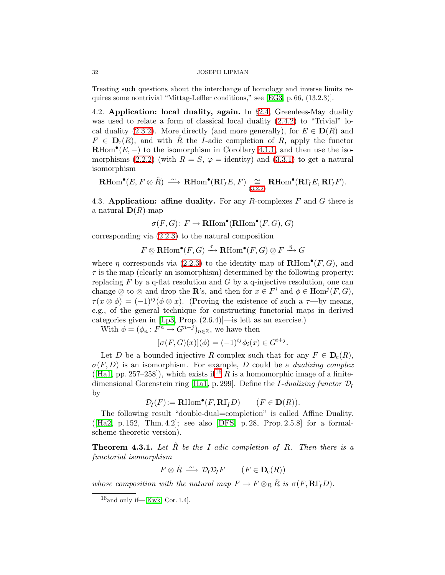Treating such questions about the interchange of homology and inverse limits requires some nontrivial "Mittag-Leffler conditions," see [\[EG3,](#page-50-7) p. 66, (13.2.3)].

<span id="page-31-3"></span>4.2. Application: local duality, again. In §[2.4,](#page-16-1) Greenlees-May duality was used to relate a form of classical local duality  $(2.4.2)$  to "Trivial" lo-cal duality [\(2.3.2\)](#page-16-0). More directly (and more generally), for  $E \in D(R)$  and  $F \in \mathbf{D}_{c}(R)$ , and with  $\hat{R}$  the *I*-adic completion of R, apply the functor  $\mathbf{R}\text{Hom}^\bullet(E,-)$  to the isomorphism in Corollary [4.1.1,](#page-29-0) and then use the iso-morphisms [\(2.2.2\)](#page-14-1) (with  $R = S$ ,  $\varphi =$  identity) and [\(3.3.1\)](#page-21-0) to get a natural isomorphism

$$
\mathrm{\mathbf{R}Hom}^{\bullet}(E,F\otimes \hat{R}) \ \stackrel{\sim}{\longrightarrow} \ \mathrm{\mathbf{R}Hom}^{\bullet}(\mathbf{R}\Gamma_{I}E,F) \ \underset{(3.2.2)}{\cong} \ \mathrm{\mathbf{R}Hom}^{\bullet}(\mathbf{R}\Gamma_{I}E,\mathbf{R}\Gamma_{I}F).
$$

<span id="page-31-0"></span>4.3. Application: affine duality. For any R-complexes  $F$  and  $G$  there is a natural  $\mathbf{D}(R)$ -map

 $\sigma(F,G) \colon F \to \mathbf{R}\text{Hom}^\bullet(\mathbf{R}\text{Hom}^\bullet(F,G),G)$ 

corresponding via [\(2.2.3\)](#page-14-2) to the natural composition

$$
F \underset{\sim}{\otimes} \operatorname{\mathbf{R}Hom}^\bullet(F,G) \xrightarrow{\tau} \operatorname{\mathbf{R}Hom}^\bullet(F,G) \underset{\sim}{\otimes} F \xrightarrow{\eta} G
$$

where  $\eta$  corresponds via [\(2.2.3\)](#page-14-2) to the identity map of **RHom**<sup>o</sup> $(F, G)$ , and  $\tau$  is the map (clearly an isomorphism) determined by the following property: replacing  $F$  by a q-flat resolution and  $G$  by a q-injective resolution, one can change  $\mathcal{Q}$  to  $\otimes$  and drop the **R**'s, and then for  $x \in F^i$  and  $\phi \in \text{Hom}^j(F, G)$ ,  $\tau(x \otimes \phi) = (-1)^{ij} (\phi \otimes x)$ . (Proving the existence of such a  $\tau$ —by means, e.g., of the general technique for constructing functorial maps in derived categories given in [\[Lp3,](#page-50-5) Prop. (2.6.4)]—is left as an exercise.)

With  $\phi = (\phi_n : F^n \to G^{n+j})_{n \in \mathbb{Z}}$ , we have then

$$
[\sigma(F, G)(x)](\phi) = (-1)^{ij} \phi_i(x) \in G^{i+j}.
$$

Let D be a bounded injective R-complex such that for any  $F \in D_c(R)$ ,  $\sigma(F, D)$  is an isomorphism. For example, D could be a *dualizing complex*  $([Ha1, pp. 257-258])$  $([Ha1, pp. 257-258])$  $([Ha1, pp. 257-258])$ , which exists if <sup>[16](#page-31-1)</sup> R is a homomorphic image of a finite-dimensional Gorenstein ring [\[Ha1,](#page-50-6) p. 299]. Define the *I*-dualizing functor  $\mathcal{D}_I$ by

 $\mathcal{D}_I(F) := \mathbf{R}\text{Hom}^{\bullet}(F, \mathbf{R}\Gamma_I D) \qquad (F \in \mathbf{D}(R)).$ 

The following result "double-dual=completion" is called Affine Duality.  $([Ha2, p. 152, Thm. 4.2];$  $([Ha2, p. 152, Thm. 4.2];$  $([Ha2, p. 152, Thm. 4.2];$  see also [\[DFS,](#page-49-2) p. 28, Prop. 2.5.8] for a formalscheme-theoretic version).

<span id="page-31-2"></span>**Theorem 4.3.1.** Let  $\hat{R}$  be the I-adic completion of  $R$ . Then there is a functorial isomorphism

$$
F \otimes \hat{R} \ \xrightarrow{\sim} \ \mathcal{D}_I \mathcal{D}_I F \qquad (F \in \mathbf{D}_c(R))
$$

<span id="page-31-1"></span>whose composition with the natural map  $F \to F \otimes_R \hat{R}$  is  $\sigma(F, \mathbf{R}\Gamma_I D)$ .

 $16$ and only if—[\[Kwk,](#page-50-18) Cor. 1.4].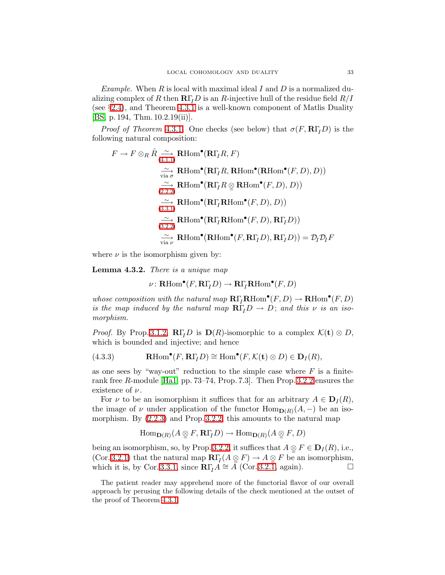Example. When R is local with maximal ideal I and D is a normalized dualizing complex of R then  $R\Gamma_I D$  is an R-injective hull of the residue field  $R/I$ (see §[2.4\)](#page-16-1), and Theorem [4.3.1](#page-31-2) is a well-known component of Matlis Duality [\[BS,](#page-49-1) p. 194, Thm. 10.2.19(ii)].

*Proof of Theorem [4.3.1](#page-31-2).* One checks (see below) that  $\sigma(F, \mathbf{R}\Gamma_I D)$  is the following natural composition:

$$
F \to F \otimes_R \hat{R} \xrightarrow{\sim} \text{RHom}^{\bullet}(\mathbf{R}\Gamma_I R, F)
$$
  
\n
$$
\xrightarrow[\text{via }\sigma]{\sim} \text{RHom}^{\bullet}(\mathbf{R}\Gamma_I R, \text{RHom}^{\bullet}(\mathbf{RHom}^{\bullet}(F, D), D))
$$
  
\n
$$
\xrightarrow[\text{(2.2.2)}]{\sim} \text{RHom}^{\bullet}(\mathbf{R}\Gamma_I R \otimes \text{RHom}^{\bullet}(F, D), D))
$$
  
\n
$$
\xrightarrow[\text{(3.3.1)}]{\sim} \text{RHom}^{\bullet}(\mathbf{R}\Gamma_I \text{RHom}^{\bullet}(F, D), D))
$$
  
\n
$$
\xrightarrow[\text{(3.2.2)}]{\sim} \text{RHom}^{\bullet}(\mathbf{R}\Gamma_I \text{RHom}^{\bullet}(F, D), \mathbf{R}\Gamma_I D))
$$
  
\n
$$
\xrightarrow[\text{via }\nu]{\sim} \text{RHom}^{\bullet}(\mathbf{RHom}^{\bullet}(F, \mathbf{R}\Gamma_I D), \mathbf{R}\Gamma_I D)) = \mathcal{D}_I \mathcal{D}_I F
$$

<span id="page-32-0"></span>where  $\nu$  is the isomorphism given by:

Lemma 4.3.2. There is a unique map

$$
\nu\colon\mathbf{R}\mathrm{Hom}^\bullet(F,\mathbf{R}\Gamma_I D)\to\mathbf{R}\Gamma_I\mathbf{R}\mathrm{Hom}^\bullet(F,D)
$$

whose composition with the natural map  $\mathbf{R}\Gamma_l\mathbf{R}\text{Hom}^\bullet(F, D) \to \mathbf{R}\text{Hom}^\bullet(F, D)$ is the map induced by the natural map  $R\Gamma_I D \to D$ ; and this  $\nu$  is an isomorphism.

*Proof.* By Prop. [3.1.2,](#page-18-1)  $\mathbb{R}\Gamma_I D$  is  $\mathbb{D}(R)$ -isomorphic to a complex  $\mathcal{K}(t) \otimes D$ , which is bounded and injective; and hence

<span id="page-32-1"></span>(4.3.3) 
$$
\mathbf{R}\mathrm{Hom}^{\bullet}(F,\mathbf{R}\Gamma_{I}D) \cong \mathrm{Hom}^{\bullet}(F,\mathcal{K}(\mathbf{t}) \otimes D) \in \mathbf{D}_{I}(R),
$$

as one sees by "way-out" reduction to the simple case where  $F$  is a finiterank free R-module [\[Ha1,](#page-50-6) pp. 73–74, Prop. 7.3]. Then Prop. [3.2.2](#page-20-1) ensures the existence of  $\nu$ .

For  $\nu$  to be an isomorphism it suffices that for an arbitrary  $A \in \mathbf{D}_I(R)$ , the image of  $\nu$  under application of the functor  $\text{Hom}_{\mathbf{D}(R)}(A, -)$  be an isomorphism. By [\(2.2.3\)](#page-14-2) and Prop. [3.2.2,](#page-20-1) this amounts to the natural map

$$
\operatorname{Hom}\nolimits_{{\mathbf D}(R)}(A \otimes F, \mathbf{R}\Gamma_{\!I}D) \to \operatorname{Hom}\nolimits_{{\mathbf D}(R)}(A \otimes F, D)
$$

being an isomorphism, so, by Prop. [3.2.2,](#page-20-1) it suffices that  $A \underset{\sim}{\otimes} F \in \mathbf{D}_I(R)$ , i.e., (Cor. [3.2.1\)](#page-20-0) that the natural map  $\mathbb{R}\Gamma_I(A \underset{\cong}{\otimes} F) \to A \underset{\cong}{\otimes} F$  be an isomorphism, which it is, by Cor. [3.3.1,](#page-21-0) since  $\mathbb{R}\Gamma_I A \cong A$  (Cor. [3.2.1,](#page-20-0) again).  $\Box$ 

The patient reader may apprehend more of the functorial flavor of our overall approach by perusing the following details of the check mentioned at the outset of the proof of Theorem [4.3.1.](#page-31-2)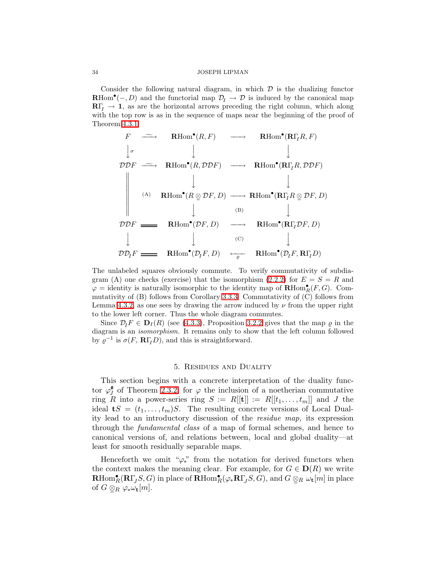Consider the following natural diagram, in which  $\mathcal D$  is the dualizing functor **RHom<sup>•</sup>**(-, D) and the functorial map  $\mathcal{D}_I \to \mathcal{D}$  is induced by the canonical map  $\mathbb{R}\Gamma$ <sub>I</sub>  $\rightarrow$  1, as are the horizontal arrows preceding the right column, which along with the top row is as in the sequence of maps near the beginning of the proof of Theorem [4.3.1.](#page-31-2)

$$
F \longrightarrow \text{RHom}^{\bullet}(R, F) \longrightarrow \text{RHom}^{\bullet}(\text{R}\Gamma_{I}R, F)
$$
\n
$$
\downarrow \qquad \qquad \downarrow \qquad \qquad \downarrow
$$
\n
$$
\mathcal{DDF} \longrightarrow \text{RHom}^{\bullet}(R, \mathcal{DDF}) \longrightarrow \text{RHom}^{\bullet}(\text{R}\Gamma_{I}R, \mathcal{DDF})
$$
\n
$$
\downarrow \qquad \qquad \downarrow
$$
\n
$$
\text{(A)} \text{RHom}^{\bullet}(R \underset{\Box}{\otimes} \mathcal{D}F, D) \longrightarrow \text{RHom}^{\bullet}(\text{R}\Gamma_{I}R \underset{\Box}{\otimes} \mathcal{D}F, D)
$$
\n
$$
\downarrow \qquad \qquad \downarrow
$$
\n
$$
\mathcal{DDF} \longrightarrow \text{RHom}^{\bullet}(\mathcal{D}F, D) \longrightarrow \text{RHom}^{\bullet}(\text{R}\Gamma_{I}\mathcal{D}F, D)
$$
\n
$$
\downarrow \qquad \qquad \downarrow \qquad \qquad \downarrow
$$
\n
$$
\mathcal{D}\mathcal{D}_{I}F \longrightarrow \text{RHom}^{\bullet}(\mathcal{D}_{I}F, D) \longrightarrow \text{RHom}^{\bullet}(\mathcal{D}_{I}F, \text{R}\Gamma_{I}D)
$$

The unlabeled squares obviously commute. To verify commutativity of subdia-gram (A) one checks (exercise) that the isomorphism [\(2.2.2\)](#page-14-1) for  $E = S = R$  and  $\varphi =$  identity is naturally isomorphic to the identity map of  $\mathbf{R}\text{Hom}_{R}^{\bullet}(F,G)$ . Commutativity of (B) follows from Corollary [3.3.3.](#page-22-5) Commutativity of (C) follows from Lemma [4.3.2,](#page-32-0) as one sees by drawing the arrow induced by  $\nu$  from the upper right to the lower left corner. Thus the whole diagram commutes.

Since  $\mathcal{D}_I F \in \mathbf{D}_I (R)$  (see [\(4.3.3\)](#page-32-1), Proposition [3.2.2](#page-20-1) gives that the map  $\varrho$  in the diagram is an isomorphism. It remains only to show that the left column followed by  $\varrho^{-1}$  is  $\sigma(F, \mathbf{R}\Gamma_I D)$ , and this is straightforward.

## 5. Residues and Duality

<span id="page-33-0"></span>This section begins with a concrete interpretation of the duality functor  $\varphi_J^*$  $J_J^*$  of Theorem [2.3.2,](#page-16-0) for  $\varphi$  the inclusion of a noetherian commutative ring R into a power-series ring  $S := R[[t]] := R[[t_1, \ldots, t_m]]$  and J the ideal  $\mathbf{t}S = (t_1,\ldots,t_m)S$ . The resulting concrete versions of Local Duality lead to an introductory discussion of the residue map, its expression through the fundamental class of a map of formal schemes, and hence to canonical versions of, and relations between, local and global duality—at least for smooth residually separable maps.

<span id="page-33-1"></span>Henceforth we omit " $\varphi_*$ " from the notation for derived functors when the context makes the meaning clear. For example, for  $G \in \mathbf{D}(R)$  we write  $\mathbf{R}\text{Hom}_R^\bullet(\mathbf{R}\Gamma_J S,G)$  in place of  $\mathbf{R}\text{Hom}_R^\bullet(\varphi_*\mathbf{R}\Gamma_J S,G)$ , and  $G \otimes_R \omega_\mathbf{t}[m]$  in place of  $G \otimes_R \varphi_* \omega_{\mathbf{t}}[m]$ .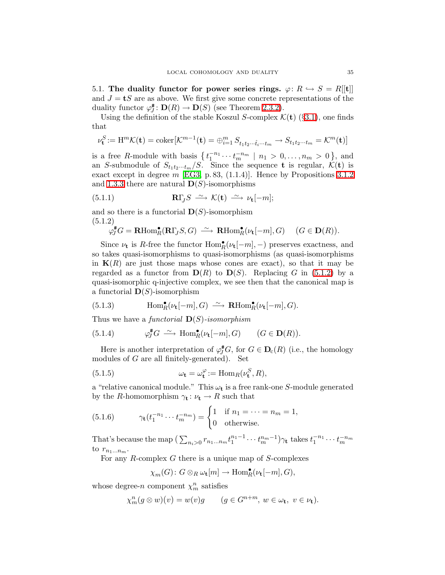5.1. The duality functor for power series rings.  $\varphi: R \hookrightarrow S = R[[t]]$ and  $J = tS$  are as above. We first give some concrete representations of the duality functor  $\varphi^{\#}_{I}$  $\mathcal{D}(R) \to \mathbf{D}(S)$  (see Theorem [2.3.2\)](#page-16-0).

Using the definition of the stable Koszul S-complex  $K(t)$  (§[3.1\)](#page-18-3), one finds that

$$
\nu_{\mathbf{t}}^S := \mathbf{H}^m \mathcal{K}(\mathbf{t}) = \text{coker}[\mathcal{K}^{m-1}(\mathbf{t}) = \bigoplus_{i=1}^m S_{t_1 t_2 \cdots \hat{t}_i \cdots t_m} \to S_{t_1 t_2 \cdots t_m} = \mathcal{K}^m(\mathbf{t})]
$$

is a free R-module with basis  $\{t_1^{-n_1}\cdots t_m^{-n_m} \mid n_1 > 0,\ldots,n_m > 0\}$ , and an S-submodule of  $S_{t_1t_2\cdots t_m}/S$ . Since the sequence **t** is regular,  $\mathcal{K}(\mathbf{t})$  is exact except in degree  $m$  [\[EG3,](#page-50-7) p. 83, (1.1.4)]. Hence by Propositions [3.1.2](#page-18-1) and [1.3.3](#page-7-1) there are natural  $\mathbf{D}(S)$ -isomorphisms

<span id="page-34-2"></span>(5.1.1) 
$$
\mathbf{R}\Gamma_J S \stackrel{\sim}{\longrightarrow} \mathcal{K}(\mathbf{t}) \stackrel{\sim}{\longrightarrow} \nu_{\mathbf{t}}[-m];
$$

<span id="page-34-0"></span>and so there is a functorial  $\mathbf{D}(S)$ -isomorphism (5.1.2)

$$
\varphi_J^*G = \mathbf{R}\mathrm{Hom}_R^{\bullet}(\mathbf{R}\Gamma_J S, G) \xrightarrow{\sim} \mathbf{R}\mathrm{Hom}_R^{\bullet}(\nu_t[-m], G) \quad (G \in \mathbf{D}(R)).
$$

Since  $\nu_{\mathbf{t}}$  is R-free the functor  $\text{Hom}_{R}^{\bullet}(\nu_{\mathbf{t}}[-m],-)$  preserves exactness, and so takes quasi-isomorphisms to quasi-isomorphisms (as quasi-isomorphisms in  $K(R)$  are just those maps whose cones are exact), so that it may be regarded as a functor from  $\mathbf{D}(R)$  to  $\mathbf{D}(S)$ . Replacing G in [\(5.1.2\)](#page-34-0) by a quasi-isomorphic q-injective complex, we see then that the canonical map is a functorial  $\mathbf{D}(S)$ -isomorphism

(5.1.3) 
$$
\text{Hom}_R^{\bullet}(\nu_t[-m], G) \xrightarrow{\sim} \text{RHom}_R^{\bullet}(\nu_t[-m], G).
$$

<span id="page-34-1"></span>Thus we have a functorial  $\mathbf{D}(S)$ -isomorphism

(5.1.4) 
$$
\varphi_J^{\#}G \stackrel{\sim}{\longrightarrow} \text{Hom}_R^{\bullet}(\nu_{\mathbf{t}}[-m], G) \qquad (G \in \mathbf{D}(R)).
$$

Here is another interpretation of  $\varphi_J^{\#}G$ , for  $G \in \mathbf{D}_{c}(R)$  (i.e., the homology modules of  $G$  are all finitely-generated). Set

<span id="page-34-4"></span>(5.1.5) 
$$
\omega_{\mathbf{t}} = \omega_{\mathbf{t}}^{\varphi} := \text{Hom}_{R}(\nu_{\mathbf{t}}^{S}, R),
$$

a "relative canonical module." This  $\omega_t$  is a free rank-one S-module generated by the R-homomorphism  $\gamma_t : \nu_t \to R$  such that

<span id="page-34-3"></span>(5.1.6) 
$$
\gamma_{\mathbf{t}}(t_1^{-n_1} \cdots t_m^{-n_m}) = \begin{cases} 1 & \text{if } n_1 = \cdots = n_m = 1, \\ 0 & \text{otherwise.} \end{cases}
$$

That's because the map  $(\sum_{n_i>0} r_{n_1...n_m} t_1^{n_1-1} \cdots t_m^{n_m-1}) \gamma_t$  takes  $t_1^{-n_1} \cdots t_m^{-n_m}$ to  $r_{n_1...n_m}$ .

For any R-complex  $G$  there is a unique map of S-complexes

$$
\chi_m(G)\colon G\otimes_R \omega_{\mathbf{t}}[m]\to \text{Hom}_R^\bullet(\nu_{\mathbf{t}}[-m],G),
$$

whose degree-n component  $\chi_m^n$  satisfies

$$
\chi_m^n(g \otimes w)(v) = w(v)g \qquad (g \in G^{n+m}, \ w \in \omega_{\mathbf{t}}, \ v \in \nu_{\mathbf{t}}).
$$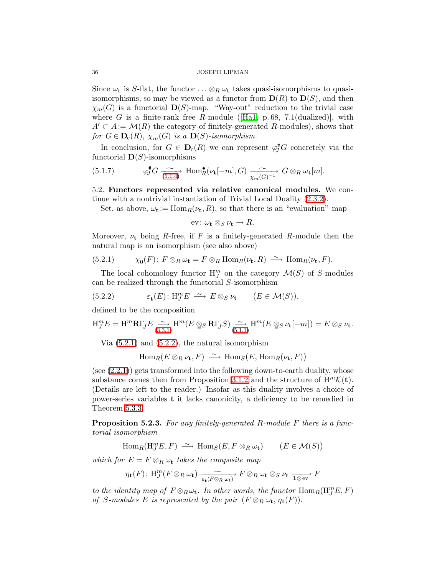Since  $\omega_t$  is S-flat, the functor  $\ldots \otimes_R \omega_t$  takes quasi-isomorphisms to quasiisomorphisms, so may be viewed as a functor from  $\mathbf{D}(R)$  to  $\mathbf{D}(S)$ , and then  $\chi_m(G)$  is a functorial  $\mathbf{D}(S)$ -map. "Way-out" reduction to the trivial case whereG is a finite-rank free R-module ([\[Ha1,](#page-50-6) p.68, 7.1(dualized)], with  $A' \subset A := \mathcal{M}(R)$  the category of finitely-generated R-modules), shows that for  $G \in \mathbf{D}_{c}(R)$ ,  $\chi_{m}(G)$  is a  $\mathbf{D}(S)$ -isomorphism.

In conclusion, for  $G \in \mathbf{D}_{c}(R)$  we can represent  $\varphi_{J}^{*}G$  concretely via the functorial  $\mathbf{D}(S)$ -isomorphisms

<span id="page-35-3"></span>(5.1.7) 
$$
\varphi_J^{\#}G \xrightarrow[5.1.4]{} \text{Hom}_R^{\bullet}(\nu_{\mathbf{t}}[-m], G) \xrightarrow[\chi_m(G)^{-1}]{\sim} G \otimes_R \omega_{\mathbf{t}}[m].
$$

5.2. Functors represented via relative canonical modules. We continue with a nontrivial instantiation of Trivial Local Duality [\(2.3.2\)](#page-16-0).

Set, as above,  $\omega_t := \text{Hom}_R(\nu_t, R)$ , so that there is an "evaluation" map

$$
\text{ev}: \omega_{\mathbf{t}} \otimes_{S} \nu_{\mathbf{t}} \to R.
$$

Moreover,  $\nu_t$  being R-free, if F is a finitely-generated R-module then the natural map is an isomorphism (see also above)

<span id="page-35-0"></span>(5.2.1) 
$$
\chi_0(F) \colon F \otimes_R \omega_{\mathbf{t}} = F \otimes_R \text{Hom}_R(\nu_{\mathbf{t}}, R) \stackrel{\sim}{\longrightarrow} \text{Hom}_R(\nu_{\mathbf{t}}, F).
$$

The local cohomology functor  $H_{J}^{m}$  on the category  $\mathcal{M}(S)$  of S-modules can be realized through the functorial S-isomorphism

<span id="page-35-1"></span>(5.2.2) 
$$
\varepsilon_{t}(E) : H_{J}^{m} E \longrightarrow E \otimes_{S} \nu_{t} \qquad (E \in \mathcal{M}(S)),
$$

defined to be the composition

$$
\mathcal{H}_{J}^{m}E = \mathcal{H}^{m}\mathbf{R}\Gamma_{J}E \xrightarrow{(3.3.1)} \mathcal{H}^{m}(E \otimes_{S} \mathbf{R}\Gamma_{J}S) \xrightarrow{(5.1.1)} \mathcal{H}^{m}(E \otimes_{S} \nu_{\mathbf{t}}[-m]) = E \otimes_{S} \nu_{\mathbf{t}}.
$$

Via [\(5.2.1\)](#page-35-0) and [\(5.2.2\)](#page-35-1), the natural isomorphism

 $\text{Hom}_R(E \otimes_R \nu_{\textbf{t}}, F) \longrightarrow \text{Hom}_S(E, \text{Hom}_R(\nu_{\textbf{t}}, F))$ 

 $(see (2.2.1))$  $(see (2.2.1))$  $(see (2.2.1))$  gets transformed into the following down-to-earth duality, whose substance comes then from Proposition [3.1.2](#page-18-1) and the structure of  $H^mK(t)$ . (Details are left to the reader.) Insofar as this duality involves a choice of power-series variables t it lacks canonicity, a deficiency to be remedied in Theorem [5.3.3.](#page-37-0)

<span id="page-35-2"></span>**Proposition 5.2.3.** For any finitely-generated R-module F there is a functorial isomorphism

 $\text{Hom}_R(\text{H}_{J}^{m}E, F) \longrightarrow \text{Hom}_S(E, F \otimes_R \omega_{\mathbf{t}}) \qquad (E \in \mathcal{M}(S))$ 

which for  $E = F \otimes_R \omega_t$  takes the composite map

$$
\eta_{\mathbf{t}}(F) \colon \mathrm{H}_{J}^{m}(F \otimes_{R} \omega_{\mathbf{t}}) \xrightarrow[\varepsilon_{\mathbf{t}}(F \otimes_{R} \omega_{\mathbf{t}})]{} F \otimes_{R} \omega_{\mathbf{t}} \otimes_{S} \nu_{\mathbf{t}} \xrightarrow[\mathbf{1} \otimes \mathrm{ev}]{} F
$$

to the identity map of  $F \otimes_R \omega_t$ . In other words, the functor  $\text{Hom}_R(\text{H}_J^m E, F)$ of S-modules E is represented by the pair  $(F \otimes_R \omega_t, \eta_t(F))$ .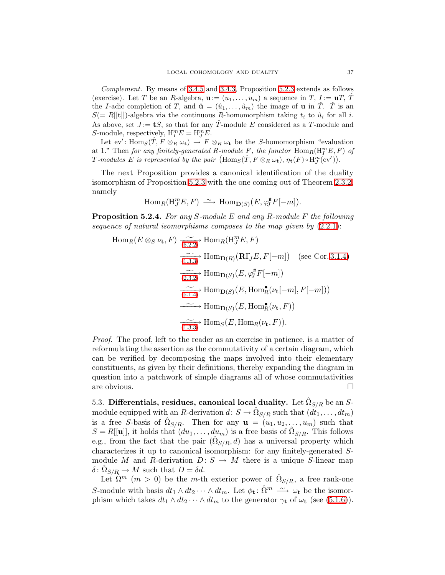Complement. By means of [3.4.5](#page-23-0) and [3.4.3,](#page-22-3) Proposition [5.2.3](#page-35-2) extends as follows (exercise). Let T be an R-algebra,  $\mathbf{u} := (u_1, \ldots, u_m)$  a sequence in T,  $I := \mathbf{u}T$ , T the I-adic completion of T, and  $\hat{\mathbf{u}} = (\hat{u}_1, \dots, \hat{u}_m)$  the image of **u** in  $\hat{T}$ .  $\hat{T}$  is an  $S(= R[[t]])$ -algebra via the continuous R-homomorphism taking  $t_i$  to  $\hat{u}_i$  for all i. As above, set  $J := tS$ , so that for any  $\hat{T}$ -module E considered as a T-module and S-module, respectively,  $H_I^m E = H_J^m E$ .

Let  $\mathrm{ev}'$ :  $\mathrm{Hom}_S(\hat{T}, F \otimes_R \omega_t) \to F \otimes_R \omega_t$  be the S-homomorphism "evaluation" at 1." Then for any finitely-generated R-module  $\overline{F}$ , the functor  $\text{Hom}_R(\text{H}_I^m E, F)$  of T-modules E is represented by the pair  $(\text{Hom}_S(\hat{T}, F \otimes_R \omega_t), \eta_t(F) \circ \text{H}_{J}^{m}(\text{ev}'))$ .

The next Proposition provides a canonical identification of the duality isomorphism of Proposition [5.2.3](#page-35-2) with the one coming out of Theorem [2.3.2,](#page-16-0) namely

$$
\operatorname{Hom}_R(\operatorname{H}_{J}^m E, F) \xrightarrow{\sim} \operatorname{Hom}_{\mathbf{D}(S)}(E, \varphi_{J}^{\#} F[-m]).
$$

<span id="page-36-1"></span>Proposition 5.2.4. For any S-module E and any R-module F the following sequence of natural isomorphisms composes to the map given by  $(2.2.1)$ :

Hom<sub>R</sub>(
$$
E \otimes_S \nu_t
$$
,  $F$ )  $\xrightarrow[ (5.2.2)]$  Hom<sub>R</sub>(H<sup>m</sup><sub>J</sub> $E$ ,  $F$ )  
\n $\xrightarrow[ (1.3.3)]$  Hom<sub>D(R)</sub>( $\mathbf{R}\Gamma_J E$ ,  $F[-m]$ ) (see Cor. 3.1.4)  
\n $\xrightarrow[ (2.3.2)]$  Hom<sub>D(S)</sub>( $E$ ,  $\varphi_J^* F[-m]$ )  
\n $\xrightarrow[ (5.1.4)]$  Hom<sub>D(S)</sub>( $E$ , Hom<sup>\*</sup><sub>R</sub>( $\nu_t[-m]$ ,  $F[-m]$ ))  
\n $\xrightarrow[ (1.3.3)]$  Hom<sub>S</sub>( $E$ , Hom<sub>R</sub>( $\nu_t$ ,  $F$ )).  
\n $\xrightarrow[ (1.3.3)]$  Hom<sub>S</sub>( $E$ , Hom<sub>R</sub>( $\nu_t$ ,  $F$ )).

Proof. The proof, left to the reader as an exercise in patience, is a matter of reformulating the assertion as the commutativity of a certain diagram, which can be verified by decomposing the maps involved into their elementary constituents, as given by their definitions, thereby expanding the diagram in question into a patchwork of simple diagrams all of whose commutativities are obvious.

<span id="page-36-0"></span>5.3. Differentials, residues, canonical local duality. Let  $\hat{\Omega}_{S/R}$  be an  $S$ module equipped with an R-derivation  $d: S \to \hat{\Omega}_{S/R}$  such that  $(dt_1, \ldots, dt_m)$ is a free S-basis of  $\hat{\Omega}_{S/R}$ . Then for any  $\mathbf{u} = (u_1, u_2, \ldots, u_m)$  such that  $S = R[[u]]$ , it holds that  $(du_1, \ldots, du_m)$  is a free basis of  $\hat{\Omega}_{S/R}$ . This follows e.g., from the fact that the pair  $(\hat{\Omega}_{S/R}, d)$  has a universal property which characterizes it up to canonical isomorphism: for any finitely-generated Smodule M and R-derivation  $D: S \to M$  there is a unique S-linear map  $\delta \colon \hat{\Omega}_{S/R} \to M$  such that  $D = \delta d$ .

Let  $\hat{\Omega}^m$  (*m* > 0) be the *m*-th exterior power of  $\hat{\Omega}_{S/R}$ , a free rank-one S-module with basis  $dt_1 \wedge dt_2 \cdots \wedge dt_m$ . Let  $\phi_t : \hat{\Omega}^m \longrightarrow \omega_t$  be the isomorphism which takes  $dt_1 \wedge dt_2 \cdots \wedge dt_m$  to the generator  $\gamma_t$  of  $\omega_t$  (see [\(5.1.6\)](#page-34-3)).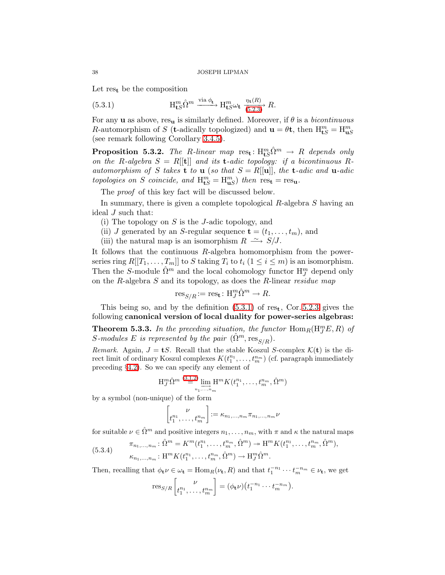<span id="page-37-1"></span>Let  $res_t$  be the composition

(5.3.1) 
$$
\mathcal{H}_{\mathbf{t}S}^m \xrightarrow{\text{via }\phi_{\mathbf{t}}} \mathcal{H}_{\mathbf{t}S}^m \xrightarrow{\eta_{\mathbf{t}}(R)} R.
$$

For any **u** as above, res<sub>u</sub> is similarly defined. Moreover, if  $\theta$  is a *bicontinuous* R-automorphism of S (t-adically topologized) and  $\mathbf{u} = \theta \mathbf{t}$ , then  $H_{\mathbf{t}S}^m = H_{\mathbf{u}S}^m$ (see remark following Corollary [3.4.5\)](#page-23-0).

<span id="page-37-2"></span>**Proposition 5.3.2.** The R-linear map  $res_t : H^{m}_{tS} \hat{\Omega}^{m} \rightarrow R$  depends only on the R-algebra  $S = R[[t]]$  and its **t**-adic topology: if a bicontinuous Rautomorphism of S takes **t** to **u** (so that  $S = R[[u]]$ , the **t**-adic and **u**-adic topologies on S coincide, and  $H_{\text{tS}}^m = H_{\text{uS}}^m$ ) then  $res_{\text{t}} = res_{\text{u}}$ .

The *proof* of this key fact will be discussed below.

In summary, there is given a complete topological  $R$ -algebra  $S$  having an ideal J such that:

- (i) The topology on  $S$  is the J-adic topology, and
- (ii) J generated by an S-regular sequence  $\mathbf{t} = (t_1, \ldots, t_m)$ , and
- (iii) the natural map is an isomorphism  $R \rightharpoonup S/J$ .

It follows that the continuous R-algebra homomorphism from the powerseries ring  $R[[T_1,\ldots,T_m]]$  to S taking  $T_i$  to  $t_i$   $(1 \leq i \leq m)$  is an isomorphism. Then the S-module  $\hat{\Omega}^m$  and the local cohomology functor  $\mathrm{H}_{J}^m$  depend only on the R-algebra  $S$  and its topology, as does the R-linear residue map

$$
\mathrm{res}_{S/R} := \mathrm{res}_{\mathbf{t}} \colon \mathrm{H}_{J}^{m} \hat{\Omega}^{m} \to R.
$$

<span id="page-37-0"></span>This being so, and by the definition  $(5.3.1)$  of res<sub>t</sub>, Cor. [5.2.3](#page-35-2) gives the following canonical version of local duality for power-series algebras:

**Theorem 5.3.3.** In the preceding situation, the functor  $\text{Hom}_R(\text{H}_{J}^{m}E, R)$  of S-modules E is represented by the pair  $(\Omega^m, \text{res}_{S/R})$ .

Remark. Again,  $J = tS$ . Recall that the stable Koszul S-complex  $\mathcal{K}(t)$  is the direct limit of ordinary Koszul complexes  $K(t_1^{n_1},...,t_m^{n_m})$  (cf. paragraph immediately preceding §[4.2\)](#page-31-3). So we can specify any element of

$$
\mathcal{H}_{J}^{m} \hat{\Omega}^{m} \stackrel{(3,1,2)}{=} \lim_{n_{1}, \dots, n_{m}} \mathcal{H}^{m} K(t_{1}^{n_{1}}, \dots, t_{m}^{n_{m}}, \hat{\Omega}^{m})
$$

by a symbol (non-unique) of the form

$$
\begin{bmatrix} \nu \\ t_1^{n_1}, \dots, t_m^{n_m} \end{bmatrix} := \kappa_{n_1, \dots, n_m} \pi_{n_1, \dots, n_m} \nu
$$

for suitable  $\nu \in \hat{\Omega}^m$  and positive integers  $n_1, \ldots, n_m$ , with  $\pi$  and  $\kappa$  the natural maps

(5.3.4) 
$$
\pi_{n_1,...,n_m}: \hat{\Omega}^m = K^m(t_1^{n_1},...,t_m^{n_m}, \hat{\Omega}^m) \to \mathcal{H}^m K(t_1^{n_1},...,t_m^{n_m}, \hat{\Omega}^m),
$$

$$
\kappa_{n_1,...,n_m}: \mathcal{H}^m K(t_1^{n_1},...,t_m^{n_m}, \hat{\Omega}^m) \to \mathcal{H}_J^m \hat{\Omega}^m.
$$

Then, recalling that  $\phi_t \nu \in \omega_t = \text{Hom}_R(\nu_t, R)$  and that  $t_1^{-n_1} \cdots t_m^{-n_m} \in \nu_t$ , we get

$$
\operatorname{res}_{S/R}\left[\begin{matrix} \nu \\ t_1^{n_1}, \dots, t_m^{n_m} \end{matrix}\right] = (\phi_t \nu)(t_1^{-n_1} \cdots t_m^{-n_m}).
$$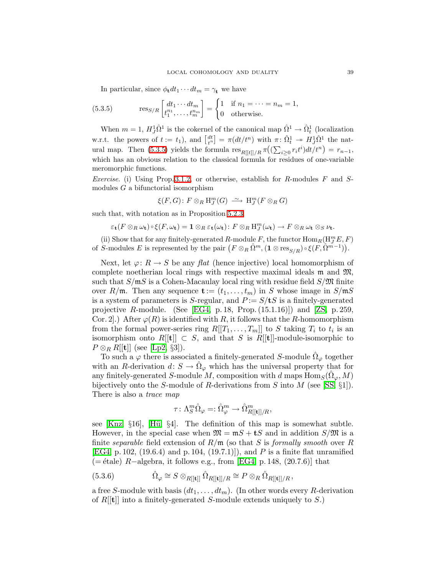In particular, since  $\phi_{\mathbf{t}} dt_1 \cdots dt_m = \gamma_{\mathbf{t}}$  we have

<span id="page-38-0"></span>(5.3.5) 
$$
\operatorname{res}_{S/R}\begin{bmatrix} dt_1 \cdots dt_m \\ t_1^{n_1}, \dots, t_m^{n_m} \end{bmatrix} = \begin{cases} 1 & \text{if } n_1 = \dots = n_m = 1, \\ 0 & \text{otherwise.} \end{cases}
$$

When  $m = 1$ ,  $H_J^1 \hat{\Omega}^1$  is the cokernel of the canonical map  $\hat{\Omega}^1 \to \hat{\Omega}^1_t$  (localization w.r.t. the powers of  $t := t_1$ ), and  $\begin{bmatrix} dt \\ t^n \end{bmatrix} = \pi(dt/t^n)$  with  $\pi: \hat{\Omega}^1_t \to H^1_J \hat{\Omega}^1$  the nat-ural map. Then [\(5.3.5\)](#page-38-0) yields the formula  $res_{R[[t]]/R} \pi((\sum_{i\geq 0} r_i t^i) dt/t^n) = r_{n-1},$ which has an obvious relation to the classical formula for residues of one-variable meromorphic functions.

*Exercise.* (i) Using Prop. [3.1.2,](#page-18-1) or otherwise, establish for R-modules  $F$  and  $S$ modules  $G$  a bifunctorial isomorphism

$$
\xi(F,G)\colon F\otimes_R \mathrm{H}_J^m(G)\ \stackrel{\sim}{\longrightarrow}\ \mathrm{H}_J^m(F\otimes_R G)
$$

such that, with notation as in Proposition [5.2.3,](#page-35-2)

$$
\varepsilon_{\mathbf{t}}(F \otimes_R \omega_{\mathbf{t}}) \circ \xi(F, \omega_{\mathbf{t}}) = \mathbf{1} \otimes_R \varepsilon_{\mathbf{t}}(\omega_{\mathbf{t}}) \colon F \otimes_R \mathrm{H}^m_J(\omega_{\mathbf{t}}) \to F \otimes_R \omega_{\mathbf{t}} \otimes_S \nu_{\mathbf{t}}.
$$

(ii) Show that for any finitely-generated R-module F, the functor  $\text{Hom}_R(\mathbf{H}_{J}^{m}E, F)$ of S-modules E is represented by the pair  $(F \otimes_R \hat{\Omega}^m, (\mathbf{1} \otimes \text{res}_{S/R}) \circ \xi(F, \hat{\Omega}^{m-1})).$ 

Next, let  $\varphi: R \to S$  be any flat (hence injective) local homomorphism of complete noetherian local rings with respective maximal ideals  $\mathfrak{m}$  and  $\mathfrak{M}$ , such that  $S/mS$  is a Cohen-Macaulay local ring with residue field  $S/\mathfrak{M}$  finite over R/m. Then any sequence  $\mathbf{t} := (t_1, \ldots, t_m)$  in S whose image in  $S/\mathfrak{m}S$ is a system of parameters is S-regular, and  $P := S/tS$  is a finitely-generated projective R-module. (See [\[EG4,](#page-50-19) p. 18, Prop.  $(15.1.16)$ ]) and [\[ZS,](#page-50-20) p. 259, Cor. 2. After  $\varphi(R)$  is identified with R, it follows that the R-homomorphism from the formal power-series ring  $R[[T_1,\ldots,T_m]]$  to S taking  $T_i$  to  $t_i$  is an isomorphism onto  $R[[t]] \subset S$ , and that S is  $R[[t]]$ -module-isomorphic to  $P \otimes_R R[[t]]$  (see [\[Lp2,](#page-50-21) §3]).

To such a  $\varphi$  there is associated a finitely-generated S-module  $\hat{\Omega}_{\varphi}$  together with an R-derivation  $d: S \to \hat{\Omega}_{\varphi}$  which has the universal property that for any finitely-generated S-module M, composition with d maps  $\text{Hom}_S(\hat{\Omega}_{\varphi}, M)$ bijectively onto the S-module of R-derivations from S into M (see [\[SS,](#page-50-22)  $\S1$ ]). There is also a *trace map* 

$$
\tau\colon \Lambda^m_S\hat\Omega_\varphi=:\hat\Omega^m_\varphi\to \hat\Omega^m_{R[[{\bf t}]]/R},
$$

see  $[Knz, §16]$ ,  $[Hii, §4]$ . The definition of this map is somewhat subtle. However, in the special case when  $\mathfrak{M} = \mathfrak{m}S + \mathfrak{t}S$  and in addition  $S/\mathfrak{M}$  is a finite separable field extension of  $R/\mathfrak{m}$  (so that S is formally smooth over R [\[EG4,](#page-50-19) p. 102, (19.6.4) and p. 104, (19.7.1)]), and P is a finite flat unramified  $(= \text{étale})$  R−algebra, it follows e.g., from [\[EG4,](#page-50-19) p. 148, (20.7.6)] that

<span id="page-38-1"></span>(5.3.6) 
$$
\hat{\Omega}_{\varphi} \cong S \otimes_{R[[\mathbf{t}]]} \hat{\Omega}_{R[[\mathbf{t}]]/R} \cong P \otimes_R \hat{\Omega}_{R[[\mathbf{t}]]/R}
$$

a free S-module with basis  $(dt_1, \ldots, dt_m)$ . (In other words every R-derivation of  $R[[t]]$  into a finitely-generated S-module extends uniquely to S.)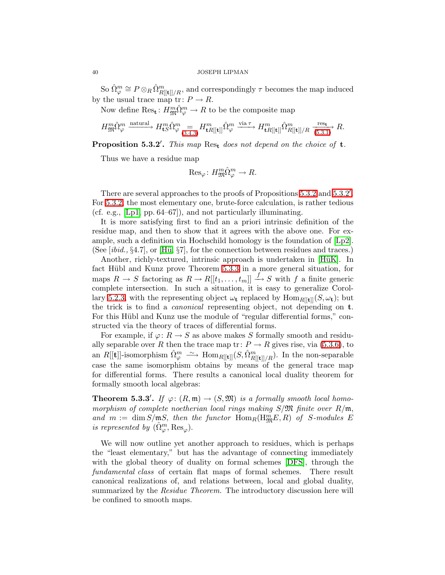So  $\hat{\Omega}_{\varphi}^m \cong P \otimes_R \hat{\Omega}_{R[[\mathbf{t}]]/R}^m$ , and correspondingly  $\tau$  becomes the map induced by the usual trace map tr:  $P \rightarrow R$ .

Now define  $\mathrm{Res}_{\mathbf{t}}: H_{\mathfrak{M}}^{m} \hat{\Omega}_{\varphi}^{m} \to R$  to be the composite map

$$
H_{\mathfrak{M}}^m \hat{\Omega}_{\varphi}^m \xrightarrow{\text{natural}} H_{\mathbf{t}S}^m \hat{\Omega}_{\varphi}^m \underset{(3.4.3)}{=} H_{\mathbf{t}R[[\mathbf{t}]]}^m \hat{\Omega}_{\varphi}^m \xrightarrow{\text{via } \tau} H_{\mathbf{t}R[[\mathbf{t}]]}^m \hat{\Omega}_{R[[\mathbf{t}]]/R}^m \xrightarrow{ \text{res}_\mathbf{t} } R.
$$

<span id="page-39-0"></span>**Proposition 5.3.2'.** This map  $\text{Res}_{t}$  does not depend on the choice of  $t$ .

Thus we have a residue map

$$
\mathrm{Res}_{\varphi} \colon H_{\mathfrak{M}}^m \hat{\Omega}_{\varphi}^m \to R.
$$

There are several approaches to the proofs of Propositions [5.3.2](#page-39-0) and 5.3.2'. For [5.3.2,](#page-37-2) the most elementary one, brute-force calculation, is rather tedious (cf. e.g., [\[Lp1,](#page-50-25) pp. 64–67]), and not particularly illuminating.

It is more satisfying first to find an a priori intrinsic definition of the residue map, and then to show that it agrees with the above one. For example, such a definition via Hochschild homology is the foundation of [\[Lp2\]](#page-50-21). (See  $[ibid., §4.7]$ , or  $[Hii, §7]$ , for the connection between residues and traces.)

Another, richly-textured, intrinsic approach is undertaken in [HüK]. In fact Hübl and Kunz prove Theorem [5.3.3](#page-37-0) in a more general situation, for maps  $R \to S$  factoring as  $R \to R[[t_1,\ldots,t_m]] \stackrel{f}{\to} S$  with f a finite generic complete intersection. In such a situation, it is easy to generalize Corol-lary [5.2.3,](#page-35-2) with the representing object  $\omega_t$  replaced by Hom<sub>R[[t]]</sub>( $S, \omega_t$ ); but the trick is to find a canonical representing object, not depending on t. For this Hübl and Kunz use the module of "regular differential forms," constructed via the theory of traces of differential forms.

For example, if  $\varphi: R \to S$  as above makes S formally smooth and residually separable over R then the trace map tr:  $P \rightarrow R$  gives rise, via [\(5.3.6\)](#page-38-1), to an  $R[[t]]$ -isomorphism  $\hat{\Omega}_{\varphi}^m \longrightarrow \text{Hom}_{R[[t]]}(S, \hat{\Omega}_{R[[t]]/R}^m)$ . In the non-separable case the same isomorphism obtains by means of the general trace map for differential forms. There results a canonical local duality theorem for formally smooth local algebras:

<span id="page-39-1"></span>**Theorem 5.3.3'.** If  $\varphi: (R, \mathfrak{m}) \to (S, \mathfrak{M})$  is a formally smooth local homomorphism of complete noetherian local rings making  $S/\mathfrak{M}$  finite over  $R/\mathfrak{m}$ , and  $m := \dim S/\mathfrak{m}S$ , then the functor  $\text{Hom}_R(\text{H}^m_{\mathfrak{M}}E, R)$  of S-modules E is represented by  $(\hat{\Omega}_{\varphi}^m, \text{Res}_{\varphi}).$ 

We will now outline yet another approach to residues, which is perhaps the "least elementary," but has the advantage of connecting immediately with the global theory of duality on formal schemes [\[DFS\]](#page-49-2), through the fundamental class of certain flat maps of formal schemes. There result canonical realizations of, and relations between, local and global duality, summarized by the *Residue Theorem*. The introductory discussion here will be confined to smooth maps.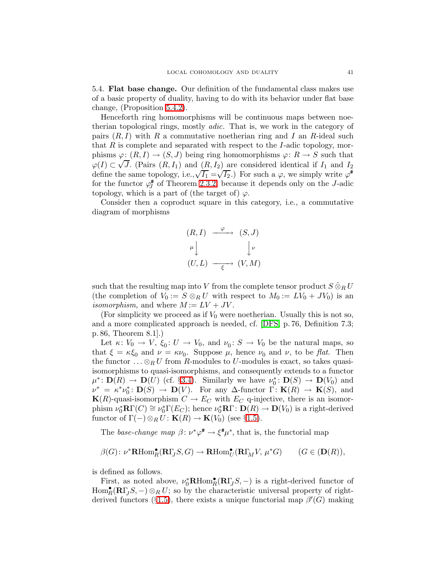<span id="page-40-0"></span>5.4. Flat base change. Our definition of the fundamental class makes use of a basic property of duality, having to do with its behavior under flat base change, (Proposition [5.4.2\)](#page-41-0).

Henceforth ring homomorphisms will be continuous maps between noetherian topological rings, mostly adic. That is, we work in the category of pairs  $(R, I)$  with R a commutative noetherian ring and I an R-ideal such that R is complete and separated with respect to the I-adic topology, morphisms  $\varphi: (R,I) \to (S,J)$  being ring homomorphisms  $\varphi: R \to S$  such that  $\varphi(I) \subset \sqrt{J}$ . (Pairs  $(R, I_1)$  and  $(R, I_2)$  are considered identical if  $I_1$  and  $I_2$ define the same topology, i.e., $\sqrt{I_1} = \sqrt{I_2}$ .) For such a  $\varphi$ , we simply write  $\varphi^*$ for the functor  $\varphi^{\#}_{I}$  $J_J^*$  of Theorem [2.3.2,](#page-16-0) because it depends only on the J-adic topology, which is a part of (the target of)  $\varphi$ .

Consider then a coproduct square in this category, i.e., a commutative diagram of morphisms



such that the resulting map into V from the complete tensor product  $S \hat{\otimes}_R U$ (the completion of  $V_0 := S \otimes_R U$  with respect to  $M_0 := LV_0 + JV_0$ ) is an isomorphism, and where  $M := LV + JV$ .

(For simplicity we proceed as if  $V_0$  were noetherian. Usually this is not so, and a more complicated approach is needed, cf. [\[DFS,](#page-49-2) p. 76, Definition 7.3; p. 86, Theorem 8.1].)

Let  $\kappa: V_0 \to V$ ,  $\xi_0: U \to V_0$ , and  $\nu_0: S \to V_0$  be the natural maps, so that  $\xi = \kappa \xi_0$  and  $\nu = \kappa \nu_0$ . Suppose  $\mu$ , hence  $\nu_0$  and  $\nu$ , to be flat. Then the functor  $\ldots \otimes_R U$  from R-modules to U-modules is exact, so takes quasiisomorphisms to quasi-isomorphisms, and consequently extends to a functor  $\mu^*: \mathbf{D}(R) \to \mathbf{D}(U)$  (cf. §[3.4\)](#page-22-6). Similarly we have  $\nu_0^*: \mathbf{D}(S) \to \mathbf{D}(V_0)$  and  $\nu^* = \kappa^* \nu_0^* \colon \mathbf{D}(S) \to \mathbf{D}(V)$ . For any  $\Delta$ -functor  $\Gamma \colon \mathbf{K}(R) \to \mathbf{K}(S)$ , and  $K(R)$ -quasi-isomorphism  $C \to E_C$  with  $E_C$  q-injective, there is an isomorphism  $\nu_0^* {\bf R} \Gamma(C) \cong \nu_0^* \Gamma(E_C)$ ; hence  $\nu_0^* {\bf R} \Gamma : {\bf D}(R) \to {\bf D}(V_0)$  is a right-derived functor of  $\Gamma(-) \otimes_R U$ :  $\mathbf{K}(R) \to \mathbf{K}(V_0)$  (see §[1.5\)](#page-10-0).

The base-change map  $\beta \colon \nu^* \varphi^{\sharp} \to \xi^{\sharp} \mu^*$ , that is, the functorial map

$$
\beta(G) \colon \nu^* \mathbf{R} \text{Hom}_R^\bullet(\mathbf{R} \Gamma_J S, G) \to \mathbf{R} \text{Hom}_U^\bullet(\mathbf{R} \Gamma_M V, \mu^* G) \qquad (G \in (\mathbf{D}(R)),
$$

is defined as follows.

First, as noted above,  $\nu_0^* \mathbf{R} \text{Hom}_R^{\bullet}(\mathbf{R} \Gamma_J S, -)$  is a right-derived functor of  $\text{Hom}_R^{\bullet}(\mathbf{R}\Gamma_J S, -) \otimes_R U$ ; so by the characteristic universal property of right-derived functors (§[1.5\)](#page-10-0), there exists a unique functorial map  $\beta'(G)$  making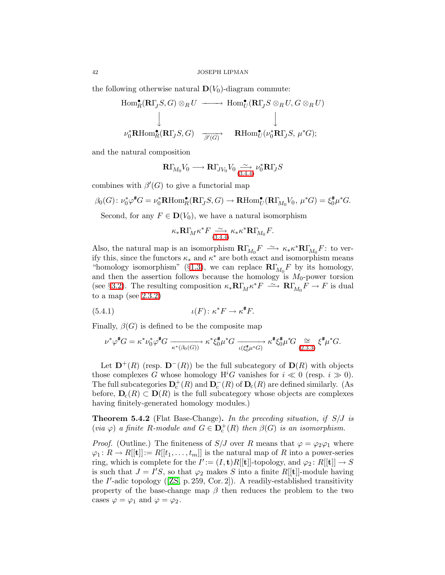the following otherwise natural  $\mathbf{D}(V_0)$ -diagram commute:

$$
\text{Hom}_{R}^{\bullet}(\mathbf{R}\Gamma_{J}S, G) \otimes_{R} U \longrightarrow \text{Hom}_{U}^{\bullet}(\mathbf{R}\Gamma_{J}S \otimes_{R} U, G \otimes_{R} U)
$$
\n
$$
\downarrow \qquad \qquad \downarrow
$$
\n
$$
\nu_{0}^{*}\mathbf{R}\text{Hom}_{R}^{\bullet}(\mathbf{R}\Gamma_{J}S, G) \longrightarrow \text{Hom}_{U}^{\bullet}(\nu_{0}^{*}\mathbf{R}\Gamma_{J}S, \mu^{*}G);
$$

and the natural composition

$$
\mathbf{R}\Gamma_{M_0}V_0 \longrightarrow \mathbf{R}\Gamma_{JV_0}V_0 \underset{(3.4.4)}{\sim} \nu_0^* \mathbf{R}\Gamma_J S
$$

combines with  $\beta'(G)$  to give a functorial map

$$
\beta_0(G) \colon \nu_0^* \varphi^* G = \nu_0^* \text{RHom}_R^{\bullet}(\mathbf{R}\Gamma_J S, G) \to \text{RHom}_U^{\bullet}(\mathbf{R}\Gamma_{M_0} V_0, \mu^* G) = \xi_0^* \mu^* G.
$$

Second, for any  $F \in \mathbf{D}(V_0)$ , we have a natural isomorphism

$$
\kappa_* \mathbf{R} \Gamma_M \kappa^* F \underset{(3.4.4)}{\sim} \kappa_* \kappa^* \mathbf{R} \Gamma_{M_0} F.
$$

Also, the natural map is an isomorphism  $\mathbf{R}\Gamma_{M_0}F \longrightarrow \kappa_*\kappa^* \mathbf{R}\Gamma_{M_0}F$ : to verify this, since the functors  $\kappa_*$  and  $\kappa^*$  are both exact and isomorphism means "homology isomorphism" (§[1.3\)](#page-5-2), we can replace  $\mathbf{R}\Gamma_{M_0}F$  by its homology, and then the assertion follows because the homology is  $M_0$ -power torsion (see §[3.2\)](#page-20-2). The resulting composition  $\kappa_* \mathbf{R} \Gamma_M \kappa^* F \longrightarrow \mathbf{R} \Gamma_{M_0} F \longrightarrow F$  is dual to a map (see  $2.3.2$ )

<span id="page-41-1"></span>(5.4.1) 
$$
\iota(F) \colon \kappa^* F \to \kappa^* F.
$$

Finally,  $\beta(G)$  is defined to be the composite map

$$
\nu^*\varphi^\#G=\kappa^*\nu_0^*\varphi^\#G \xrightarrow[\kappa^*(\beta_0(G))]{}\kappa^*\xi_0^\#\mu^*G \xrightarrow[\iota(\xi_0^\#\mu^*G) \qquad \kappa^\# \xi_0^\#\mu^*G \xrightarrow[(2.3.3) \xi^\# \mu^*G.
$$

Let  $\mathbf{D}^+(R)$  (resp.  $\mathbf{D}^-(R)$ ) be the full subcategory of  $\mathbf{D}(R)$  with objects those complexes G whose homology  $H<sup>i</sup>G$  vanishes for  $i \ll 0$  (resp.  $i \gg 0$ ). The full subcategories  $\mathbf{D}_{c}^{+}(R)$  and  $\mathbf{D}_{c}^{-}(R)$  of  $\mathbf{D}_{c}(R)$  are defined similarly. (As before,  $D_c(R) \subset D(R)$  is the full subcategory whose objects are complexes having finitely-generated homology modules.)

<span id="page-41-0"></span>**Theorem 5.4.2** (Flat Base-Change). In the preceding situation, if  $S/J$  is (via  $\varphi$ ) a finite R-module and  $G \in \mathbf{D}_{c}^{+}(R)$  then  $\beta(G)$  is an isomorphism.

*Proof.* (Outline.) The finiteness of  $S/J$  over R means that  $\varphi = \varphi_2 \varphi_1$  where  $\varphi_1: R \to R[[t]] := R[[t_1,\ldots,t_m]]$  is the natural map of R into a power-series ring, which is complete for the  $I' := (I, \mathbf{t})R[[\mathbf{t}]]$ -topology, and  $\varphi_2 : R[[\mathbf{t}]] \to S$ is such that  $J = I'S$ , so that  $\varphi_2$  makes S into a finite R[[t]]-module having theI'-adic topology ([\[ZS,](#page-50-20) p. 259, Cor. 2]). A readily-established transitivity property of the base-change map  $\beta$  then reduces the problem to the two cases  $\varphi = \varphi_1$  and  $\varphi = \varphi_2$ .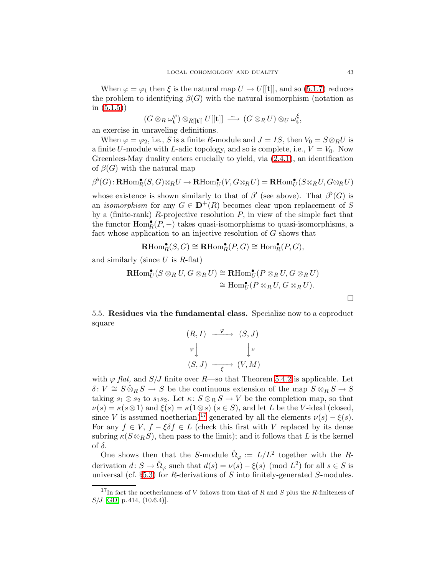When  $\varphi = \varphi_1$  then  $\xi$  is the natural map  $U \to U[[t]]$ , and so [\(5.1.7\)](#page-35-3) reduces the problem to identifying  $\beta(G)$  with the natural isomorphism (notation as in  $(5.1.5)$ 

$$
(G\otimes_R\omega_{\mathbf{t}}^\varphi)\otimes_{R[[\mathbf{t}]]}U[[\mathbf{t}]]\;\stackrel{\sim}{\longrightarrow}\;(G\otimes_R U)\otimes_U\omega_{\mathbf{t}}^\xi,
$$

an exercise in unraveling definitions.

When  $\varphi = \varphi_2$ , i.e., S is a finite R-module and  $J = IS$ , then  $V_0 = S \otimes_R U$  is a finite U-module with L-adic topology, and so is complete, i.e.,  $V = V_0$ . Now Greenlees-May duality enters crucially to yield, via [\(2.4.1\)](#page-16-3), an identification of  $\beta(G)$  with the natural map

$$
\beta^{\flat}(G): \mathbf{R}\mathrm{Hom}^{\bullet}_{R}(S, G) \otimes_{R} U \to \mathbf{R}\mathrm{Hom}^{\bullet}_{U}(V, G \otimes_{R} U) = \mathbf{R}\mathrm{Hom}^{\bullet}_{U}(S \otimes_{R} U, G \otimes_{R} U)
$$

whose existence is shown similarly to that of  $\beta'$  (see above). That  $\beta^{b}(G)$  is an *isomorphism* for any  $G \in \mathbf{D}^{+}(R)$  becomes clear upon replacement of S by a (finite-rank)  $R$ -projective resolution  $P$ , in view of the simple fact that the functor  $\operatorname{Hom}_R^\bullet(P,-)$  takes quasi-isomorphisms to quasi-isomorphisms, a fact whose application to an injective resolution of G shows that

$$
\mathrm{RHom}_R^{\bullet}(S,G) \cong \mathrm{RHom}_R^{\bullet}(P,G) \cong \mathrm{Hom}_R^{\bullet}(P,G),
$$

and similarly (since  $U$  is  $R$ -flat)

$$
\mathbf{R}\mathrm{Hom}^{\bullet}_{U}(S\otimes_{R}U, G\otimes_{R}U)\cong\mathbf{R}\mathrm{Hom}^{\bullet}_{U}(P\otimes_{R}U, G\otimes_{R}U)
$$

$$
\cong \mathrm{Hom}^{\bullet}_{U}(P\otimes_{R}U, G\otimes_{R}U).
$$

<span id="page-42-0"></span>5.5. Residues via the fundamental class. Specialize now to a coproduct square

$$
(R, I) \xrightarrow{\varphi} (S, J)
$$
  
\n
$$
\varphi \downarrow \qquad \qquad \downarrow \nu
$$
  
\n
$$
(S, J) \xrightarrow{\epsilon} (V, M)
$$

with  $\varphi$  *flat*, and *S*/*J* finite over *R*—so that Theorem [5.4.2](#page-41-0) is applicable. Let  $\delta: V \cong S \hat{\otimes}_R S \to S$  be the continuous extension of the map  $S \otimes_R S \to S$ taking  $s_1 \otimes s_2$  to  $s_1s_2$ . Let  $\kappa: S \otimes_R S \to V$  be the completion map, so that  $\nu(s) = \kappa(s \otimes 1)$  and  $\xi(s) = \kappa(1 \otimes s)$   $(s \in S)$ , and let L be the V-ideal (closed, since V is assumed noetherian)<sup>[17](#page-42-1)</sup> generated by all the elements  $\nu(s) - \xi(s)$ . For any  $f \in V$ ,  $f - \xi \delta f \in L$  (check this first with V replaced by its dense subring  $\kappa(S \otimes_R S)$ , then pass to the limit); and it follows that L is the kernel of  $\delta$ .

One shows then that the S-module  $\hat{\Omega}_{\varphi} := L/L^2$  together with the Rderivation  $d: S \to \hat{\Omega}_{\varphi}$  such that  $d(s) = \nu(s) - \xi(s) \pmod{L^2}$  for all  $s \in S$  is universal (cf.  $\S 5.3$ ) for R-derivations of S into finitely-generated S-modules.

 $\Box$ 

<span id="page-42-1"></span><sup>&</sup>lt;sup>17</sup>In fact the noetherianness of V follows from that of R and S plus the R-finiteness of  $S/J$  [\[GD,](#page-50-27) p. 414, (10.6.4)].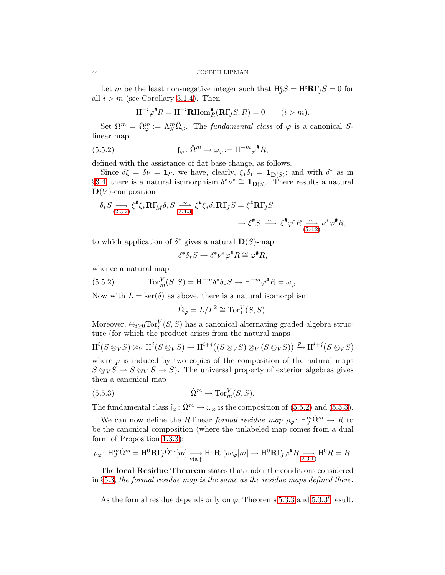Let m be the least non-negative integer such that  $H_J^iS = H^i{\bf R}\Gamma_JS = 0$  for all  $i > m$  (see Corollary [3.1.4\)](#page-19-0). Then

$$
\mathbf{H}^{-i}\varphi^{\#}R=\mathbf{H}^{-i}\mathbf{R}\mathrm{Hom}_R^{\bullet}(\mathbf{R}\Gamma_{\!J}S,R)=0\qquad(i>m).
$$

Set  $\hat{\Omega}^m = \hat{\Omega}^m_{\varphi} := \Lambda_S^m \hat{\Omega}_{\varphi}$ . The *fundamental class* of  $\varphi$  is a canonical Slinear map

(5.5.2) 
$$
\mathfrak{f}_{\varphi} \colon \hat{\Omega}^m \to \omega_{\varphi} := \mathcal{H}^{-m} \varphi^{\#} R,
$$

defined with the assistance of flat base-change, as follows.

Since  $\delta \xi = \delta \nu = \mathbf{1}_S$ , we have, clearly,  $\xi_* \delta_* = \mathbf{1}_{\mathbf{D}(S)}$ ; and with  $\delta^*$  as in §[3.4,](#page-22-6) there is a natural isomorphism  $\delta^*\nu^* \cong \mathbf{1}_{\mathbf{D}(S)}$ . There results a natural  $\mathbf{D}(V)$ -composition

$$
\delta_* S \underset{(2.3.2)}{\longrightarrow} \xi^* \xi_* \mathbf{R} \Gamma_M \delta_* S \underset{(3.4.3)}{\overset{\sim}{\longrightarrow}} \xi^* \xi_* \delta_* \mathbf{R} \Gamma_J S = \xi^* \mathbf{R} \Gamma_J S
$$

$$
\longrightarrow \xi^* S \overset{\sim}{\longrightarrow} \xi^* \varphi^* R \underset{(5.4.2)}{\overset{\sim}{\longrightarrow}} \nu^* \varphi^* R,
$$

to which application of  $\delta^*$  gives a natural  $\mathbf{D}(S)$ -map

$$
\delta^* \delta_* S \to \delta^* \nu^* \varphi^* R \cong \varphi^* R,
$$

<span id="page-43-0"></span>whence a natural map

(5.5.2) 
$$
\operatorname{Tor}_m^V(S, S) = \operatorname{H}^{-m} \delta^* \delta_* S \to \operatorname{H}^{-m} \varphi^* R = \omega_{\varphi}.
$$

Now with  $L = \text{ker}(\delta)$  as above, there is a natural isomorphism

$$
\hat{\Omega}_{\varphi} = L/L^2 \cong \text{Tor}_1^V(S, S).
$$

Moreover,  $\bigoplus_{i\geq 0} \text{Tor}_i^V(S, S)$  has a canonical alternating graded-algebra structure (for which the product arises from the natural maps

$$
H^i(S \otimes_V S) \otimes_V H^j(S \otimes_V S) \to H^{i+j}((S \otimes_V S) \otimes_V (S \otimes_V S)) \xrightarrow{p} H^{i+j}(S \otimes_V S)
$$

where  $p$  is induced by two copies of the composition of the natural maps  $S \otimes_V S \to S \otimes_V S \to S$ . The universal property of exterior algebras gives then a canonical map

<span id="page-43-1"></span>(5.5.3) 
$$
\hat{\Omega}^m \to \operatorname{Tor}_m^V(S, S).
$$

The fundamental class  $\mathfrak{f}_{\varphi}$ :  $\hat{\Omega}^m \to \omega_{\varphi}$  is the composition of [\(5.5.2\)](#page-43-0) and [\(5.5.3\)](#page-43-1).

We can now define the R-linear formal residue map  $\rho_{\varphi} \colon H_J^m \Omega^m \to R$  to be the canonical composition (where the unlabeled map comes from a dual form of Proposition [1.3.3\)](#page-7-1):

$$
\rho_{\varphi} \colon \mathrm{H}_{J}^{m} \hat{\Omega}^{m} = \mathrm{H}^{0} \mathbf{R} \Gamma_{J} \hat{\Omega}^{m} [m] \xrightarrow[\text{via } \mathfrak{f}]} \mathrm{H}^{0} \mathbf{R} \Gamma_{J} \omega_{\varphi} [m] \to \mathrm{H}^{0} \mathbf{R} \Gamma_{J} \varphi^{\#} R \xrightarrow[\text{(2.3.1)}]{} \mathrm{H}^{0} R = R.
$$

The local Residue Theorem states that under the conditions considered in  $§5.3$ , the formal residue map is the same as the residue maps defined there.

As the formal residue depends only on  $\varphi$ , Theorems [5.3.3](#page-39-1) and 5.3.3' result.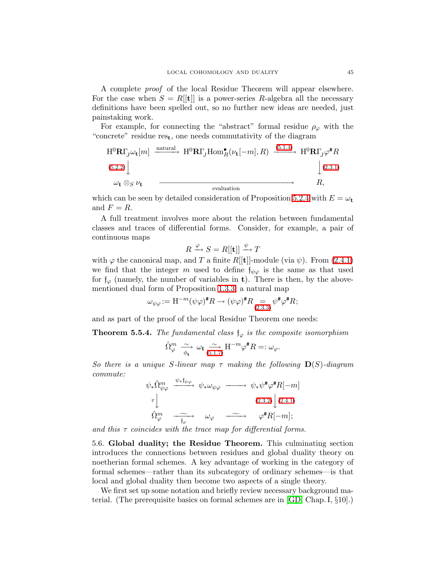A complete proof of the local Residue Theorem will appear elsewhere. For the case when  $S = R[[t]]$  is a power-series R-algebra all the necessary definitions have been spelled out, so no further new ideas are needed, just painstaking work.

For example, for connecting the "abstract" formal residue  $\rho_{\varphi}$  with the "concrete" residue res<sub>t</sub>, one needs commutativity of the diagram

$$
H^{0}\mathbf{R}\Gamma_{J}\omega_{t}[m] \xrightarrow{\text{natural}} H^{0}\mathbf{R}\Gamma_{J}\text{Hom}_{R}^{\bullet}(\nu_{t}[-m],R) \xrightarrow{(5.1.4)} H^{0}\mathbf{R}\Gamma_{J}\varphi^{*}R
$$
  
\n(5.2.2) 
$$
\downarrow (2.3.1)
$$
\n
$$
\omega_{t} \otimes_{S} \nu_{t} \xrightarrow{\text{evaluation}}
$$

which can be seen by detailed consideration of Proposition [5.2.4](#page-36-1) with  $E = \omega_t$ and  $F = R$ .

A full treatment involves more about the relation between fundamental classes and traces of differential forms. Consider, for example, a pair of continuous maps

$$
R \xrightarrow{\varphi} S = R[[\mathbf{t}]] \xrightarrow{\psi} T
$$

with  $\varphi$  the canonical map, and T a finite R[[t]]-module (via  $\psi$ ). From [\(2.4.1\)](#page-16-3) we find that the integer m used to define  $f_{\psi\varphi}$  is the same as that used for  $f_{\varphi}$  (namely, the number of variables in **t**). There is then, by the abovementioned dual form of Proposition [1.3.3,](#page-7-1) a natural map

$$
\omega_{\psi\varphi} := \mathcal{H}^{-m}(\psi\varphi)^{\#}\mathcal{R} \to (\psi\varphi)^{\#}\mathcal{R} \underset{(2.3.3)}{=} \psi^{\#}\varphi^{\#}\mathcal{R};
$$

<span id="page-44-1"></span>and as part of the proof of the local Residue Theorem one needs:

**Theorem 5.5.4.** The fundamental class  $\mathfrak{f}_{\varphi}$  is the composite isomorphism

$$
\hat{\Omega}_{\varphi}^{m} \xrightarrow[\phi_{\mathbf{t}}]{} \omega_{\mathbf{t}} \xrightarrow[\mathbf{5.1.7}]{} \mathbf{H}^{-m} \varphi^{\#} R =: \omega_{\varphi}.
$$

So there is a unique S-linear map  $\tau$  making the following  $\mathbf{D}(S)$ -diagram commute:

$$
\psi_* \hat{\Omega}_{\psi\varphi}^m \xrightarrow{\psi_* \mathfrak{f}_{\psi\varphi}} \psi_* \omega_{\psi\varphi} \longrightarrow \psi_* \psi^{\sharp} \varphi^{\sharp} R[-m]
$$
\n
$$
\tau \downarrow \qquad (2.3.2) \downarrow (2.4.1)
$$
\n
$$
\hat{\Omega}_{\varphi}^m \xrightarrow{\sim} \omega_{\varphi} \xrightarrow{\sim} \varphi^{\sharp} R[-m];
$$

<span id="page-44-0"></span>and this  $\tau$  coincides with the trace map for differential forms.

5.6. Global duality; the Residue Theorem. This culminating section introduces the connections between residues and global duality theory on noetherian formal schemes. A key advantage of working in the category of formal schemes—rather than its subcategory of ordinary schemes—is that local and global duality then become two aspects of a single theory.

We first set up some notation and briefly review necessary background material. (The prerequisite basics on formal schemes are in [\[GD,](#page-50-27) Chap. I, §10].)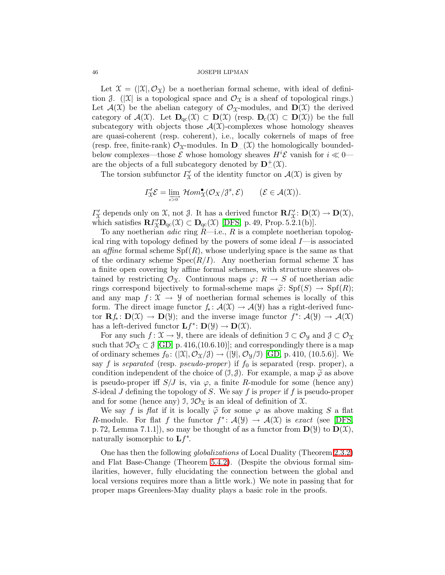Let  $\mathcal{X} = (X|\mathcal{X}, \mathcal{O}_X)$  be a noetherian formal scheme, with ideal of definition  $\beta$ . ( $|\mathfrak{X}|$  is a topological space and  $\mathcal{O}_{\mathfrak{X}}$  is a sheaf of topological rings.) Let  $\mathcal{A}(\mathfrak{X})$  be the abelian category of  $\mathcal{O}_{\mathfrak{X}}$ -modules, and  $\mathbf{D}(\mathfrak{X})$  the derived category of  $\mathcal{A}(\mathfrak{X})$ . Let  $\mathbf{D}_{\text{qc}}(\mathfrak{X}) \subset \mathbf{D}(\mathfrak{X})$  (resp.  $\mathbf{D}_{\text{c}}(\mathfrak{X}) \subset \mathbf{D}(\mathfrak{X})$ ) be the full subcategory with objects those  $\mathcal{A}(\mathcal{X})$ -complexes whose homology sheaves are quasi-coherent (resp. coherent), i.e., locally cokernels of maps of free (resp. free, finite-rank)  $\mathcal{O}_X$ -modules. In  $\mathbf{D}_{\dots}(X)$  the homologically boundedbelow complexes—those  $\mathcal E$  whose homology sheaves  $H^i\mathcal E$  vanish for  $i \ll 0$  are the objects of a full subcategory denoted by  $\mathbf{D}_{\dots}^+(\mathfrak{X})$ .

The torsion subfunctor  $\Gamma'_{\mathcal{X}}$  of the identity functor on  $\mathcal{A}(\mathcal{X})$  is given by

$$
\Gamma'_{\mathfrak{X}} \mathcal{E} = \lim_{\substack{\longrightarrow \\ s > 0}} \mathcal{H}om_{\mathfrak{X}}^{\bullet}(\mathcal{O}_X/\mathcal{J}^s, \mathcal{E}) \qquad (\mathcal{E} \in \mathcal{A}(\mathfrak{X})).
$$

 $\Gamma'_{\mathfrak{X}}$  depends only on  $\mathfrak{X}$ , not  $\mathfrak{Z}$ . It has a derived functor  $\mathbf{R}\Gamma'_{\mathfrak{X}}\colon \mathbf{D}(\mathfrak{X}) \to \mathbf{D}(\mathfrak{X}),$ which satisfies  $\mathbf{R} \Gamma'_{\mathcal{X}} \mathbf{D}_{\mathrm{qc}}(\mathcal{X}) \subset \mathbf{D}_{\mathrm{qc}}(\mathcal{X})$  [\[DFS,](#page-49-2) p. 49, Prop. 5.2.1(b)].

To any noetherian *adic* ring  $R$ —i.e.,  $R$  is a complete noetherian topological ring with topology defined by the powers of some ideal  $I$ —is associated an *affine* formal scheme  $Spf(R)$ , whose underlying space is the same as that of the ordinary scheme  $Spec(R/I)$ . Any noetherian formal scheme X has a finite open covering by affine formal schemes, with structure sheaves obtained by restricting  $\mathcal{O}_{\mathfrak{X}}$ . Continuous maps  $\varphi: R \to S$  of noetherian adic rings correspond bijectively to formal-scheme maps  $\tilde{\varphi}$ : Spf $(S) \to Spf(R)$ ; and any map  $f: \mathfrak{X} \to \mathfrak{Y}$  of noetherian formal schemes is locally of this form. The direct image functor  $f_* : \mathcal{A}(\mathfrak{X}) \to \mathcal{A}(\mathfrak{Y})$  has a right-derived functor  $\mathbf{R}f_*\colon \mathbf{D}(\mathfrak{X}) \to \mathbf{D}(\mathfrak{Y})$ ; and the inverse image functor  $f^*\colon \mathcal{A}(\mathfrak{Y}) \to \mathcal{A}(\mathfrak{X})$ has a left-derived functor  $\mathbf{L} f^* \colon \mathbf{D}(\mathcal{Y}) \to \mathbf{D}(\mathcal{X})$ .

For any such  $f: \mathfrak{X} \to \mathfrak{Y}$ , there are ideals of definition  $\mathfrak{I} \subset \mathcal{O}_{\mathfrak{Y}}$  and  $\mathfrak{J} \subset \mathcal{O}_{\mathfrak{X}}$ such that  $\mathcal{O}_{\mathfrak{X}} \subset \mathcal{J}$  [\[GD,](#page-50-27) p. 416,(10.6.10)]; and correspondingly there is a map of ordinary schemes  $f_0: (\mathcal{X}, \mathcal{O}_{\mathcal{X}}/\mathcal{J}) \to (\mathcal{Y}, \mathcal{O}_{\mathcal{Y}}/\mathcal{I})$  [\[GD,](#page-50-27) p. 410, (10.5.6)]. We say f is separated (resp. pseudo-proper) if  $f_0$  is separated (resp. proper), a condition independent of the choice of  $(\mathcal{I}, \mathcal{J})$ . For example, a map  $\widetilde{\varphi}$  as above is pseudo-proper iff  $S/J$  is, via  $\varphi$ , a finite R-module for some (hence any) S-ideal J defining the topology of S. We say f is proper if f is pseudo-proper and for some (hence any) J,  $\mathcal{O}_{\mathfrak{X}}$  is an ideal of definition of X.

We say f is flat if it is locally  $\tilde{\varphi}$  for some  $\varphi$  as above making S a flat R-module. For flat f the functor  $f^*: \mathcal{A}(\mathcal{Y}) \to \mathcal{A}(\mathcal{X})$  is exact (see [\[DFS,](#page-49-2) p. 72, Lemma 7.1.1]), so may be thought of as a functor from  $\mathbf{D}(\mathcal{Y})$  to  $\mathbf{D}(\mathcal{X})$ , naturally isomorphic to  $\mathbf{L} f^*$ .

<span id="page-45-0"></span>One has then the following globalizations of Local Duality (Theorem [2.3.2\)](#page-16-0) and Flat Base-Change (Theorem [5.4.2\)](#page-41-0). (Despite the obvious formal similarities, however, fully elucidating the connection between the global and local versions requires more than a little work.) We note in passing that for proper maps Greenlees-May duality plays a basic role in the proofs.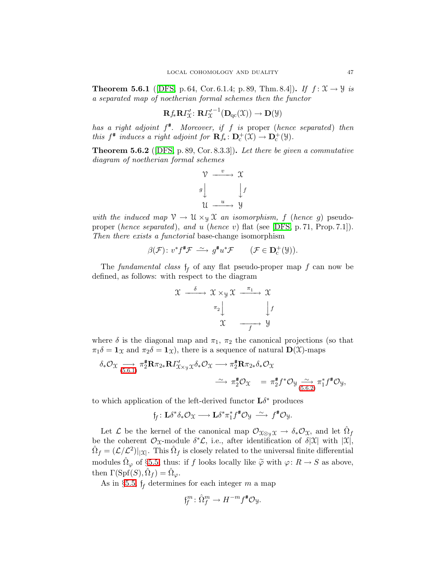**Theorem 5.6.1** ([\[DFS,](#page-49-2) p. 64, Cor. 6.1.4; p. 89, Thm. 8.4]). If  $f: \mathcal{X} \to \mathcal{Y}$  is a separated map of noetherian formal schemes then the functor

$$
\mathbf{R} f_* \mathbf{R} \Gamma'_{\mathfrak{X}} : \mathbf{R} \Gamma'^{-1}_{\mathfrak{X}} \big( \mathbf{D}_{\mathrm{qc}}(\mathfrak{X}) \big) \to \mathbf{D}(\mathfrak{Y})
$$

has a right adjoint  $f^*$ . Moreover, if f is proper (hence separated) then this  $f^*$  induces a right adjoint for  $\mathbf{R} f_* : \mathbf{D}_{c}^+ (\mathfrak{X}) \to \mathbf{D}_{c}^+ (\mathfrak{Y})$ .

<span id="page-46-0"></span>**Theorem 5.6.2** ([\[DFS,](#page-49-2) p. 89, Cor. 8.3.3]). Let there be given a commutative diagram of noetherian formal schemes

$$
\begin{array}{ccc}\n\mathcal{V} & \xrightarrow{v} & \mathcal{X} \\
g & & \downarrow f \\
\mathcal{U} & \xrightarrow{u} & \mathcal{Y}\n\end{array}
$$

with the induced map  $\mathcal{V} \to \mathcal{U} \times_{\mathcal{Y}} \mathcal{X}$  an isomorphism, f (hence g) pseudoproper (hence separated), and u (hence v) flat (see [\[DFS,](#page-49-2) p. 71, Prop. 7.1]). Then there exists a functorial base-change isomorphism

$$
\beta(\mathcal{F})\colon v^*f^{\#}\mathcal{F} \ \stackrel{\sim}{\longrightarrow} g^{\#}u^*\mathcal{F} \qquad \big(\mathcal{F} \in \mathbf{D}_{\mathbf{c}}^+(\mathcal{Y})\big).
$$

The *fundamental class*  $f_f$  of any flat pseudo-proper map  $f$  can now be defined, as follows: with respect to the diagram

$$
x \xrightarrow{\delta} x \times_{y} x \xrightarrow{\pi_{1}} x
$$

$$
\pi_{2} \downarrow \qquad \qquad \downarrow f
$$

$$
x \xrightarrow{f} y
$$

where  $\delta$  is the diagonal map and  $\pi_1$ ,  $\pi_2$  the canonical projections (so that  $\pi_1 \delta = \mathbf{1}_{\mathfrak{X}}$  and  $\pi_2 \delta = \mathbf{1}_{\mathfrak{X}}$ , there is a sequence of natural  $\mathbf{D}(\mathfrak{X})$ -maps

$$
\delta_* \mathcal{O}_{\mathfrak{X}} \underset{(5.6.1)}{\longrightarrow} \pi_2^{\#} \mathbf{R} \pi_{2*} \mathbf{R} \Gamma'_{\mathfrak{X} \times \mathfrak{Y}} \chi \delta_* \mathcal{O}_{\mathfrak{X}} \longrightarrow \pi_2^{\#} \mathbf{R} \pi_{2*} \delta_* \mathcal{O}_{\mathfrak{X}} \longrightarrow
$$
  

$$
\longrightarrow \pi_2^{\#} \mathcal{O}_{\mathfrak{X}} \longrightarrow \pi_2^{\#} f^* \mathcal{O}_{\mathfrak{Y}} \underset{(5.6.2)}{\sim} \pi_1^{\#} f^* \mathcal{O}_{\mathfrak{Y}},
$$

to which application of the left-derived functor  $\mathbf{L}\delta^*$  produces

$$
\mathfrak{f}_f\colon \mathbf{L}\delta^*\delta_*\mathcal{O}_\mathfrak{X}\longrightarrow \mathbf{L}\delta^*\pi_1^*f^\# \mathcal{O}_\mathfrak{Y}\ \stackrel{\sim}{\longrightarrow}\ f^\# \mathcal{O}_\mathfrak{Y}.
$$

Let  $\mathcal L$  be the kernel of the canonical map  $\mathcal O_{\mathfrak X\otimes_{\mathfrak Y}\mathfrak X}\to\delta_*\mathcal O_{\mathfrak X}$ , and let  $\hat\Omega_f$ be the coherent  $\mathcal{O}_{\mathfrak{X}}$ -module  $\delta^*\mathcal{L}$ , i.e., after identification of  $\delta|\mathfrak{X}|$  with  $|\mathfrak{X}|$ ,  $\hat{\Omega}_f = (\mathcal{L}/\mathcal{L}^2)|_{|\mathcal{X}|}$ . This  $\hat{\Omega}_f$  is closely related to the universal finite differential modules  $\hat{\Omega}_{\varphi}$  of §[5.5,](#page-42-0) thus: if f looks locally like  $\tilde{\varphi}$  with  $\varphi: R \to S$  as above, then  $\Gamma(\text{Spf}(S), \hat{\Omega}_f) = \hat{\Omega}_{\varphi}$ .

As in §[5.5,](#page-42-0)  $f_f$  determines for each integer  $m$  a map

$$
\mathfrak{f}_{\!f}^m\colon \hat{\Omega}_f^m\to H^{-m}f^*\mathcal{O}_{\mathcal{Y}}.
$$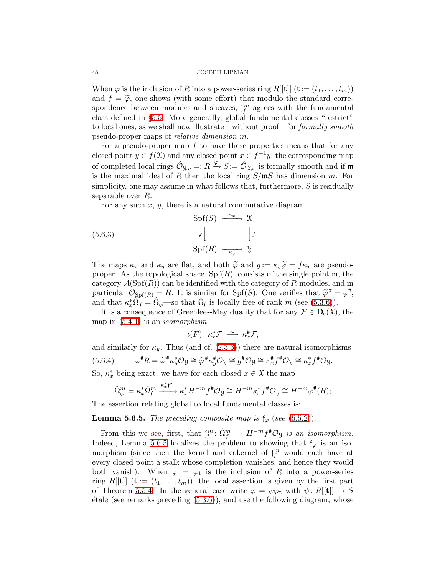When  $\varphi$  is the inclusion of R into a power-series ring R[[t]]  $(\mathbf{t} := (t_1, \ldots, t_m))$ and  $f = \tilde{\varphi}$ , one shows (with some effort) that modulo the standard correspondence between modules and sheaves,  $f_f^m$  agrees with the fundamental class defined in §[5.5.](#page-42-0) More generally, global fundamental classes "restrict" to local ones, as we shall now illustrate—without proof—for formally smooth pseudo-proper maps of relative dimension m.

For a pseudo-proper map  $f$  to have these properties means that for any closed point  $y \in f(\mathfrak{X})$  and any closed point  $x \in f^{-1}y$ , the corresponding map of completed local rings  $\hat{\mathcal{O}}_{\mathcal{Y},y} =: R \xrightarrow{\varphi} S := \hat{\mathcal{O}}_{\mathcal{X},x}$  is formally smooth and if m is the maximal ideal of R then the local ring  $S/mS$  has dimension m. For simplicity, one may assume in what follows that, furthermore,  $S$  is residually separable over R.

For any such  $x, y$ , there is a natural commutative diagram

(5.6.3)  
\n
$$
\begin{array}{c}\n\widetilde{\varphi} \downarrow \longrightarrow \mathfrak{X} \\
\widetilde{\varphi} \downarrow \longrightarrow \downarrow f \\
\operatorname{Spf}(R) \longrightarrow \varphi\n\end{array}
$$

The maps  $\kappa_x$  and  $\kappa_y$  are flat, and both  $\tilde{\varphi}$  and  $g := \kappa_y \tilde{\varphi} = f \kappa_x$  are pseudoproper. As the topological space  $|Spf(R)|$  consists of the single point m, the category  $\mathcal{A}(Spf(R))$  can be identified with the category of R-modules, and in particular  $\mathcal{O}_{\text{Spf}(R)} = R$ . It is similar for  $\text{Spf}(S)$ . One verifies that  $\widetilde{\varphi}^* = \varphi^*$ , and that  $\kappa_x^* \hat{\Omega}_f = \hat{\Omega}_{\varphi}$  so that  $\hat{\Omega}_f$  is locally free of rank m (see [\(5.3.6\)](#page-38-1)).

It is a consequence of Greenlees-May duality that for any  $\mathcal{F} \in \mathbf{D}_{c}(\mathcal{X})$ , the map in  $(5.4.1)$  is an *isomorphism* 

$$
\iota(F) \colon \kappa_x^* \mathcal{F} \; \xrightarrow{\sim} \; \kappa_x^* \mathcal{F},
$$

<span id="page-47-1"></span>and similarly for  $\kappa_y$ . Thus (and cf. [\(2.3.3\)](#page-16-2)) there are natural isomorphisms  $(5.6.4)$  ${}^{\#}R = \widetilde{\varphi}^{\#}\kappa_y^* \mathcal{O}_y \cong \widetilde{\varphi}^{\#}\kappa_y^* \mathcal{O}_y \cong g^{\#} \mathcal{O}_y \cong \kappa_x^* f^{\#} \mathcal{O}_y \cong \kappa_x^* f^{\#} \mathcal{O}_y.$ So,  $\kappa_x^*$  being exact, we have for each closed  $x \in \mathcal{X}$  the map

$$
\hat{\Omega}^m_\varphi=\kappa^*_x\hat{\Omega}^m_f\xrightarrow{\kappa^*_x\sharp^m}_{\quad \ \ } \kappa^*_xH^{-m}f^{\text{\small\#}}\mathcal{O}_\mathcal{Y}\cong H^{-m}\kappa^*_xf^{\text{\small\#}}\mathcal{O}_\mathcal{Y}\cong H^{-m}\varphi^{\text{\small\#}}(R);
$$

<span id="page-47-0"></span>The assertion relating global to local fundamental classes is:

**Lemma 5.6.5.** The preceding composite map is  $\mathfrak{f}_{\varphi}$  (see [\(5.5.2\)](#page-43-0)).

From this we see, first, that  $f_f^m: \hat{\Omega}_f^m \to H^{-m} f^* \mathcal{O}_\mathcal{Y}$  is an isomorphism. Indeed, Lemma [5.6.5](#page-47-0) localizes the problem to showing that  $f_{\varphi}$  is an isomorphism (since then the kernel and cokernel of  $f_f^m$  would each have at every closed point a stalk whose completion vanishes, and hence they would both vanish). When  $\varphi = \varphi_t$  is the inclusion of R into a power-series ring R[ $[t]$ ] ( $\mathbf{t} := (t_1, \ldots, t_m)$ ), the local assertion is given by the first part of Theorem [5.5.4.](#page-44-1) In the general case write  $\varphi = \psi \varphi_t$  with  $\psi: R[[t]] \to S$  $\text{\'etale}$  (see remarks preceding  $(5.3.6)$ ), and use the following diagram, whose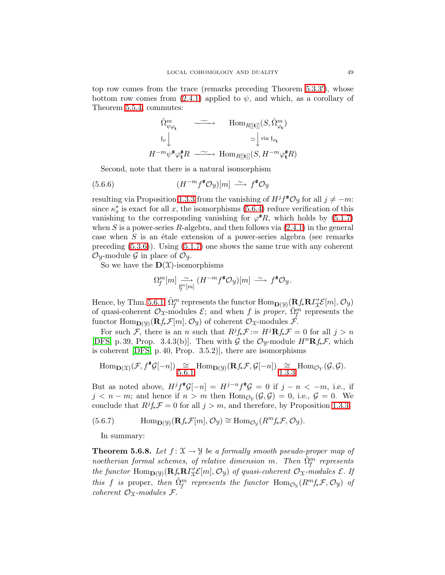top row comes from the trace (remarks preceding Theorem [5.3.3](#page-39-1)'), whose bottom row comes from  $(2.4.1)$  applied to  $\psi$ , and which, as a corollary of Theorem [5.5.4,](#page-44-1) commutes:

$$
\begin{array}{ccc}\n\hat{\Omega}_{\psi\varphi_{\mathbf{t}}}^{m} & \xrightarrow{\hspace{0.5cm}} \text{Hom}_{R[[\mathbf{t}]]}(S, \hat{\Omega}_{\varphi_{\mathbf{t}}}^{m}) \\
\downarrow^{\hspace{0.5cm} \mathfrak{f}_{\varphi}} & \simeq^{\hspace{0.5cm} \mathfrak{f}_{\mathfrak{t}}} \text{via } \mathfrak{f}_{\varphi_{\mathbf{t}}} \\
H^{-m}\psi^{\sharp}\varphi_{\mathbf{t}}^{\sharp}R & \xrightarrow{\hspace{0.5cm}} \text{Hom}_{R[[\mathbf{t}]]}(S, H^{-m}\varphi_{\mathbf{t}}^{\sharp}R)\n\end{array}
$$

<span id="page-48-2"></span>Second, note that there is a natural isomorphism

(5.6.6) 
$$
(H^{-m} f^* \mathcal{O}_y)[m] \xrightarrow{\sim} f^* \mathcal{O}_y
$$

resulting via Proposition [1.3.3](#page-7-1) from the vanishing of  $H^{j}f^{\sharp}\mathcal{O}_{\mathcal{Y}}$  for all  $j \neq -m$ : since  $\kappa_x^*$  is exact for all x, the isomorphisms [\(5.6.4\)](#page-47-1) reduce verification of this vanishing to the corresponding vanishing for  $\varphi^{*}\hat{R}$ , which holds by [\(5.1.7\)](#page-35-3) when S is a power-series R-algebra, and then follows via  $(2.4.1)$  in the general case when  $S$  is an étale extension of a power-series algebra (see remarks preceding  $(5.3.6)$ . Using  $(5.1.7)$  one shows the same true with any coherent  $\mathcal{O}_y$ -module G in place of  $\mathcal{O}_y$ .

So we have the  $\mathbf{D}(\mathcal{X})$ -isomorphisms

$$
\Omega_f^m[m] \xrightarrow[\mathfrak{f}^m]{} (H^{-m} f^* \mathcal{O}_y)[m] \xrightarrow{\sim} f^* \mathcal{O}_y.
$$

Hence, by Thm. [5.6.1,](#page-45-0)  $\hat{\Omega}_{f}^{m}$  represents the functor  $\text{Hom}_{\mathbf{D}(\mathcal{Y})}(\mathbf{R} f_* \mathbf{R} \Gamma'_{\mathcal{X}} \mathcal{E}[m], \mathcal{O}_{\mathcal{Y}})$ of quasi-coherent  $\mathcal{O}_X$ -modules  $\mathcal{E}$ ; and when f is proper,  $\hat{\Omega}_f^m$  represents the functor  $\text{Hom}_{\mathbf{D}(\mathcal{Y})}(\mathbf{R}f_*\mathcal{F}[m], \mathcal{O}_{\mathcal{Y}})$  of coherent  $\mathcal{O}_{\mathcal{X}}$ -modules  $\mathcal{F}$ .

For such F, there is an n such that  $R^jf_*\mathcal{F} := H^j\mathbf{R}f_*\mathcal{F} = 0$  for all  $j > n$ [\[DFS,](#page-49-2) p. 39, Prop. 3.4.3(b)]. Then with G the  $\mathcal{O}_y$ -module  $H^n \mathbf{R} f_* \mathcal{F}$ , which is coherent [\[DFS,](#page-49-2) p. 40, Prop. 3.5.2)], there are isomorphisms

$$
\mathrm{Hom}_{\mathbf{D}(\mathfrak{X})}(\mathcal{F},f^*\mathcal{G}[-n]) \underset{5.6.1}{\cong} \mathrm{Hom}_{\mathbf{D}(\mathcal{Y})}(\mathbf{R}f_*\mathcal{F},\mathcal{G}[-n]) \underset{1.3.3}{\cong} \mathrm{Hom}_{\mathcal{O}_Y}(\mathcal{G},\mathcal{G}).
$$

But as noted above,  $H^{j}f^{\sharp}G[-n] = H^{j-n}f^{\sharp}G = 0$  if  $j - n < -m$ , i.e., if  $j < n-m$ ; and hence if  $n > m$  then  $\text{Hom}_{\mathcal{O}_Y}(\mathcal{G}, \mathcal{G}) = 0$ , i.e.,  $\mathcal{G} = 0$ . We conclude that  $Rj_{*}F = 0$  for all  $j > m$ , and therefore, by Proposition [1.3.3,](#page-7-1)

<span id="page-48-1"></span>(5.6.7) 
$$
\text{Hom}_{\mathbf{D}(\mathcal{Y})}(\mathbf{R}f_*\mathcal{F}[m], \mathcal{O}_{\mathcal{Y}}) \cong \text{Hom}_{\mathcal{O}_{\mathcal{Y}}}(R^m f_*\mathcal{F}, \mathcal{O}_{\mathcal{Y}}).
$$

In summary:

<span id="page-48-0"></span>**Theorem 5.6.8.** Let  $f: \mathcal{X} \to \mathcal{Y}$  be a formally smooth pseudo-proper map of noetherian formal schemes, of relative dimension m. Then  $\hat{\Omega}_{f}^{m}$  represents the functor  $\text{Hom}_{\mathbf{D}(\mathcal{Y})}(\mathbf{R}f_*\mathbf{R}I'_{\mathcal{X}}\mathcal{E}[m], \mathcal{O}_{\mathcal{Y}})$  of quasi-coherent  $\mathcal{O}_{\mathcal{X}}$ -modules  $\mathcal{E}$ . If this f is proper, then  $\hat{\Omega}_{f}^{m}$  represents the functor  $\text{Hom}_{\mathcal{O}_{\mathfrak{Y}}}(R^{m}f_{*}\mathcal{F},\mathcal{O}_{\mathfrak{Y}})$  of coherent  $\mathcal{O}_X$ -modules  $\mathcal{F}$ .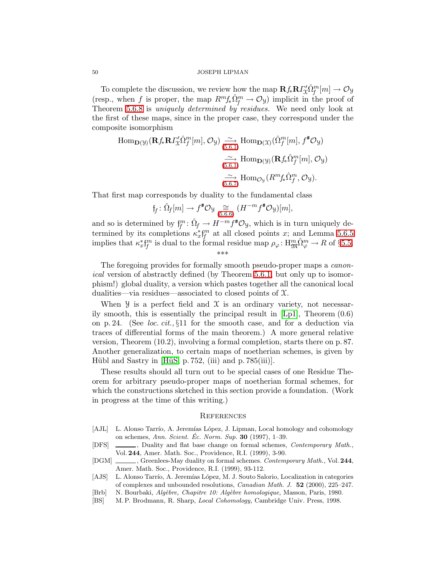To complete the discussion, we review how the map  $\mathbf{R} f_* \mathbf{R} \Gamma_{\mathcal{X}}^{\prime} \hat{\Omega}_{f}^{m}[m] \to \mathcal{O}_{\mathcal{Y}}$ (resp., when f is proper, the map  $R^{m} f_{*} \hat{\Omega}_{f}^{m} \to \mathcal{O}_{\mathcal{Y}}$ ) implicit in the proof of Theorem [5.6.8](#page-48-0) is *uniquely determined by residues*. We need only look at the first of these maps, since in the proper case, they correspond under the composite isomorphism

$$
\text{Hom}_{\mathbf{D}(\mathcal{Y})}(\mathbf{R}f_{*}\mathbf{R}I_{\mathcal{X}}^{\prime}\hat{\Omega}_{f}^{m}[m], \mathcal{O}_{\mathcal{Y}}) \underset{(5.6.1)}{\overset{\sim}{\longrightarrow}} \text{Hom}_{\mathbf{D}(\mathcal{X})}(\hat{\Omega}_{f}^{m}[m], f^{\#}\mathcal{O}_{\mathcal{Y}})
$$

$$
\underset{(5.6.1)}{\overset{\sim}{\longrightarrow}} \text{Hom}_{\mathbf{D}(\mathcal{Y})}(\mathbf{R}f_{*}\hat{\Omega}_{f}^{m}[m], \mathcal{O}_{\mathcal{Y}})
$$

$$
\underset{(5.6.7)}{\overset{\sim}{\longrightarrow}} \text{Hom}_{\mathcal{O}_{\mathcal{Y}}}(R^{m}f_{*}\hat{\Omega}_{f}^{m}, \mathcal{O}_{\mathcal{Y}}).
$$

That first map corresponds by duality to the fundamental class

$$
\mathfrak{f}_f \colon \hat{\Omega}_f[m] \to f^* \mathcal{O}_{\mathcal{Y}} \underset{(5.6.6)}{\cong} (H^{-m} f^* \mathcal{O}_{\mathcal{Y}})[m],
$$

and so is determined by  $f_f^m: \hat{\Omega}_f \to H^{-m} f^* \mathcal{O}_{\mathcal{Y}}$ , which is in turn uniquely determined by its completions  $\kappa_x^* f_f^m$  at all closed points x; and Lemma [5.6.5](#page-47-0) implies that  $\kappa_x^* f_f^m$  is dual to the formal residue map  $\rho_\varphi: H_{\mathfrak{M}}^m \hat{\Omega}_\varphi^m \to R$  of §[5.5.](#page-42-0) \*\*\*

The foregoing provides for formally smooth pseudo-proper maps a *canon*ical version of abstractly defined (by Theorem [5.6.1,](#page-45-0) but only up to isomorphism!) global duality, a version which pastes together all the canonical local dualities—via residues—associated to closed points of X.

When  $\mathcal Y$  is a perfect field and  $\mathcal X$  is an ordinary variety, not necessarily smooth, this is essentially the principal result in  $|Lp1|$ , Theorem  $(0.6)$ on p. 24. (See *loc. cit.*,  $\S11$  for the smooth case, and for a deduction via traces of differential forms of the main theorem.) A more general relative version, Theorem (10.2), involving a formal completion, starts there on p. 87. Another generalization, to certain maps of noetherian schemes, is given by Hübl and Sastry in  $[H\ddot{u}S, p. 752, (iii)$  and p. 785 $(iii)$ .

These results should all turn out to be special cases of one Residue Theorem for arbitrary pseudo-proper maps of noetherian formal schemes, for which the constructions sketched in this section provide a foundation. (Work in progress at the time of this writing.)

## **REFERENCES**

- <span id="page-49-6"></span><span id="page-49-2"></span><span id="page-49-0"></span>[AJL] L. Alonso Tarrío, A. Jeremías López, J. Lipman, Local homology and cohomology on schemes, Ann. Scient. Ec. Norm. Sup.  $30$  (1997), 1–39.
- <span id="page-49-3"></span>[DFS] , Duality and flat base change on formal schemes, Contemporary Math., Vol. 244, Amer. Math. Soc., Providence, R.I. (1999), 3-90.
- <span id="page-49-5"></span>[DGM] , Greenlees-May duality on formal schemes. Contemporary Math., Vol. 244, Amer. Math. Soc., Providence, R.I. (1999), 93-112.
- [AJS] L. Alonso Tarrío, A. Jeremías López, M. J. Souto Salorio, Localization in categories of complexes and unbounded resolutions, Canadian Math. J. 52 (2000), 225–247.
- <span id="page-49-4"></span><span id="page-49-1"></span>[Brb] N. Bourbaki, Alg`ebre, Chapitre 10: Alg`ebre homologique, Masson, Paris, 1980.
- [BS] M. P. Brodmann, R. Sharp, Local Cohomology, Cambridge Univ. Press, 1998.